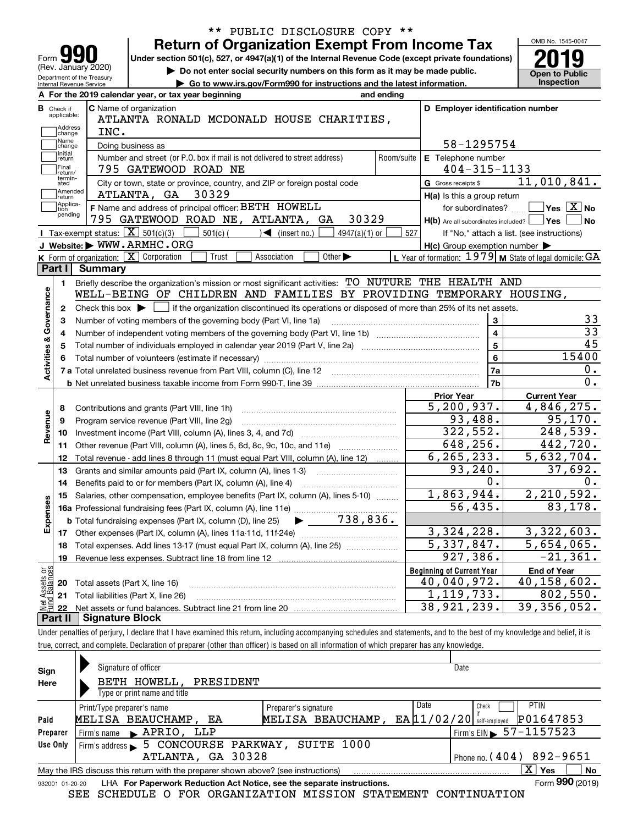|                                                                                                                                  |                                                   | <b>Return of Organization Exempt From Income Tax</b>                                                                                        |                                                                             |                                |            |                                                           |  | OMB No. 1545-0047                                |
|----------------------------------------------------------------------------------------------------------------------------------|---------------------------------------------------|---------------------------------------------------------------------------------------------------------------------------------------------|-----------------------------------------------------------------------------|--------------------------------|------------|-----------------------------------------------------------|--|--------------------------------------------------|
| Form                                                                                                                             |                                                   | Under section 501(c), 527, or 4947(a)(1) of the Internal Revenue Code (except private foundations)                                          |                                                                             |                                |            |                                                           |  |                                                  |
| (Rev. January 2020)                                                                                                              |                                                   |                                                                                                                                             | Do not enter social security numbers on this form as it may be made public. |                                |            |                                                           |  | <b>Open to Public</b>                            |
| Department of the Treasury<br>Go to www.irs.gov/Form990 for instructions and the latest information.<br>Internal Revenue Service |                                                   |                                                                                                                                             |                                                                             |                                |            |                                                           |  | Inspection                                       |
|                                                                                                                                  |                                                   | A For the 2019 calendar year, or tax year beginning                                                                                         |                                                                             |                                | and ending |                                                           |  |                                                  |
| <b>B</b> Check if                                                                                                                |                                                   | C Name of organization                                                                                                                      |                                                                             |                                |            | D Employer identification number                          |  |                                                  |
| applicable:                                                                                                                      |                                                   | ATLANTA RONALD MCDONALD HOUSE CHARITIES,                                                                                                    |                                                                             |                                |            |                                                           |  |                                                  |
| Address<br>change                                                                                                                | INC.                                              |                                                                                                                                             |                                                                             |                                |            |                                                           |  |                                                  |
| Name<br>change                                                                                                                   |                                                   | Doing business as                                                                                                                           |                                                                             |                                |            | 58-1295754                                                |  |                                                  |
| Initial<br>return                                                                                                                |                                                   | Number and street (or P.O. box if mail is not delivered to street address)                                                                  |                                                                             |                                | Room/suite | E Telephone number                                        |  |                                                  |
| Final<br>return/                                                                                                                 |                                                   | 795 GATEWOOD ROAD NE                                                                                                                        |                                                                             |                                |            | $404 - 315 - 1133$                                        |  |                                                  |
| termin-<br>ated                                                                                                                  |                                                   | City or town, state or province, country, and ZIP or foreign postal code                                                                    |                                                                             |                                |            | G Gross receipts \$                                       |  | 11,010,841.                                      |
| Amended<br> return                                                                                                               |                                                   | ATLANTA, GA 30329                                                                                                                           |                                                                             |                                |            | H(a) Is this a group return                               |  |                                                  |
| Applica-<br>tion                                                                                                                 |                                                   | F Name and address of principal officer: BETH HOWELL                                                                                        |                                                                             |                                |            | for subordinates?                                         |  | $\sqrt{}$ Yes $\sqrt{}$ $\overline{\text{X}}$ No |
| pending                                                                                                                          |                                                   | 795 GATEWOOD ROAD NE, ATLANTA, GA                                                                                                           |                                                                             | 30329                          |            | $H(b)$ Are all subordinates included?                     |  | ∣Yes<br><b>No</b>                                |
|                                                                                                                                  | Tax-exempt status: $\boxed{\mathbf{X}}$ 501(c)(3) |                                                                                                                                             | $501(c)$ $\left( \qquad \qquad \right)$ (insert no.)                        | $4947(a)(1)$ or                | 527        |                                                           |  | If "No," attach a list. (see instructions)       |
|                                                                                                                                  |                                                   | J Website: WWW.ARMHC.ORG                                                                                                                    |                                                                             |                                |            | $H(c)$ Group exemption number $\blacktriangleright$       |  |                                                  |
|                                                                                                                                  |                                                   | K Form of organization: X Corporation<br>Trust                                                                                              | Association                                                                 | Other $\blacktriangleright$    |            | L Year of formation: $1979$ M State of legal domicile: GA |  |                                                  |
| Part I                                                                                                                           | <b>Summary</b>                                    |                                                                                                                                             |                                                                             |                                |            |                                                           |  |                                                  |
| 1.                                                                                                                               |                                                   | Briefly describe the organization's mission or most significant activities: TO NUTURE THE HEALTH AND                                        |                                                                             |                                |            |                                                           |  |                                                  |
|                                                                                                                                  |                                                   | WELL-BEING OF CHILDREN AND FAMILIES BY PROVIDING TEMPORARY HOUSING,                                                                         |                                                                             |                                |            |                                                           |  |                                                  |
|                                                                                                                                  |                                                   |                                                                                                                                             |                                                                             |                                |            |                                                           |  |                                                  |
| 2                                                                                                                                |                                                   | Check this box $\blacktriangleright$ $\Box$ if the organization discontinued its operations or disposed of more than 25% of its net assets. |                                                                             |                                |            |                                                           |  |                                                  |
|                                                                                                                                  |                                                   |                                                                                                                                             |                                                                             |                                |            |                                                           |  |                                                  |
| з                                                                                                                                |                                                   | Number of voting members of the governing body (Part VI, line 1a)                                                                           |                                                                             |                                |            | 3                                                         |  |                                                  |
| 4                                                                                                                                |                                                   |                                                                                                                                             |                                                                             |                                |            | $\overline{\mathbf{4}}$                                   |  | 33<br>$\overline{33}$                            |
| 5                                                                                                                                |                                                   |                                                                                                                                             |                                                                             |                                |            | 5                                                         |  | $\overline{45}$                                  |
| 6                                                                                                                                |                                                   |                                                                                                                                             |                                                                             |                                |            | 6                                                         |  | 15400                                            |
|                                                                                                                                  |                                                   | 7 a Total unrelated business revenue from Part VIII, column (C), line 12                                                                    |                                                                             |                                |            | 7a                                                        |  | 0.                                               |
|                                                                                                                                  |                                                   |                                                                                                                                             |                                                                             |                                |            | 7b                                                        |  | $\overline{0}$ .                                 |
|                                                                                                                                  |                                                   |                                                                                                                                             |                                                                             |                                |            | <b>Prior Year</b>                                         |  | <b>Current Year</b>                              |
| 8                                                                                                                                |                                                   | Contributions and grants (Part VIII, line 1h)                                                                                               |                                                                             |                                |            | 5, 200, 937.                                              |  | 4,846,275.                                       |
| 9                                                                                                                                |                                                   | Program service revenue (Part VIII, line 2g)                                                                                                |                                                                             |                                |            | 93,488.                                                   |  | 95, 170.                                         |
| 10                                                                                                                               |                                                   |                                                                                                                                             |                                                                             |                                |            | 322,552.                                                  |  | 248,539.                                         |
| 11                                                                                                                               |                                                   | Other revenue (Part VIII, column (A), lines 5, 6d, 8c, 9c, 10c, and 11e)                                                                    |                                                                             |                                |            | 648,256.                                                  |  | 442,720.                                         |
| 12                                                                                                                               |                                                   | Total revenue - add lines 8 through 11 (must equal Part VIII, column (A), line 12)                                                          |                                                                             |                                |            | 6, 265, 233.                                              |  | 5,632,704.                                       |
| 13                                                                                                                               |                                                   | Grants and similar amounts paid (Part IX, column (A), lines 1-3)                                                                            |                                                                             |                                |            | 93, 240.                                                  |  | 37,692.                                          |
| 14                                                                                                                               |                                                   |                                                                                                                                             |                                                                             |                                |            | 0.                                                        |  | 0.                                               |
|                                                                                                                                  |                                                   | Benefits paid to or for members (Part IX, column (A), line 4)                                                                               |                                                                             |                                |            | 1,863,944.                                                |  |                                                  |
| 15                                                                                                                               |                                                   | Salaries, other compensation, employee benefits (Part IX, column (A), lines 5-10)                                                           |                                                                             |                                |            |                                                           |  | 2,210,592.                                       |
|                                                                                                                                  |                                                   |                                                                                                                                             |                                                                             |                                |            | 56,435.                                                   |  | <u>83,178.</u>                                   |
|                                                                                                                                  |                                                   | <b>b</b> Total fundraising expenses (Part IX, column (D), line 25)                                                                          |                                                                             | $\blacktriangleright$ 738,836. |            |                                                           |  |                                                  |
| 17                                                                                                                               |                                                   |                                                                                                                                             |                                                                             |                                |            | 3,324,228.                                                |  | 3,322,603.                                       |
| 18                                                                                                                               |                                                   | Total expenses. Add lines 13-17 (must equal Part IX, column (A), line 25)                                                                   |                                                                             |                                |            | 5,337,847.                                                |  | 5,654,065.                                       |
| 19                                                                                                                               |                                                   |                                                                                                                                             |                                                                             |                                |            | 927,386.                                                  |  | $-21,361.$                                       |
| Governance<br><b>Activities &amp;</b><br>Revenue<br>w<br>Expense                                                                 |                                                   |                                                                                                                                             |                                                                             |                                |            | <b>Beginning of Current Year</b>                          |  | <b>End of Year</b>                               |
| 20                                                                                                                               | Total assets (Part X, line 16)                    |                                                                                                                                             |                                                                             |                                |            | 40,040,972.                                               |  | 40,158,602.                                      |
| 21                                                                                                                               |                                                   | Total liabilities (Part X, line 26)                                                                                                         |                                                                             |                                |            | 1,119,733.                                                |  | 802,550.                                         |
| Net Assets or<br>Fund Balances<br>22<br>Part II                                                                                  | <b>Signature Block</b>                            |                                                                                                                                             |                                                                             |                                |            | 38,921,239.                                               |  | 39, 356, 052.                                    |

\*\* PUBLIC DISCLOSURE COPY \*\*

| Sign<br>Here    | Signature of officer<br>BETH HOWELL,<br>PRESIDENT<br>Type or print name and title                         | Date                                                               |
|-----------------|-----------------------------------------------------------------------------------------------------------|--------------------------------------------------------------------|
| Paid            | Date<br>Print/Type preparer's name<br>Preparer's signature<br>MELISA BEAUCHAMP.<br>MELISA BEAUCHAMP<br>EA | <b>PTIN</b><br>Check<br>P01647853<br>$EA$ $11/02/20$ self-employed |
| Preparer        | Firm's name RAPRIO, LLP                                                                                   | $1$ Firm's EIN $\triangleright$ 57-1157523                         |
| Use Only        | SUITE 1000<br>5 CONCOURSE PARKWAY,<br>Firm's address $\blacktriangleright$<br>ATLANTA, GA 30328           | Phone no. ( $404$ ) 892-9651                                       |
|                 | May the IRS discuss this return with the preparer shown above? (see instructions)                         | X.<br><b>Yes</b><br>No                                             |
| 932001 01-20-20 | LHA For Paperwork Reduction Act Notice, see the separate instructions.                                    | Form 990 (2019)                                                    |

SEE SCHEDULE O FOR ORGANIZATION MISSION STATEMENT CONTINUATION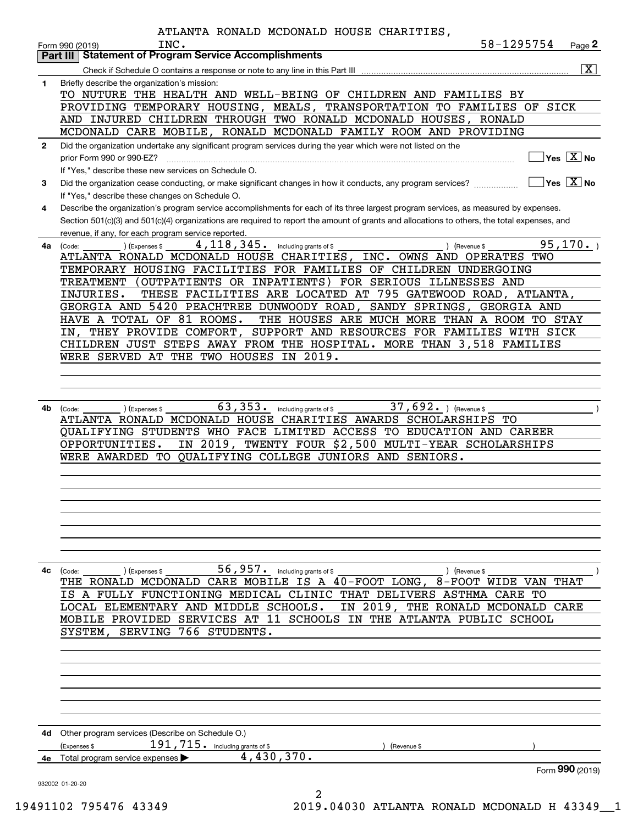|              | ATLANTA RONALD MCDONALD HOUSE CHARITIES,                                                                                                              |            |                                                 |
|--------------|-------------------------------------------------------------------------------------------------------------------------------------------------------|------------|-------------------------------------------------|
|              | INC.<br>Form 990 (2019)                                                                                                                               | 58-1295754 | Page 2                                          |
|              | <b>Statement of Program Service Accomplishments</b><br>Part III                                                                                       |            |                                                 |
|              |                                                                                                                                                       |            | $\boxed{\text{X}}$                              |
| 1            | Briefly describe the organization's mission:                                                                                                          |            |                                                 |
|              | TO NUTURE THE HEALTH AND WELL-BEING OF CHILDREN AND FAMILIES BY                                                                                       |            |                                                 |
|              | PROVIDING TEMPORARY HOUSING, MEALS, TRANSPORTATION TO FAMILIES OF SICK                                                                                |            |                                                 |
|              | AND INJURED CHILDREN THROUGH TWO RONALD MCDONALD HOUSES, RONALD                                                                                       |            |                                                 |
|              | MCDONALD CARE MOBILE, RONALD MCDONALD FAMILY ROOM AND PROVIDING                                                                                       |            |                                                 |
| $\mathbf{2}$ | Did the organization undertake any significant program services during the year which were not listed on the                                          |            |                                                 |
|              | prior Form 990 or 990-EZ?                                                                                                                             |            | $\overline{\ }$ Yes $\overline{\phantom{X}}$ No |
|              | If "Yes," describe these new services on Schedule O.                                                                                                  |            |                                                 |
| 3            | Did the organization cease conducting, or make significant changes in how it conducts, any program services?                                          |            | $\sqrt{}$ Yes $\sqrt{}$ X $\sqrt{}$ No          |
|              | If "Yes," describe these changes on Schedule O.                                                                                                       |            |                                                 |
| 4            | Describe the organization's program service accomplishments for each of its three largest program services, as measured by expenses.                  |            |                                                 |
|              | Section 501(c)(3) and 501(c)(4) organizations are required to report the amount of grants and allocations to others, the total expenses, and          |            |                                                 |
|              | revenue, if any, for each program service reported.                                                                                                   |            | 95, 170.                                        |
| 4a           | $4,118,345.$ including grants of \$<br>(Expenses \$<br>) (Revenue \$<br>(Code:<br>ATLANTA RONALD MCDONALD HOUSE CHARITIES, INC. OWNS AND OPERATES TWO |            |                                                 |
|              | TEMPORARY HOUSING FACILITIES FOR FAMILIES OF CHILDREN UNDERGOING                                                                                      |            |                                                 |
|              | TREATMENT (OUTPATIENTS OR INPATIENTS) FOR SERIOUS ILLNESSES AND                                                                                       |            |                                                 |
|              | THESE FACILITIES ARE LOCATED AT 795 GATEWOOD ROAD, ATLANTA,<br>INJURIES.                                                                              |            |                                                 |
|              | GEORGIA AND 5420 PEACHTREE DUNWOODY ROAD, SANDY SPRINGS, GEORGIA AND                                                                                  |            |                                                 |
|              | HAVE A TOTAL OF 81 ROOMS.<br>THE HOUSES ARE MUCH MORE THAN A ROOM TO STAY                                                                             |            |                                                 |
|              | IN, THEY PROVIDE COMFORT, SUPPORT AND RESOURCES FOR FAMILIES WITH SICK                                                                                |            |                                                 |
|              | CHILDREN JUST STEPS AWAY FROM THE HOSPITAL. MORE THAN 3,518 FAMILIES                                                                                  |            |                                                 |
|              | WERE SERVED AT THE TWO HOUSES IN 2019.                                                                                                                |            |                                                 |
|              |                                                                                                                                                       |            |                                                 |
|              |                                                                                                                                                       |            |                                                 |
|              |                                                                                                                                                       |            |                                                 |
| 4b           | 63, 353. including grants of \$<br>37,692. $ $ (Revenue \$<br>) (Expenses \$<br>(Code:                                                                |            |                                                 |
|              | ATLANTA RONALD MCDONALD HOUSE CHARITIES AWARDS SCHOLARSHIPS TO                                                                                        |            |                                                 |
|              | QUALIFYING STUDENTS WHO FACE LIMITED ACCESS TO EDUCATION AND CAREER                                                                                   |            |                                                 |
|              | IN 2019, TWENTY FOUR \$2,500 MULTI-YEAR SCHOLARSHIPS<br>OPPORTUNITIES.                                                                                |            |                                                 |
|              | WERE AWARDED TO QUALIFYING COLLEGE JUNIORS AND SENIORS.                                                                                               |            |                                                 |
|              |                                                                                                                                                       |            |                                                 |
|              |                                                                                                                                                       |            |                                                 |
|              |                                                                                                                                                       |            |                                                 |
|              |                                                                                                                                                       |            |                                                 |
|              |                                                                                                                                                       |            |                                                 |
|              |                                                                                                                                                       |            |                                                 |
|              |                                                                                                                                                       |            |                                                 |
| 4с           | 56,957. $^{\circ}$ including grants of \$<br>(Code:<br>(Expenses \$<br>) (Revenue \$                                                                  |            |                                                 |
|              | THE RONALD MCDONALD CARE MOBILE IS A 40-FOOT LONG, 8-FOOT WIDE VAN                                                                                    |            | THAT                                            |
|              | A FULLY FUNCTIONING MEDICAL CLINIC THAT DELIVERS ASTHMA CARE TO<br>IS.                                                                                |            |                                                 |
|              | LOCAL ELEMENTARY AND MIDDLE SCHOOLS.<br>IN 2019, THE RONALD MCDONALD CARE                                                                             |            |                                                 |
|              | MOBILE PROVIDED SERVICES AT 11 SCHOOLS IN THE ATLANTA PUBLIC SCHOOL                                                                                   |            |                                                 |
|              | 766 STUDENTS.<br>SYSTEM,<br>SERVING                                                                                                                   |            |                                                 |
|              |                                                                                                                                                       |            |                                                 |
|              |                                                                                                                                                       |            |                                                 |
|              |                                                                                                                                                       |            |                                                 |
|              |                                                                                                                                                       |            |                                                 |
|              |                                                                                                                                                       |            |                                                 |
|              |                                                                                                                                                       |            |                                                 |
|              |                                                                                                                                                       |            |                                                 |
| 4d           | Other program services (Describe on Schedule O.)<br>$191, 715$ $\cdot$ including grants of \$                                                         |            |                                                 |
| 4е           | (Expenses \$<br>(Revenue \$<br>4,430,370.<br>Total program service expenses                                                                           |            |                                                 |
|              |                                                                                                                                                       |            | Form 990 (2019)                                 |
|              | 932002 01-20-20                                                                                                                                       |            |                                                 |
|              | 2                                                                                                                                                     |            |                                                 |

19491102 795476 43349 2019.04030 ATLANTA RONALD MCDONALD H 43349\_\_1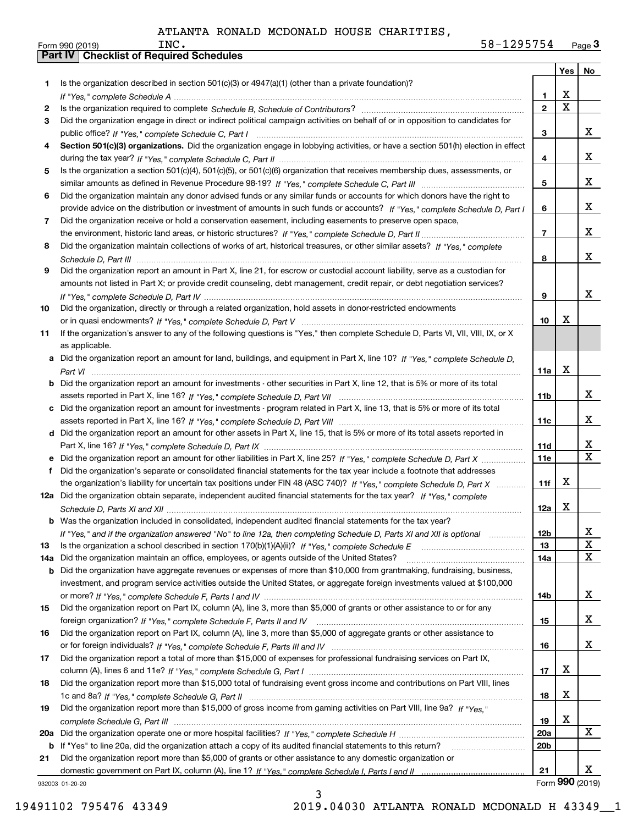|     |                                                                                                                                       |                   | Yes                     | No                      |
|-----|---------------------------------------------------------------------------------------------------------------------------------------|-------------------|-------------------------|-------------------------|
| 1   | Is the organization described in section $501(c)(3)$ or $4947(a)(1)$ (other than a private foundation)?                               |                   |                         |                         |
|     |                                                                                                                                       | 1                 | X                       |                         |
| 2   |                                                                                                                                       | $\mathbf{2}$      | $\overline{\mathbf{x}}$ |                         |
| 3   | Did the organization engage in direct or indirect political campaign activities on behalf of or in opposition to candidates for       |                   |                         |                         |
|     |                                                                                                                                       | 3                 |                         | x                       |
| 4   | Section 501(c)(3) organizations. Did the organization engage in lobbying activities, or have a section 501(h) election in effect      |                   |                         |                         |
|     |                                                                                                                                       | 4                 |                         | x                       |
| 5   | Is the organization a section 501(c)(4), 501(c)(5), or 501(c)(6) organization that receives membership dues, assessments, or          |                   |                         |                         |
|     |                                                                                                                                       | 5                 |                         | x                       |
| 6   | Did the organization maintain any donor advised funds or any similar funds or accounts for which donors have the right to             |                   |                         |                         |
|     | provide advice on the distribution or investment of amounts in such funds or accounts? If "Yes," complete Schedule D, Part I          | 6                 |                         | x                       |
| 7   | Did the organization receive or hold a conservation easement, including easements to preserve open space,                             |                   |                         |                         |
|     |                                                                                                                                       | $\overline{7}$    |                         | x                       |
| 8   | Did the organization maintain collections of works of art, historical treasures, or other similar assets? If "Yes," complete          |                   |                         |                         |
|     |                                                                                                                                       | 8                 |                         | x                       |
| 9   | Did the organization report an amount in Part X, line 21, for escrow or custodial account liability, serve as a custodian for         |                   |                         |                         |
|     | amounts not listed in Part X; or provide credit counseling, debt management, credit repair, or debt negotiation services?             |                   |                         |                         |
|     |                                                                                                                                       | 9                 |                         | x                       |
| 10  | Did the organization, directly or through a related organization, hold assets in donor-restricted endowments                          |                   |                         |                         |
|     |                                                                                                                                       | 10                | X                       |                         |
| 11  | If the organization's answer to any of the following questions is "Yes," then complete Schedule D, Parts VI, VIII, VIII, IX, or X     |                   |                         |                         |
|     | as applicable.                                                                                                                        |                   |                         |                         |
|     | a Did the organization report an amount for land, buildings, and equipment in Part X, line 10? If "Yes," complete Schedule D,         |                   |                         |                         |
|     |                                                                                                                                       | 11a               | X                       |                         |
|     | <b>b</b> Did the organization report an amount for investments - other securities in Part X, line 12, that is 5% or more of its total |                   |                         |                         |
|     |                                                                                                                                       | 11b               |                         | X                       |
|     | c Did the organization report an amount for investments - program related in Part X, line 13, that is 5% or more of its total         |                   |                         | x                       |
|     |                                                                                                                                       | 11c               |                         |                         |
|     | d Did the organization report an amount for other assets in Part X, line 15, that is 5% or more of its total assets reported in       |                   |                         | х                       |
|     |                                                                                                                                       | 11d<br><b>11e</b> |                         | $\overline{\mathbf{X}}$ |
|     | f Did the organization's separate or consolidated financial statements for the tax year include a footnote that addresses             |                   |                         |                         |
|     | the organization's liability for uncertain tax positions under FIN 48 (ASC 740)? If "Yes," complete Schedule D, Part X                | 11f               | X                       |                         |
|     | 12a Did the organization obtain separate, independent audited financial statements for the tax year? If "Yes," complete               |                   |                         |                         |
|     |                                                                                                                                       | 12a               | X                       |                         |
|     | <b>b</b> Was the organization included in consolidated, independent audited financial statements for the tax year?                    |                   |                         |                         |
|     | If "Yes," and if the organization answered "No" to line 12a, then completing Schedule D, Parts XI and XII is optional                 | 12b               |                         | x                       |
| 13  |                                                                                                                                       | 13                |                         | X                       |
| 14a | Did the organization maintain an office, employees, or agents outside of the United States?                                           | 14a               |                         | $\mathbf X$             |
| b   | Did the organization have aggregate revenues or expenses of more than \$10,000 from grantmaking, fundraising, business,               |                   |                         |                         |
|     | investment, and program service activities outside the United States, or aggregate foreign investments valued at \$100,000            |                   |                         |                         |
|     |                                                                                                                                       | 14b               |                         | X                       |
| 15  | Did the organization report on Part IX, column (A), line 3, more than \$5,000 of grants or other assistance to or for any             |                   |                         |                         |
|     |                                                                                                                                       | 15                |                         | X                       |
| 16  | Did the organization report on Part IX, column (A), line 3, more than \$5,000 of aggregate grants or other assistance to              |                   |                         |                         |
|     |                                                                                                                                       | 16                |                         | X                       |
| 17  | Did the organization report a total of more than \$15,000 of expenses for professional fundraising services on Part IX,               |                   |                         |                         |
|     |                                                                                                                                       | 17                | X                       |                         |
| 18  | Did the organization report more than \$15,000 total of fundraising event gross income and contributions on Part VIII, lines          |                   |                         |                         |
|     |                                                                                                                                       | 18                | X                       |                         |
| 19  | Did the organization report more than \$15,000 of gross income from gaming activities on Part VIII, line 9a? If "Yes."                |                   |                         |                         |
|     |                                                                                                                                       | 19                | X                       |                         |
| 20a |                                                                                                                                       | <b>20a</b>        |                         | X                       |
| b   | If "Yes" to line 20a, did the organization attach a copy of its audited financial statements to this return?                          | 20 <sub>b</sub>   |                         |                         |
| 21  | Did the organization report more than \$5,000 of grants or other assistance to any domestic organization or                           |                   |                         |                         |
|     |                                                                                                                                       | 21                |                         | x                       |
|     | 932003 01-20-20                                                                                                                       |                   | Form 990 (2019)         |                         |

932003 01-20-20

3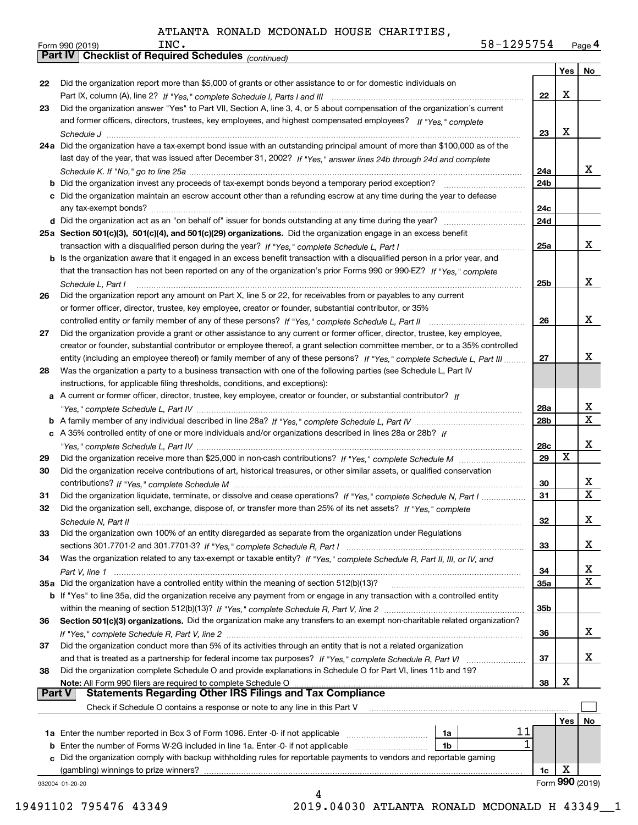| 58-1295754 | Page 4 |
|------------|--------|
|            |        |

|               | 58-1295754<br>INC.<br>Form 990 (2019)                                                                                        |     |     | Page 4                  |
|---------------|------------------------------------------------------------------------------------------------------------------------------|-----|-----|-------------------------|
|               | <b>Part IV   Checklist of Required Schedules (continued)</b>                                                                 |     |     |                         |
|               |                                                                                                                              |     | Yes | No                      |
| 22            | Did the organization report more than \$5,000 of grants or other assistance to or for domestic individuals on                |     |     |                         |
|               |                                                                                                                              | 22  | х   |                         |
| 23            | Did the organization answer "Yes" to Part VII, Section A, line 3, 4, or 5 about compensation of the organization's current   |     |     |                         |
|               | and former officers, directors, trustees, key employees, and highest compensated employees? If "Yes," complete               |     |     |                         |
|               |                                                                                                                              | 23  | X   |                         |
|               | 24a Did the organization have a tax-exempt bond issue with an outstanding principal amount of more than \$100,000 as of the  |     |     |                         |
|               | last day of the year, that was issued after December 31, 2002? If "Yes," answer lines 24b through 24d and complete           |     |     |                         |
|               |                                                                                                                              | 24a |     | x                       |
|               | <b>b</b> Did the organization invest any proceeds of tax-exempt bonds beyond a temporary period exception?                   | 24b |     |                         |
|               | c Did the organization maintain an escrow account other than a refunding escrow at any time during the year to defease       |     |     |                         |
|               |                                                                                                                              | 24c |     |                         |
|               |                                                                                                                              | 24d |     |                         |
|               | 25a Section 501(c)(3), 501(c)(4), and 501(c)(29) organizations. Did the organization engage in an excess benefit             |     |     |                         |
|               |                                                                                                                              | 25a |     | x                       |
|               | b Is the organization aware that it engaged in an excess benefit transaction with a disqualified person in a prior year, and |     |     |                         |
|               | that the transaction has not been reported on any of the organization's prior Forms 990 or 990-EZ? If "Yes," complete        |     |     |                         |
|               | Schedule L, Part I                                                                                                           | 25b |     | x                       |
| 26            | Did the organization report any amount on Part X, line 5 or 22, for receivables from or payables to any current              |     |     |                         |
|               | or former officer, director, trustee, key employee, creator or founder, substantial contributor, or 35%                      |     |     |                         |
|               | controlled entity or family member of any of these persons? If "Yes," complete Schedule L, Part II                           | 26  |     | x                       |
| 27            | Did the organization provide a grant or other assistance to any current or former officer, director, trustee, key employee,  |     |     |                         |
|               | creator or founder, substantial contributor or employee thereof, a grant selection committee member, or to a 35% controlled  |     |     |                         |
|               | entity (including an employee thereof) or family member of any of these persons? If "Yes," complete Schedule L, Part III     | 27  |     | х                       |
| 28            | Was the organization a party to a business transaction with one of the following parties (see Schedule L, Part IV            |     |     |                         |
|               | instructions, for applicable filing thresholds, conditions, and exceptions):                                                 |     |     |                         |
|               | a A current or former officer, director, trustee, key employee, creator or founder, or substantial contributor? If           |     |     |                         |
|               |                                                                                                                              | 28a |     | X                       |
|               |                                                                                                                              | 28b |     | $\overline{\mathbf{X}}$ |
|               | c A 35% controlled entity of one or more individuals and/or organizations described in lines 28a or 28b? If                  |     |     |                         |
|               |                                                                                                                              | 28c |     | x                       |
| 29            |                                                                                                                              | 29  | X   |                         |
| 30            | Did the organization receive contributions of art, historical treasures, or other similar assets, or qualified conservation  |     |     |                         |
|               |                                                                                                                              | 30  |     | X                       |
| 31            | Did the organization liquidate, terminate, or dissolve and cease operations? If "Yes," complete Schedule N, Part I           | 31  |     | $\mathbf x$             |
|               | Did the organization sell, exchange, dispose of, or transfer more than 25% of its net assets? If "Yes," complete             |     |     |                         |
|               |                                                                                                                              | 32  |     | x                       |
| 33            | Did the organization own 100% of an entity disregarded as separate from the organization under Regulations                   |     |     |                         |
|               |                                                                                                                              | 33  |     | x                       |
| 34            | Was the organization related to any tax-exempt or taxable entity? If "Yes," complete Schedule R, Part II, III, or IV, and    |     |     |                         |
|               |                                                                                                                              | 34  |     | X                       |
|               | 35a Did the organization have a controlled entity within the meaning of section 512(b)(13)?                                  | 35a |     | X                       |
|               | b If "Yes" to line 35a, did the organization receive any payment from or engage in any transaction with a controlled entity  |     |     |                         |
|               |                                                                                                                              | 35b |     |                         |
| 36            | Section 501(c)(3) organizations. Did the organization make any transfers to an exempt non-charitable related organization?   |     |     |                         |
|               |                                                                                                                              | 36  |     | x                       |
| 37            | Did the organization conduct more than 5% of its activities through an entity that is not a related organization             |     |     |                         |
|               |                                                                                                                              | 37  |     | x                       |
| 38            | Did the organization complete Schedule O and provide explanations in Schedule O for Part VI, lines 11b and 19?               |     |     |                         |
|               | Note: All Form 990 filers are required to complete Schedule O                                                                | 38  | x   |                         |
| <b>Part V</b> | <b>Statements Regarding Other IRS Filings and Tax Compliance</b>                                                             |     |     |                         |
|               | Check if Schedule O contains a response or note to any line in this Part V                                                   |     |     |                         |
|               |                                                                                                                              |     | Yes | No                      |
|               | 11<br>1a Enter the number reported in Box 3 of Form 1096. Enter -0- if not applicable<br>1a<br>1                             |     |     |                         |
|               | <b>b</b> Enter the number of Forms W-2G included in line 1a. Enter -0- if not applicable<br>1b                               |     |     |                         |
|               | c Did the organization comply with backup withholding rules for reportable payments to vendors and reportable gaming         |     |     |                         |
|               |                                                                                                                              | 1c  | х   | Form 990 (2019)         |
|               | 932004 01-20-20<br>4                                                                                                         |     |     |                         |

19491102 795476 43349 2019.04030 ATLANTA RONALD MCDONALD H 43349\_\_1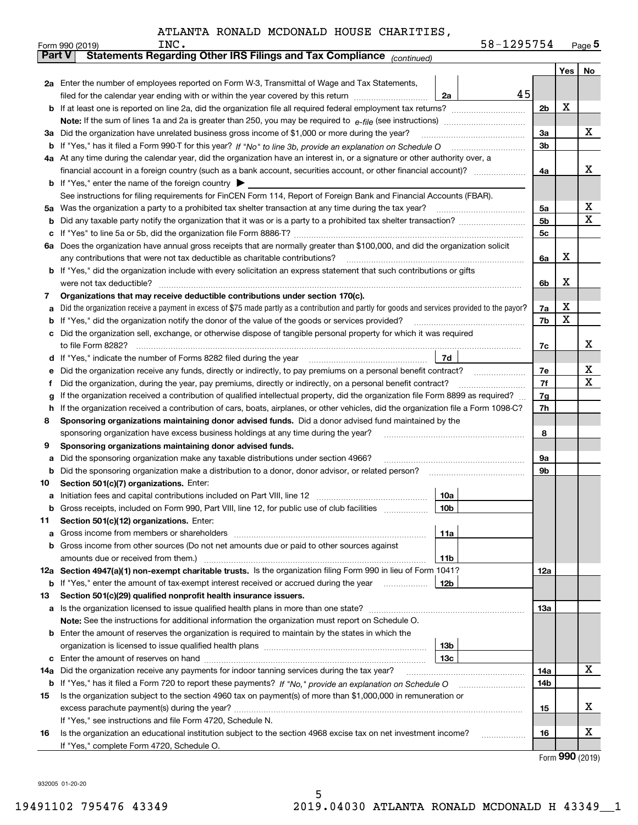|          | INC.<br>Form 990 (2019)                                                                                                                                                  | 58-1295754 |                |     | $_{\text{Page}}$ 5 |
|----------|--------------------------------------------------------------------------------------------------------------------------------------------------------------------------|------------|----------------|-----|--------------------|
|          | Statements Regarding Other IRS Filings and Tax Compliance (continued)<br><b>Part V</b>                                                                                   |            |                |     |                    |
|          |                                                                                                                                                                          |            |                | Yes | No                 |
|          | 2a Enter the number of employees reported on Form W-3, Transmittal of Wage and Tax Statements,                                                                           |            |                |     |                    |
|          | filed for the calendar year ending with or within the year covered by this return<br>2a                                                                                  | 45         |                |     |                    |
|          |                                                                                                                                                                          |            | 2 <sub>b</sub> | x   |                    |
|          |                                                                                                                                                                          |            |                |     |                    |
| За       | Did the organization have unrelated business gross income of \$1,000 or more during the year?                                                                            |            | 3a             |     | x                  |
| b        |                                                                                                                                                                          |            | 3b             |     |                    |
|          | 4a At any time during the calendar year, did the organization have an interest in, or a signature or other authority over, a                                             |            |                |     |                    |
|          |                                                                                                                                                                          |            | 4a             |     | x                  |
|          | <b>b</b> If "Yes," enter the name of the foreign country $\blacktriangleright$                                                                                           |            |                |     |                    |
|          | See instructions for filing requirements for FinCEN Form 114, Report of Foreign Bank and Financial Accounts (FBAR).                                                      |            |                |     |                    |
| 5a       | Was the organization a party to a prohibited tax shelter transaction at any time during the tax year?                                                                    |            | 5a             |     | х                  |
| b        |                                                                                                                                                                          |            | 5 <sub>b</sub> |     | х                  |
| с        |                                                                                                                                                                          |            | 5c             |     |                    |
|          | 6a Does the organization have annual gross receipts that are normally greater than \$100,000, and did the organization solicit                                           |            |                |     |                    |
|          | any contributions that were not tax deductible as charitable contributions?                                                                                              |            | 6a             | х   |                    |
|          | <b>b</b> If "Yes," did the organization include with every solicitation an express statement that such contributions or gifts                                            |            |                |     |                    |
|          | were not tax deductible?                                                                                                                                                 |            | 6b             | х   |                    |
| 7        | Organizations that may receive deductible contributions under section 170(c).                                                                                            |            |                |     |                    |
| а        | Did the organization receive a payment in excess of \$75 made partly as a contribution and partly for goods and services provided to the payor?                          |            | 7a             | х   |                    |
| b        | If "Yes," did the organization notify the donor of the value of the goods or services provided?                                                                          |            | 7b             | х   |                    |
|          | Did the organization sell, exchange, or otherwise dispose of tangible personal property for which it was required                                                        |            |                |     |                    |
|          |                                                                                                                                                                          |            | 7c             |     | x                  |
| d        | 7d                                                                                                                                                                       |            |                |     |                    |
| е        |                                                                                                                                                                          |            | 7e             |     | х                  |
| f        | Did the organization, during the year, pay premiums, directly or indirectly, on a personal benefit contract?                                                             |            | 7f             |     | х                  |
| g        | If the organization received a contribution of qualified intellectual property, did the organization file Form 8899 as required?                                         |            | 7g             |     |                    |
| h        | If the organization received a contribution of cars, boats, airplanes, or other vehicles, did the organization file a Form 1098-C?                                       |            | 7h             |     |                    |
| 8        | Sponsoring organizations maintaining donor advised funds. Did a donor advised fund maintained by the                                                                     |            |                |     |                    |
|          | sponsoring organization have excess business holdings at any time during the year?                                                                                       |            | 8              |     |                    |
| 9        | Sponsoring organizations maintaining donor advised funds.                                                                                                                |            |                |     |                    |
| а        | Did the sponsoring organization make any taxable distributions under section 4966?                                                                                       |            | 9а             |     |                    |
| b        | Did the sponsoring organization make a distribution to a donor, donor advisor, or related person?                                                                        |            | 9b             |     |                    |
| 10       | Section 501(c)(7) organizations. Enter:                                                                                                                                  |            |                |     |                    |
| а        | 10a                                                                                                                                                                      |            |                |     |                    |
|          | 10b<br>Gross receipts, included on Form 990, Part VIII, line 12, for public use of club facilities                                                                       |            |                |     |                    |
| 11       | Section 501(c)(12) organizations. Enter:                                                                                                                                 |            |                |     |                    |
| а        | 11a<br>Gross income from members or shareholders                                                                                                                         |            |                |     |                    |
| b        | Gross income from other sources (Do not net amounts due or paid to other sources against                                                                                 |            |                |     |                    |
|          | 11 <sub>b</sub><br>amounts due or received from them.)<br>12a Section 4947(a)(1) non-exempt charitable trusts. Is the organization filing Form 990 in lieu of Form 1041? |            |                |     |                    |
|          |                                                                                                                                                                          |            | 12a            |     |                    |
|          | <b>12b</b><br><b>b</b> If "Yes," enter the amount of tax-exempt interest received or accrued during the year <i>manument</i>                                             |            |                |     |                    |
| 13       | Section 501(c)(29) qualified nonprofit health insurance issuers.                                                                                                         |            |                |     |                    |
| a        | Is the organization licensed to issue qualified health plans in more than one state?                                                                                     |            | 13а            |     |                    |
|          | Note: See the instructions for additional information the organization must report on Schedule O.                                                                        |            |                |     |                    |
| b        | Enter the amount of reserves the organization is required to maintain by the states in which the<br>13 <sub>b</sub>                                                      |            |                |     |                    |
|          | 13 <sub>c</sub>                                                                                                                                                          |            |                |     |                    |
| с<br>14a | Did the organization receive any payments for indoor tanning services during the tax year?                                                                               |            | 14a            |     | x                  |
|          | <b>b</b> If "Yes," has it filed a Form 720 to report these payments? If "No," provide an explanation on Schedule O                                                       |            | 14b            |     |                    |
| 15       | Is the organization subject to the section 4960 tax on payment(s) of more than \$1,000,000 in remuneration or                                                            |            |                |     |                    |
|          | excess parachute payment(s) during the year?                                                                                                                             |            | 15             |     | x                  |
|          | If "Yes," see instructions and file Form 4720, Schedule N.                                                                                                               |            |                |     |                    |
| 16       | Is the organization an educational institution subject to the section 4968 excise tax on net investment income?                                                          |            | 16             |     | х                  |
|          | If "Yes," complete Form 4720, Schedule O.                                                                                                                                |            |                |     |                    |
|          |                                                                                                                                                                          |            |                |     |                    |

Form (2019) **990**

932005 01-20-20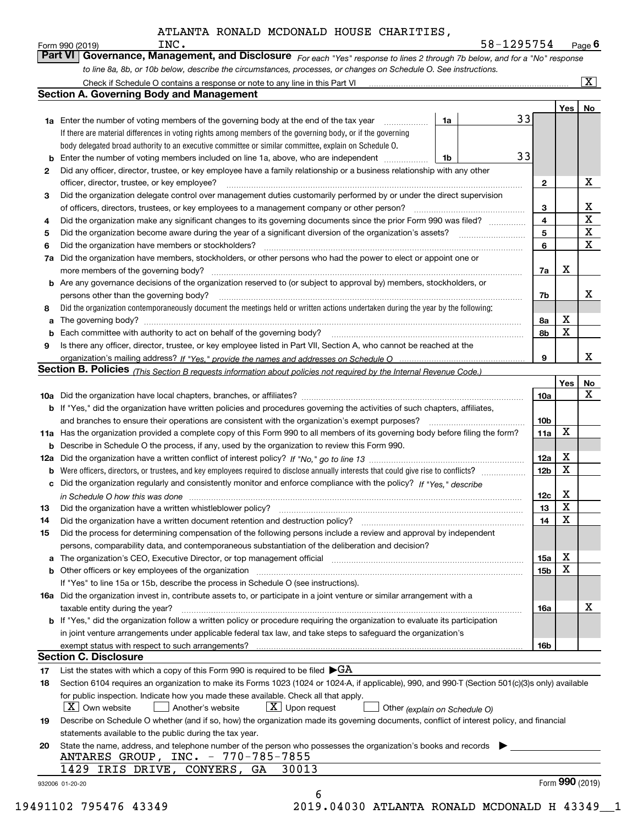|    | to line 8a, 8b, or 10b below, describe the circumstances, processes, or changes on Schedule O. See instructions.                                                                                                                          |                         |                 | $\overline{\mathbf{x}}$ |
|----|-------------------------------------------------------------------------------------------------------------------------------------------------------------------------------------------------------------------------------------------|-------------------------|-----------------|-------------------------|
|    | Check if Schedule O contains a response or note to any line in this Part VI [11] [12] Check if Schedule O contains a response or note to any line in this Part VI<br><b>Section A. Governing Body and Management</b>                      |                         |                 |                         |
|    |                                                                                                                                                                                                                                           |                         | Yes             | No                      |
|    | 33<br>1a<br><b>1a</b> Enter the number of voting members of the governing body at the end of the tax year                                                                                                                                 |                         |                 |                         |
|    | If there are material differences in voting rights among members of the governing body, or if the governing                                                                                                                               |                         |                 |                         |
|    | body delegated broad authority to an executive committee or similar committee, explain on Schedule O.                                                                                                                                     |                         |                 |                         |
|    | 33<br>Enter the number of voting members included on line 1a, above, who are independent<br>1b                                                                                                                                            |                         |                 |                         |
| 2  | Did any officer, director, trustee, or key employee have a family relationship or a business relationship with any other                                                                                                                  |                         |                 |                         |
|    | officer, director, trustee, or key employee?                                                                                                                                                                                              | $\mathbf{2}$            |                 | х                       |
| 3  | Did the organization delegate control over management duties customarily performed by or under the direct supervision                                                                                                                     |                         |                 |                         |
|    |                                                                                                                                                                                                                                           | 3                       |                 | X                       |
| 4  | Did the organization make any significant changes to its governing documents since the prior Form 990 was filed?                                                                                                                          | $\overline{\mathbf{4}}$ |                 | $\overline{\mathbf{x}}$ |
| 5  |                                                                                                                                                                                                                                           | 5                       |                 | $\mathbf X$             |
| 6  | Did the organization have members or stockholders?                                                                                                                                                                                        | 6                       |                 | X                       |
| 7a | Did the organization have members, stockholders, or other persons who had the power to elect or appoint one or                                                                                                                            |                         |                 |                         |
|    |                                                                                                                                                                                                                                           | 7а                      | х               |                         |
|    | <b>b</b> Are any governance decisions of the organization reserved to (or subject to approval by) members, stockholders, or                                                                                                               |                         |                 |                         |
|    | persons other than the governing body?                                                                                                                                                                                                    | 7b                      |                 | х                       |
| 8  | Did the organization contemporaneously document the meetings held or written actions undertaken during the year by the following:                                                                                                         |                         |                 |                         |
| a  |                                                                                                                                                                                                                                           | 8а                      | х               |                         |
| b  |                                                                                                                                                                                                                                           | 8b                      | X               |                         |
| 9  | Is there any officer, director, trustee, or key employee listed in Part VII, Section A, who cannot be reached at the                                                                                                                      |                         |                 |                         |
|    |                                                                                                                                                                                                                                           | 9                       |                 | x                       |
|    | Section B. Policies (This Section B requests information about policies not required by the Internal Revenue Code.)                                                                                                                       |                         |                 |                         |
|    |                                                                                                                                                                                                                                           |                         | <b>Yes</b>      | No<br>X                 |
|    |                                                                                                                                                                                                                                           | 10a                     |                 |                         |
|    | <b>b</b> If "Yes," did the organization have written policies and procedures governing the activities of such chapters, affiliates,                                                                                                       |                         |                 |                         |
|    | and branches to ensure their operations are consistent with the organization's exempt purposes?                                                                                                                                           | 10b                     | х               |                         |
|    | 11a Has the organization provided a complete copy of this Form 990 to all members of its governing body before filing the form?<br><b>b</b> Describe in Schedule O the process, if any, used by the organization to review this Form 990. | 11a                     |                 |                         |
|    |                                                                                                                                                                                                                                           | 12a                     | Х               |                         |
| b  | Were officers, directors, or trustees, and key employees required to disclose annually interests that could give rise to conflicts?                                                                                                       | 12 <sub>b</sub>         | х               |                         |
| c  | Did the organization regularly and consistently monitor and enforce compliance with the policy? If "Yes," describe                                                                                                                        |                         |                 |                         |
|    |                                                                                                                                                                                                                                           | 12c                     | х               |                         |
|    | in Schedule O how this was done <i>maching and a content of the series</i> and the series of the series of the series o                                                                                                                   | 13 <sup>13</sup>        | $\mathbf X$     |                         |
| 14 | Did the organization have a written document retention and destruction policy? [11] manufaction policy? [11] manufaction policy? [11] manufaction policy? [11] manufaction policy? [11] manufaction policy? [11] manufaction p            | 14                      | X               |                         |
| 15 | Did the process for determining compensation of the following persons include a review and approval by independent                                                                                                                        |                         |                 |                         |
|    | persons, comparability data, and contemporaneous substantiation of the deliberation and decision?                                                                                                                                         |                         |                 |                         |
|    | a The organization's CEO, Executive Director, or top management official [11] [12] The organization's CEO, Executive Director, or top management official [12] [12] [12] [12] The organization's CEO, Executive Director, or t            | 15a                     | Х               |                         |
|    |                                                                                                                                                                                                                                           | 15b                     | х               |                         |
|    | If "Yes" to line 15a or 15b, describe the process in Schedule O (see instructions).                                                                                                                                                       |                         |                 |                         |
|    | 16a Did the organization invest in, contribute assets to, or participate in a joint venture or similar arrangement with a                                                                                                                 |                         |                 |                         |
|    | taxable entity during the year?                                                                                                                                                                                                           | 16a                     |                 | х                       |
|    | b If "Yes," did the organization follow a written policy or procedure requiring the organization to evaluate its participation                                                                                                            |                         |                 |                         |
|    | in joint venture arrangements under applicable federal tax law, and take steps to safeguard the organization's                                                                                                                            |                         |                 |                         |
|    |                                                                                                                                                                                                                                           | 16b                     |                 |                         |
|    | <b>Section C. Disclosure</b>                                                                                                                                                                                                              |                         |                 |                         |
| 17 | List the states with which a copy of this Form 990 is required to be filed $\blacktriangleright$ GA                                                                                                                                       |                         |                 |                         |
| 18 | Section 6104 requires an organization to make its Forms 1023 (1024 or 1024-A, if applicable), 990, and 990-T (Section 501(c)(3)s only) available                                                                                          |                         |                 |                         |
|    | for public inspection. Indicate how you made these available. Check all that apply.                                                                                                                                                       |                         |                 |                         |
|    | $ X $ Own website<br>$\lfloor x \rfloor$ Upon request<br>Another's website<br>Other (explain on Schedule O)                                                                                                                               |                         |                 |                         |
| 19 | Describe on Schedule O whether (and if so, how) the organization made its governing documents, conflict of interest policy, and financial                                                                                                 |                         |                 |                         |
|    | statements available to the public during the tax year.                                                                                                                                                                                   |                         |                 |                         |
| 20 | State the name, address, and telephone number of the person who possesses the organization's books and records                                                                                                                            |                         |                 |                         |
|    | ANTARES GROUP, INC. - 770-785-7855                                                                                                                                                                                                        |                         |                 |                         |
|    | 1429 IRIS DRIVE, CONYERS, GA<br>30013                                                                                                                                                                                                     |                         |                 |                         |
|    |                                                                                                                                                                                                                                           |                         | Form 990 (2019) |                         |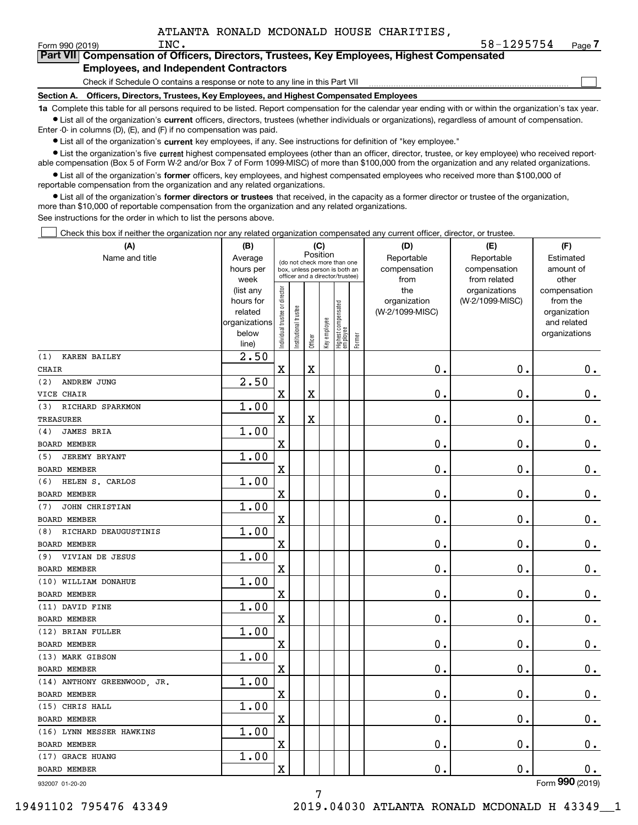$\mathcal{L}^{\text{max}}$ 

| orm 990 (2019) <sup>.</sup> | INC.                                          | 58-1295754                                                                                 | Page <i>I</i> |
|-----------------------------|-----------------------------------------------|--------------------------------------------------------------------------------------------|---------------|
|                             |                                               | Part VII Compensation of Officers, Directors, Trustees, Key Employees, Highest Compensated |               |
|                             | <b>Employees, and Independent Contractors</b> |                                                                                            |               |

Check if Schedule O contains a response or note to any line in this Part VII

**Section A. Officers, Directors, Trustees, Key Employees, and Highest Compensated Employees**

**1a**  Complete this table for all persons required to be listed. Report compensation for the calendar year ending with or within the organization's tax year. **•** List all of the organization's current officers, directors, trustees (whether individuals or organizations), regardless of amount of compensation.

Enter -0- in columns (D), (E), and (F) if no compensation was paid.

 $\bullet$  List all of the organization's  $\,$ current key employees, if any. See instructions for definition of "key employee."

**•** List the organization's five current highest compensated employees (other than an officer, director, trustee, or key employee) who received reportable compensation (Box 5 of Form W-2 and/or Box 7 of Form 1099-MISC) of more than \$100,000 from the organization and any related organizations.

**•** List all of the organization's former officers, key employees, and highest compensated employees who received more than \$100,000 of reportable compensation from the organization and any related organizations.

**former directors or trustees**  ¥ List all of the organization's that received, in the capacity as a former director or trustee of the organization, more than \$10,000 of reportable compensation from the organization and any related organizations.

See instructions for the order in which to list the persons above.

Check this box if neither the organization nor any related organization compensated any current officer, director, or trustee.  $\mathcal{L}^{\text{max}}$ 

| (A)                         | (B)                    |                                         |                       |                         | (C)          |                                                                  |        | (D)                 | (E)                              | (F)                      |
|-----------------------------|------------------------|-----------------------------------------|-----------------------|-------------------------|--------------|------------------------------------------------------------------|--------|---------------------|----------------------------------|--------------------------|
| Name and title              | Average                | Position<br>(do not check more than one |                       |                         |              |                                                                  |        | Reportable          | Reportable                       | Estimated                |
|                             | hours per              |                                         |                       |                         |              | box, unless person is both an<br>officer and a director/trustee) |        | compensation        | compensation                     | amount of                |
|                             | week                   |                                         |                       |                         |              |                                                                  |        | from                | from related                     | other                    |
|                             | (list any<br>hours for |                                         |                       |                         |              |                                                                  |        | the<br>organization | organizations<br>(W-2/1099-MISC) | compensation<br>from the |
|                             | related                |                                         |                       |                         |              |                                                                  |        | (W-2/1099-MISC)     |                                  | organization             |
|                             | organizations          |                                         |                       |                         |              |                                                                  |        |                     |                                  | and related              |
|                             | below                  | Individual trustee or director          | Institutional trustee |                         | Key employee |                                                                  |        |                     |                                  | organizations            |
|                             | line)                  |                                         |                       | Officer                 |              | Highest compensated<br>  employee                                | Former |                     |                                  |                          |
| KAREN BAILEY<br>(1)         | 2.50                   |                                         |                       |                         |              |                                                                  |        |                     |                                  |                          |
| <b>CHAIR</b>                |                        | $\mathbf X$                             |                       | $\overline{\textbf{X}}$ |              |                                                                  |        | 0.                  | $\mathbf 0$ .                    | 0.                       |
| (2)<br>ANDREW JUNG          | 2.50                   |                                         |                       |                         |              |                                                                  |        |                     |                                  |                          |
| VICE CHAIR                  |                        | X                                       |                       | X                       |              |                                                                  |        | 0.                  | 0.                               | $\mathbf 0$ .            |
| (3)<br>RICHARD SPARKMON     | 1.00                   |                                         |                       |                         |              |                                                                  |        |                     |                                  |                          |
| <b>TREASURER</b>            |                        | $\mathbf X$                             |                       | $\overline{\textbf{X}}$ |              |                                                                  |        | $\mathbf 0$ .       | $\mathbf 0$ .                    | $\mathbf 0$ .            |
| <b>JAMES BRIA</b><br>(4)    | 1.00                   |                                         |                       |                         |              |                                                                  |        |                     |                                  |                          |
| BOARD MEMBER                |                        | X                                       |                       |                         |              |                                                                  |        | 0.                  | $\mathbf 0$ .                    | $\mathbf 0$ .            |
| <b>JEREMY BRYANT</b><br>(5) | 1.00                   |                                         |                       |                         |              |                                                                  |        |                     |                                  |                          |
| <b>BOARD MEMBER</b>         |                        | X                                       |                       |                         |              |                                                                  |        | 0.                  | $\mathbf 0$ .                    | $\mathbf 0$ .            |
| HELEN S. CARLOS<br>(6)      | 1.00                   |                                         |                       |                         |              |                                                                  |        |                     |                                  |                          |
| BOARD MEMBER                |                        | X                                       |                       |                         |              |                                                                  |        | $\mathbf 0$ .       | $\mathbf 0$ .                    | $\mathbf 0$ .            |
| JOHN CHRISTIAN<br>(7)       | 1.00                   |                                         |                       |                         |              |                                                                  |        |                     |                                  |                          |
| <b>BOARD MEMBER</b>         |                        | X                                       |                       |                         |              |                                                                  |        | $\mathbf 0$ .       | $\mathbf 0$ .                    | $0_{.}$                  |
| RICHARD DEAUGUSTINIS<br>(8) | 1.00                   |                                         |                       |                         |              |                                                                  |        |                     |                                  |                          |
| <b>BOARD MEMBER</b>         |                        | X                                       |                       |                         |              |                                                                  |        | 0.                  | $\mathbf 0$ .                    | $\mathbf 0$ .            |
| VIVIAN DE JESUS<br>(9)      | 1.00                   |                                         |                       |                         |              |                                                                  |        |                     |                                  |                          |
| <b>BOARD MEMBER</b>         |                        | X                                       |                       |                         |              |                                                                  |        | 0.                  | 0.                               | $\mathbf 0$ .            |
| (10) WILLIAM DONAHUE        | 1.00                   |                                         |                       |                         |              |                                                                  |        |                     |                                  |                          |
| BOARD MEMBER                |                        | X                                       |                       |                         |              |                                                                  |        | 0.                  | $\mathbf 0$ .                    | $0$ .                    |
| (11) DAVID FINE             | 1.00                   |                                         |                       |                         |              |                                                                  |        |                     |                                  |                          |
| <b>BOARD MEMBER</b>         |                        | X                                       |                       |                         |              |                                                                  |        | 0.                  | 0.                               | 0.                       |
| (12) BRIAN FULLER           | 1.00                   |                                         |                       |                         |              |                                                                  |        |                     |                                  |                          |
| <b>BOARD MEMBER</b>         |                        | $\overline{\text{X}}$                   |                       |                         |              |                                                                  |        | 0.                  | $\mathbf 0$ .                    | 0.                       |
| (13) MARK GIBSON            | 1.00                   |                                         |                       |                         |              |                                                                  |        |                     |                                  |                          |
| BOARD MEMBER                |                        | X                                       |                       |                         |              |                                                                  |        | 0.                  | 0.                               | $\mathbf 0$ .            |
| (14) ANTHONY GREENWOOD, JR. | 1.00                   |                                         |                       |                         |              |                                                                  |        |                     |                                  |                          |
| <b>BOARD MEMBER</b>         |                        | $\mathbf x$                             |                       |                         |              |                                                                  |        | $\mathbf 0$ .       | $\mathbf 0$ .                    | $\mathbf 0$ .            |
| (15) CHRIS HALL             | 1.00                   |                                         |                       |                         |              |                                                                  |        |                     |                                  |                          |
| BOARD MEMBER                |                        | X                                       |                       |                         |              |                                                                  |        | 0.                  | 0.                               | $\mathbf 0$ .            |
| (16) LYNN MESSER HAWKINS    | 1.00                   |                                         |                       |                         |              |                                                                  |        |                     |                                  |                          |
| <b>BOARD MEMBER</b>         |                        | X                                       |                       |                         |              |                                                                  |        | 0.                  | $\mathbf 0$ .                    | 0.                       |
| (17) GRACE HUANG            | 1.00                   |                                         |                       |                         |              |                                                                  |        |                     |                                  |                          |
| BOARD MEMBER                |                        | X                                       |                       |                         |              |                                                                  |        | 0.                  | $\mathbf 0$ .                    | 0.                       |
|                             |                        |                                         |                       |                         |              |                                                                  |        |                     |                                  | $\overline{2}$           |

932007 01-20-20

Form (2019) **990**

7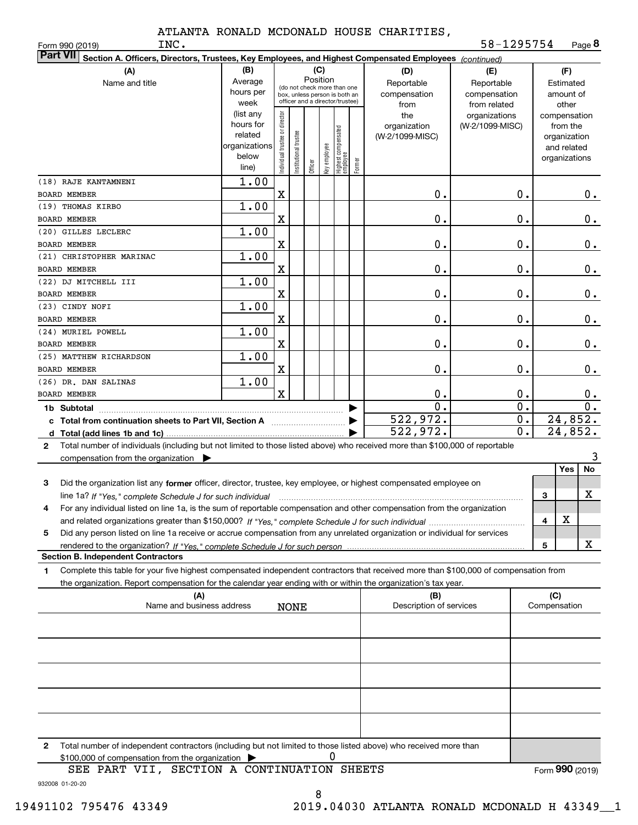**TNC.** 

**8**58-1295754

| INC.<br>Form 990 (2019)                                                                                                                              |               |                                |                        |          |              |                                                              |        |                                | 58-1295754       |   |                     | Page <b>ö</b>    |
|------------------------------------------------------------------------------------------------------------------------------------------------------|---------------|--------------------------------|------------------------|----------|--------------|--------------------------------------------------------------|--------|--------------------------------|------------------|---|---------------------|------------------|
| <b>Part VII</b><br>Section A. Officers, Directors, Trustees, Key Employees, and Highest Compensated Employees (continued)                            |               |                                |                        |          |              |                                                              |        |                                |                  |   |                     |                  |
| (A)                                                                                                                                                  | (B)           |                                |                        | (C)      |              |                                                              |        | (D)                            | (E)              |   | (F)                 |                  |
| Name and title                                                                                                                                       | Average       |                                |                        | Position |              |                                                              |        | Reportable                     | Reportable       |   | Estimated           |                  |
|                                                                                                                                                      | hours per     |                                |                        |          |              | (do not check more than one<br>box, unless person is both an |        | compensation                   | compensation     |   | amount of           |                  |
|                                                                                                                                                      | week          |                                |                        |          |              | officer and a director/trustee)                              |        | from                           | from related     |   | other               |                  |
|                                                                                                                                                      | (list any     |                                |                        |          |              |                                                              |        | the                            | organizations    |   | compensation        |                  |
|                                                                                                                                                      | hours for     |                                |                        |          |              |                                                              |        | organization                   | (W-2/1099-MISC)  |   | from the            |                  |
|                                                                                                                                                      | related       |                                |                        |          |              |                                                              |        | (W-2/1099-MISC)                |                  |   | organization        |                  |
|                                                                                                                                                      | organizations |                                |                        |          |              |                                                              |        |                                |                  |   | and related         |                  |
|                                                                                                                                                      | below         |                                |                        |          |              |                                                              |        |                                |                  |   | organizations       |                  |
|                                                                                                                                                      | line)         | Individual trustee or director | In stitutional trustee | Officer  | Key employee | Highest compensated<br> employee                             | Former |                                |                  |   |                     |                  |
|                                                                                                                                                      |               |                                |                        |          |              |                                                              |        |                                |                  |   |                     |                  |
| (18) RAJE KANTAMNENI                                                                                                                                 | 1.00          |                                |                        |          |              |                                                              |        |                                |                  |   |                     |                  |
| BOARD MEMBER                                                                                                                                         |               | X                              |                        |          |              |                                                              |        | 0.                             | 0.               |   |                     | 0.               |
| (19) THOMAS KIRBO                                                                                                                                    | 1.00          |                                |                        |          |              |                                                              |        |                                |                  |   |                     |                  |
| BOARD MEMBER                                                                                                                                         |               | $\mathbf X$                    |                        |          |              |                                                              |        | 0.                             | 0.               |   |                     | 0.               |
| (20) GILLES LECLERC                                                                                                                                  | 1.00          |                                |                        |          |              |                                                              |        |                                |                  |   |                     |                  |
| <b>BOARD MEMBER</b>                                                                                                                                  |               | $\mathbf X$                    |                        |          |              |                                                              |        | 0.                             | 0.               |   |                     | 0.               |
| (21) CHRISTOPHER MARINAC                                                                                                                             | 1.00          |                                |                        |          |              |                                                              |        |                                |                  |   |                     |                  |
|                                                                                                                                                      |               |                                |                        |          |              |                                                              |        |                                |                  |   |                     |                  |
| <b>BOARD MEMBER</b>                                                                                                                                  |               | $\mathbf X$                    |                        |          |              |                                                              |        | 0.                             | 0.               |   |                     | 0.               |
| (22) DJ MITCHELL III                                                                                                                                 | 1.00          |                                |                        |          |              |                                                              |        |                                |                  |   |                     |                  |
| BOARD MEMBER                                                                                                                                         |               | $\mathbf X$                    |                        |          |              |                                                              |        | 0.                             | 0.               |   |                     | 0.               |
| (23) CINDY NOFI                                                                                                                                      | 1.00          |                                |                        |          |              |                                                              |        |                                |                  |   |                     |                  |
| BOARD MEMBER                                                                                                                                         |               | $\mathbf X$                    |                        |          |              |                                                              |        | 0.                             | 0.               |   |                     | 0.               |
| (24) MURIEL POWELL                                                                                                                                   | 1.00          |                                |                        |          |              |                                                              |        |                                |                  |   |                     |                  |
| BOARD MEMBER                                                                                                                                         |               | $\mathbf X$                    |                        |          |              |                                                              |        | 0.                             | 0.               |   |                     | 0.               |
|                                                                                                                                                      |               |                                |                        |          |              |                                                              |        |                                |                  |   |                     |                  |
| (25) MATTHEW RICHARDSON                                                                                                                              | 1.00          |                                |                        |          |              |                                                              |        |                                |                  |   |                     |                  |
| BOARD MEMBER                                                                                                                                         |               | $\mathbf X$                    |                        |          |              |                                                              |        | 0.                             | 0.               |   |                     | 0.               |
| (26) DR. DAN SALINAS                                                                                                                                 | 1.00          |                                |                        |          |              |                                                              |        |                                |                  |   |                     |                  |
| <b>BOARD MEMBER</b>                                                                                                                                  |               | $\mathbf X$                    |                        |          |              |                                                              |        | 0.                             | 0.               |   |                     | 0.               |
|                                                                                                                                                      |               |                                |                        |          |              |                                                              |        | $\mathbf 0$ .                  | $\overline{0}$ . |   |                     | $\overline{0}$ . |
|                                                                                                                                                      |               |                                |                        |          |              |                                                              |        | 522,972.                       | 0.               |   |                     | 24,852.          |
| c Total from continuation sheets to Part VII, Section A manufactured by                                                                              |               |                                |                        |          |              |                                                              |        | 522,972.                       | 0.               |   |                     | 24,852.          |
|                                                                                                                                                      |               |                                |                        |          |              |                                                              |        |                                |                  |   |                     |                  |
| Total number of individuals (including but not limited to those listed above) who received more than \$100,000 of reportable<br>$\mathbf{2}$         |               |                                |                        |          |              |                                                              |        |                                |                  |   |                     |                  |
| compensation from the organization $\blacktriangleright$                                                                                             |               |                                |                        |          |              |                                                              |        |                                |                  |   |                     | 3                |
|                                                                                                                                                      |               |                                |                        |          |              |                                                              |        |                                |                  |   | Yes                 | No               |
| 3<br>Did the organization list any former officer, director, trustee, key employee, or highest compensated employee on                               |               |                                |                        |          |              |                                                              |        |                                |                  |   |                     |                  |
| line 1a? If "Yes," complete Schedule J for such individual manufactured contained and the line 1a? If "Yes," complete Schedule J for such individual |               |                                |                        |          |              |                                                              |        |                                |                  | 3 |                     | х                |
| For any individual listed on line 1a, is the sum of reportable compensation and other compensation from the organization<br>4                        |               |                                |                        |          |              |                                                              |        |                                |                  |   |                     |                  |
|                                                                                                                                                      |               |                                |                        |          |              |                                                              |        |                                |                  |   |                     |                  |
|                                                                                                                                                      |               |                                |                        |          |              |                                                              |        |                                |                  | 4 | X                   |                  |
| Did any person listed on line 1a receive or accrue compensation from any unrelated organization or individual for services<br>5                      |               |                                |                        |          |              |                                                              |        |                                |                  |   |                     |                  |
|                                                                                                                                                      |               |                                |                        |          |              |                                                              |        |                                |                  | 5 |                     | х                |
| <b>Section B. Independent Contractors</b>                                                                                                            |               |                                |                        |          |              |                                                              |        |                                |                  |   |                     |                  |
| Complete this table for your five highest compensated independent contractors that received more than \$100,000 of compensation from<br>1            |               |                                |                        |          |              |                                                              |        |                                |                  |   |                     |                  |
| the organization. Report compensation for the calendar year ending with or within the organization's tax year.                                       |               |                                |                        |          |              |                                                              |        |                                |                  |   |                     |                  |
|                                                                                                                                                      |               |                                |                        |          |              |                                                              |        |                                |                  |   |                     |                  |
| (A)<br>Name and business address                                                                                                                     |               |                                |                        |          |              |                                                              |        | (B)<br>Description of services |                  |   | (C)<br>Compensation |                  |
|                                                                                                                                                      |               |                                | <b>NONE</b>            |          |              |                                                              |        |                                |                  |   |                     |                  |
|                                                                                                                                                      |               |                                |                        |          |              |                                                              |        |                                |                  |   |                     |                  |
|                                                                                                                                                      |               |                                |                        |          |              |                                                              |        |                                |                  |   |                     |                  |
|                                                                                                                                                      |               |                                |                        |          |              |                                                              |        |                                |                  |   |                     |                  |
|                                                                                                                                                      |               |                                |                        |          |              |                                                              |        |                                |                  |   |                     |                  |
|                                                                                                                                                      |               |                                |                        |          |              |                                                              |        |                                |                  |   |                     |                  |
|                                                                                                                                                      |               |                                |                        |          |              |                                                              |        |                                |                  |   |                     |                  |
|                                                                                                                                                      |               |                                |                        |          |              |                                                              |        |                                |                  |   |                     |                  |
|                                                                                                                                                      |               |                                |                        |          |              |                                                              |        |                                |                  |   |                     |                  |
|                                                                                                                                                      |               |                                |                        |          |              |                                                              |        |                                |                  |   |                     |                  |
|                                                                                                                                                      |               |                                |                        |          |              |                                                              |        |                                |                  |   |                     |                  |
|                                                                                                                                                      |               |                                |                        |          |              |                                                              |        |                                |                  |   |                     |                  |
| Total number of independent contractors (including but not limited to those listed above) who received more than<br>2                                |               |                                |                        |          |              |                                                              |        |                                |                  |   |                     |                  |
| \$100,000 of compensation from the organization                                                                                                      |               |                                |                        |          | 0            |                                                              |        |                                |                  |   |                     |                  |

932008 01-20-20 SEE PART VII, SECTION A CONTINUATION SHEETS Form (2019) **990**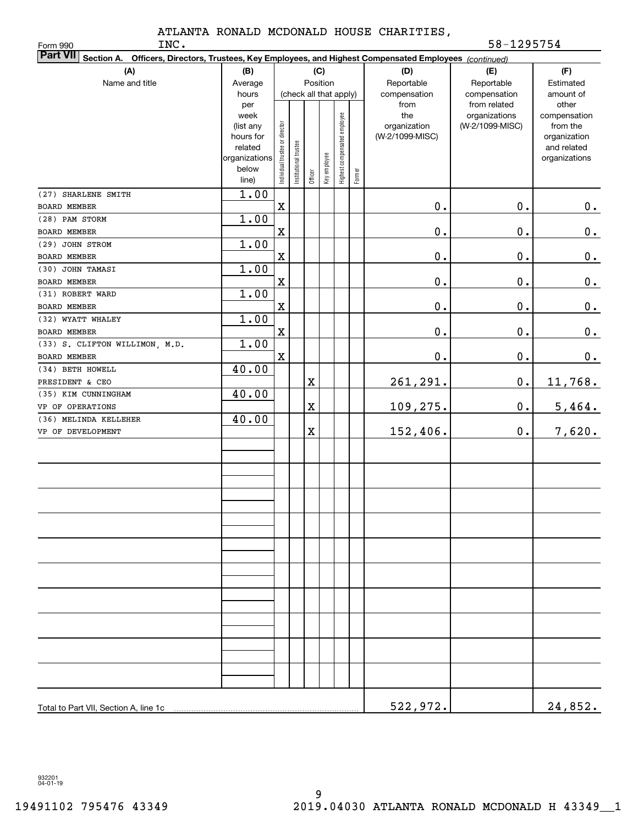Form 990

| Part VII Section A. Officers, Directors, Trustees, Key Employees, and Highest Compensated Employees (continued) |                |                                |                        |         |              |                              |        |                 |                                  |                          |
|-----------------------------------------------------------------------------------------------------------------|----------------|--------------------------------|------------------------|---------|--------------|------------------------------|--------|-----------------|----------------------------------|--------------------------|
| (A)                                                                                                             | (B)            |                                |                        |         | (C)          |                              |        | (D)             | (E)                              | (F)                      |
| Name and title                                                                                                  | Average        |                                |                        |         | Position     |                              |        | Reportable      | Reportable                       | Estimated                |
|                                                                                                                 | hours          |                                | (check all that apply) |         |              |                              |        | compensation    | compensation                     | amount of                |
|                                                                                                                 | per<br>week    |                                |                        |         |              |                              |        | from<br>the     | from related                     | other                    |
|                                                                                                                 | (list any      |                                |                        |         |              |                              |        | organization    | organizations<br>(W-2/1099-MISC) | compensation<br>from the |
|                                                                                                                 | hours for      |                                |                        |         |              |                              |        | (W-2/1099-MISC) |                                  | organization             |
|                                                                                                                 | related        |                                |                        |         |              |                              |        |                 |                                  | and related              |
|                                                                                                                 | organizations  |                                |                        |         |              |                              |        |                 |                                  | organizations            |
|                                                                                                                 | below<br>line) | Individual trustee or director | Institutional trustee  | Officer | Key employee | Highest compensated employee | Former |                 |                                  |                          |
| (27) SHARLENE SMITH                                                                                             | 1.00           |                                |                        |         |              |                              |        |                 |                                  |                          |
| BOARD MEMBER                                                                                                    |                | $\mathbf X$                    |                        |         |              |                              |        | 0.              | $0$ .                            | $\pmb{0}$ .              |
| (28) PAM STORM                                                                                                  | 1.00           |                                |                        |         |              |                              |        |                 |                                  |                          |
| BOARD MEMBER                                                                                                    |                | $\mathbf x$                    |                        |         |              |                              |        | $0$ .           | $0$ .                            | 0.                       |
| (29) JOHN STROM                                                                                                 | 1.00           |                                |                        |         |              |                              |        |                 |                                  |                          |
| <b>BOARD MEMBER</b>                                                                                             |                | $\mathbf X$                    |                        |         |              |                              |        | $0$ .           | $\mathbf 0$ .                    | 0.                       |
| (30) JOHN TAMASI                                                                                                | 1.00           |                                |                        |         |              |                              |        |                 |                                  |                          |
| BOARD MEMBER                                                                                                    |                | $\mathbf X$                    |                        |         |              |                              |        | $0$ .           | $0$ .                            | 0.                       |
| (31) ROBERT WARD                                                                                                | 1.00           |                                |                        |         |              |                              |        |                 |                                  |                          |
| BOARD MEMBER                                                                                                    |                | $\mathbf X$                    |                        |         |              |                              |        | $0$ .           | 0.                               | 0.                       |
| (32) WYATT WHALEY                                                                                               | 1.00           |                                |                        |         |              |                              |        |                 |                                  |                          |
| BOARD MEMBER                                                                                                    |                | $\mathbf X$                    |                        |         |              |                              |        | $0$ .           | 0.                               | 0.                       |
| (33) S. CLIFTON WILLIMON, M.D.                                                                                  | 1.00           |                                |                        |         |              |                              |        |                 |                                  |                          |
| BOARD MEMBER                                                                                                    |                | $\mathbf X$                    |                        |         |              |                              |        | $0$ .           | $0$ .                            | $\pmb{0}$ .              |
| (34) BETH HOWELL                                                                                                | 40.00          |                                |                        |         |              |                              |        |                 |                                  |                          |
| PRESIDENT & CEO                                                                                                 |                |                                |                        | X       |              |                              |        | 261,291.        | $\mathbf 0$ .                    | 11,768.                  |
| (35) KIM CUNNINGHAM                                                                                             | 40.00          |                                |                        |         |              |                              |        |                 |                                  |                          |
| VP OF OPERATIONS                                                                                                |                |                                |                        | X       |              |                              |        | 109,275.        | $\mathbf 0$ .                    | 5,464.                   |
| (36) MELINDA KELLEHER<br>VP OF DEVELOPMENT                                                                      | 40.00          |                                |                        |         |              |                              |        |                 |                                  |                          |
|                                                                                                                 |                |                                |                        | X       |              |                              |        | 152,406.        | $\mathbf 0$ .                    | 7,620.                   |
|                                                                                                                 |                |                                |                        |         |              |                              |        |                 |                                  |                          |
|                                                                                                                 |                |                                |                        |         |              |                              |        |                 |                                  |                          |
|                                                                                                                 |                |                                |                        |         |              |                              |        |                 |                                  |                          |
|                                                                                                                 |                |                                |                        |         |              |                              |        |                 |                                  |                          |
|                                                                                                                 |                |                                |                        |         |              |                              |        |                 |                                  |                          |
|                                                                                                                 |                |                                |                        |         |              |                              |        |                 |                                  |                          |
|                                                                                                                 |                |                                |                        |         |              |                              |        |                 |                                  |                          |
|                                                                                                                 |                |                                |                        |         |              |                              |        |                 |                                  |                          |
|                                                                                                                 |                |                                |                        |         |              |                              |        |                 |                                  |                          |
|                                                                                                                 |                |                                |                        |         |              |                              |        |                 |                                  |                          |
|                                                                                                                 |                |                                |                        |         |              |                              |        |                 |                                  |                          |
|                                                                                                                 |                |                                |                        |         |              |                              |        |                 |                                  |                          |
|                                                                                                                 |                |                                |                        |         |              |                              |        |                 |                                  |                          |
|                                                                                                                 |                |                                |                        |         |              |                              |        |                 |                                  |                          |
|                                                                                                                 |                |                                |                        |         |              |                              |        |                 |                                  |                          |
|                                                                                                                 |                |                                |                        |         |              |                              |        |                 |                                  |                          |
|                                                                                                                 |                |                                |                        |         |              |                              |        |                 |                                  |                          |
|                                                                                                                 |                |                                |                        |         |              |                              |        |                 |                                  |                          |
|                                                                                                                 |                |                                |                        |         |              |                              |        |                 |                                  |                          |
|                                                                                                                 |                |                                |                        |         |              |                              |        |                 |                                  |                          |
| Total to Part VII, Section A, line 1c                                                                           |                |                                |                        |         |              |                              |        | 522,972.        |                                  | 24,852.                  |

932201 04-01-19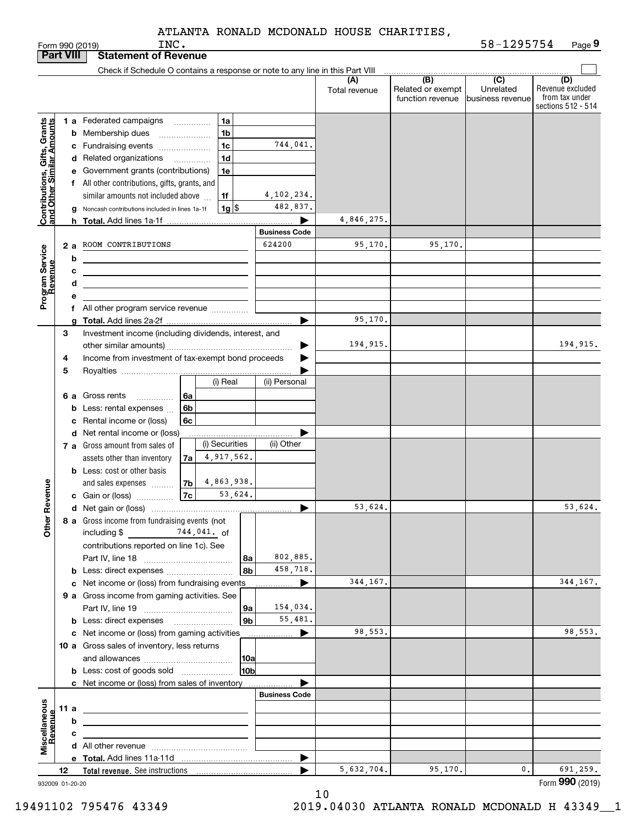|                                                                   |     |    | INC.<br>Form 990 (2019)                                                                                                |                      |                      |                                       | 58-1295754                  | Page 9                  |
|-------------------------------------------------------------------|-----|----|------------------------------------------------------------------------------------------------------------------------|----------------------|----------------------|---------------------------------------|-----------------------------|-------------------------|
| <b>Part VIII</b>                                                  |     |    | <b>Statement of Revenue</b>                                                                                            |                      |                      |                                       |                             |                         |
|                                                                   |     |    | Check if Schedule O contains a response or note to any line in this Part VIII                                          |                      |                      |                                       |                             |                         |
|                                                                   |     |    |                                                                                                                        |                      | (A)<br>Total revenue | $\overline{(B)}$<br>Related or exempt | $\overline{C}$<br>Unrelated | (D)<br>Revenue excluded |
|                                                                   |     |    |                                                                                                                        |                      |                      | function revenue                      | business revenue            | from tax under          |
|                                                                   |     |    |                                                                                                                        |                      |                      |                                       |                             | sections 512 - 514      |
|                                                                   |     |    | 1 a Federated campaigns<br>1a                                                                                          |                      |                      |                                       |                             |                         |
| Contributions, Gifts, Grants<br><u>land Other Similar Amounts</u> |     |    | 1 <sub>b</sub><br><b>b</b> Membership dues<br>$\overline{\phantom{a}}$                                                 |                      |                      |                                       |                             |                         |
|                                                                   |     |    | 1 <sub>c</sub><br>c Fundraising events <i></i>                                                                         | 744,041.             |                      |                                       |                             |                         |
|                                                                   |     |    | 1d<br>d Related organizations<br>.                                                                                     |                      |                      |                                       |                             |                         |
|                                                                   |     |    | e Government grants (contributions)<br>1e                                                                              |                      |                      |                                       |                             |                         |
|                                                                   |     |    | f All other contributions, gifts, grants, and                                                                          |                      |                      |                                       |                             |                         |
|                                                                   |     |    | similar amounts not included above<br>1f                                                                               | 4, 102, 234.         |                      |                                       |                             |                         |
|                                                                   |     |    | $1g$ $\frac{1}{3}$<br>g Noncash contributions included in lines 1a-1f                                                  | 482,837.             |                      |                                       |                             |                         |
|                                                                   |     |    | <b>h</b> Total. Add lines 1a-1f                                                                                        |                      | 4,846,275.           |                                       |                             |                         |
|                                                                   |     |    |                                                                                                                        | <b>Business Code</b> |                      |                                       |                             |                         |
|                                                                   |     | 2a | ROOM CONTRIBUTIONS                                                                                                     | 624200               | 95,170.              | 95,170.                               |                             |                         |
| Program Service<br>Revenue                                        |     | b  | <u> 1980 - Johann Barbara, martxa alemaniar a</u>                                                                      |                      |                      |                                       |                             |                         |
|                                                                   |     | c  |                                                                                                                        |                      |                      |                                       |                             |                         |
|                                                                   |     | d  | <u> 1989 - Johann Barn, mars ann an t-Amhain ann an t-Amhain an t-Amhain an t-Amhain an t-Amhain an t-Amhain an t-</u> |                      |                      |                                       |                             |                         |
|                                                                   |     | е  |                                                                                                                        |                      |                      |                                       |                             |                         |
|                                                                   |     |    |                                                                                                                        |                      |                      |                                       |                             |                         |
|                                                                   |     | a  |                                                                                                                        |                      | 95,170.              |                                       |                             |                         |
|                                                                   | 3   |    | Investment income (including dividends, interest, and                                                                  |                      |                      |                                       |                             |                         |
|                                                                   |     |    |                                                                                                                        |                      | 194,915.             |                                       |                             | 194,915.                |
|                                                                   | 4   |    | Income from investment of tax-exempt bond proceeds                                                                     |                      |                      |                                       |                             |                         |
|                                                                   | 5   |    |                                                                                                                        |                      |                      |                                       |                             |                         |
|                                                                   |     |    | (i) Real                                                                                                               | (ii) Personal        |                      |                                       |                             |                         |
|                                                                   |     | 6а | Gross rents<br>6a                                                                                                      |                      |                      |                                       |                             |                         |
|                                                                   |     |    | <b>b</b> Less: rental expenses $\ldots$<br>6b                                                                          |                      |                      |                                       |                             |                         |
|                                                                   |     | c  | Rental income or (loss)<br>6c                                                                                          |                      |                      |                                       |                             |                         |
|                                                                   |     |    | d Net rental income or (loss)                                                                                          |                      |                      |                                       |                             |                         |
|                                                                   |     |    | (i) Securities<br>7 a Gross amount from sales of                                                                       | (ii) Other           |                      |                                       |                             |                         |
|                                                                   |     |    | 4,917,562.<br>assets other than inventory<br>7a                                                                        |                      |                      |                                       |                             |                         |
|                                                                   |     |    | <b>b</b> Less: cost or other basis                                                                                     |                      |                      |                                       |                             |                         |
|                                                                   |     |    | 4,863,938.<br>7b<br>and sales expenses                                                                                 |                      |                      |                                       |                             |                         |
| evenue                                                            |     |    | 53,624.<br>7c<br>c Gain or (loss)                                                                                      |                      |                      |                                       |                             |                         |
|                                                                   |     |    |                                                                                                                        |                      | 53,624.              |                                       |                             | 53,624.                 |
| Other R                                                           |     |    | 8 a Gross income from fundraising events (not                                                                          |                      |                      |                                       |                             |                         |
|                                                                   |     |    | including \$ 744, 041. of                                                                                              |                      |                      |                                       |                             |                         |
|                                                                   |     |    | contributions reported on line 1c). See                                                                                |                      |                      |                                       |                             |                         |
|                                                                   |     |    | 8a                                                                                                                     | 802,885.             |                      |                                       |                             |                         |
|                                                                   |     |    | 8b                                                                                                                     | 458,718.             |                      |                                       |                             |                         |
|                                                                   |     |    | c Net income or (loss) from fundraising events                                                                         | ▶                    | 344.167.             |                                       |                             | 344, 167.               |
|                                                                   |     |    | 9 a Gross income from gaming activities. See                                                                           |                      |                      |                                       |                             |                         |
|                                                                   |     |    | 9a                                                                                                                     | 154,034.             |                      |                                       |                             |                         |
|                                                                   |     |    | 9 <sub>b</sub><br><b>b</b> Less: direct expenses <b>contained b</b> Less: direct expenses                              | 55,481.              |                      |                                       |                             |                         |
|                                                                   |     |    | c Net income or (loss) from gaming activities                                                                          | ▶                    | 98,553.              |                                       |                             | 98,553.                 |
|                                                                   |     |    | 10 a Gross sales of inventory, less returns                                                                            |                      |                      |                                       |                             |                         |
|                                                                   |     |    | 10a                                                                                                                    |                      |                      |                                       |                             |                         |
|                                                                   |     |    | 10bl                                                                                                                   |                      |                      |                                       |                             |                         |
|                                                                   |     |    | c Net income or (loss) from sales of inventory                                                                         |                      |                      |                                       |                             |                         |
|                                                                   |     |    |                                                                                                                        | <b>Business Code</b> |                      |                                       |                             |                         |
| Miscellaneous<br>Revenue                                          | 11a |    | <u> 1989 - Johann Barbara, martin amerikan basar dan berasal dalam basa dalam basar dalam basar dalam basa dalam</u>   |                      |                      |                                       |                             |                         |
|                                                                   |     | b  |                                                                                                                        |                      |                      |                                       |                             |                         |
|                                                                   |     | c  |                                                                                                                        |                      |                      |                                       |                             |                         |
|                                                                   |     |    |                                                                                                                        |                      |                      |                                       |                             |                         |
|                                                                   |     |    |                                                                                                                        | ▶                    |                      |                                       |                             |                         |
|                                                                   | 12  |    |                                                                                                                        | ь                    | 5,632,704.           | 95,170.                               | $\mathbf{0}$ .              | 691,259.                |
| 932009 01-20-20                                                   |     |    |                                                                                                                        |                      |                      |                                       |                             | Form 990 (2019)         |

932009 01-20-20

10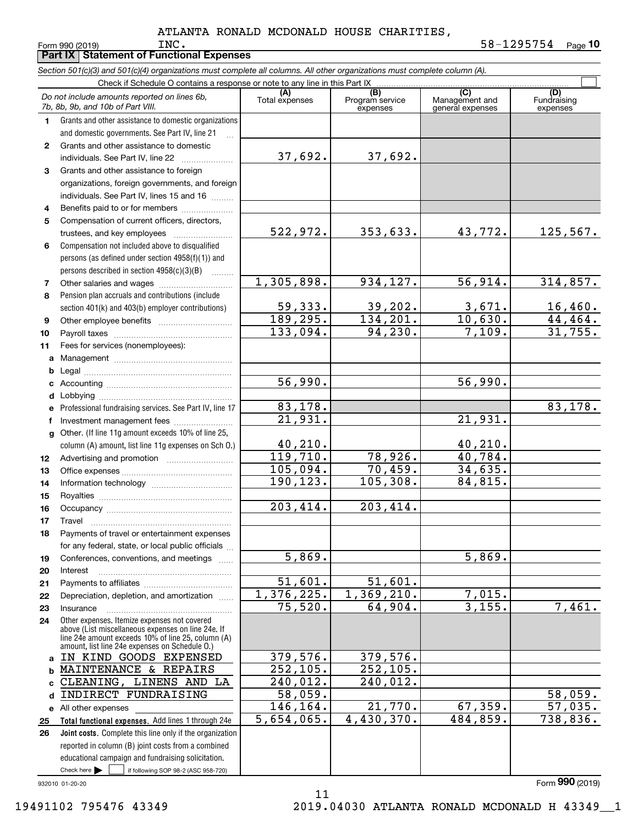**Part IX Statement of Functional Expenses**

|              | Section 501(c)(3) and 501(c)(4) organizations must complete all columns. All other organizations must complete column (A).                                                                                 |                        |                                    |                                           |                                |
|--------------|------------------------------------------------------------------------------------------------------------------------------------------------------------------------------------------------------------|------------------------|------------------------------------|-------------------------------------------|--------------------------------|
|              | Check if Schedule O contains a response or note to any line in this Part IX                                                                                                                                |                        |                                    |                                           |                                |
|              | Do not include amounts reported on lines 6b,<br>7b, 8b, 9b, and 10b of Part VIII.                                                                                                                          | (A)<br>Total expenses  | (B)<br>Program service<br>expenses | (C)<br>Management and<br>general expenses | (D)<br>Fundraising<br>expenses |
| 1.           | Grants and other assistance to domestic organizations                                                                                                                                                      |                        |                                    |                                           |                                |
|              | and domestic governments. See Part IV, line 21                                                                                                                                                             |                        |                                    |                                           |                                |
| $\mathbf{2}$ | Grants and other assistance to domestic                                                                                                                                                                    |                        |                                    |                                           |                                |
|              | individuals. See Part IV, line 22                                                                                                                                                                          | 37,692.                | 37,692.                            |                                           |                                |
| 3            | Grants and other assistance to foreign                                                                                                                                                                     |                        |                                    |                                           |                                |
|              | organizations, foreign governments, and foreign                                                                                                                                                            |                        |                                    |                                           |                                |
|              | individuals. See Part IV, lines 15 and 16                                                                                                                                                                  |                        |                                    |                                           |                                |
| 4            | Benefits paid to or for members                                                                                                                                                                            |                        |                                    |                                           |                                |
| 5            | Compensation of current officers, directors,                                                                                                                                                               |                        |                                    |                                           |                                |
|              | trustees, and key employees                                                                                                                                                                                | 522,972.               | 353,633.                           | 43,772.                                   | <u>125,567.</u>                |
| 6            | Compensation not included above to disqualified                                                                                                                                                            |                        |                                    |                                           |                                |
|              | persons (as defined under section 4958(f)(1)) and                                                                                                                                                          |                        |                                    |                                           |                                |
|              | persons described in section $4958(c)(3)(B)$                                                                                                                                                               |                        |                                    |                                           |                                |
| 7            |                                                                                                                                                                                                            | 1,305,898.             | 934,127.                           | 56,914.                                   | 314,857.                       |
| 8            | Pension plan accruals and contributions (include                                                                                                                                                           |                        |                                    |                                           |                                |
|              | section 401(k) and 403(b) employer contributions)                                                                                                                                                          | 59,333.                | <u>39,202.</u>                     | $\frac{3,671}{10,630}$ .                  | $16,460$ .                     |
| 9            |                                                                                                                                                                                                            | 189, 295.              | 134, 201.                          |                                           | 44, 464.                       |
| 10           |                                                                                                                                                                                                            | 133,094.               | 94, 230.                           | 7,109.                                    | 31,755.                        |
| 11           | Fees for services (nonemployees):                                                                                                                                                                          |                        |                                    |                                           |                                |
| a            |                                                                                                                                                                                                            |                        |                                    |                                           |                                |
| b            |                                                                                                                                                                                                            |                        |                                    |                                           |                                |
| c            |                                                                                                                                                                                                            | $\overline{56}$ , 990. |                                    | 56,990.                                   |                                |
| d            |                                                                                                                                                                                                            |                        |                                    |                                           |                                |
| е            | Professional fundraising services. See Part IV, line 17                                                                                                                                                    | 83,178.                |                                    |                                           | 83,178.                        |
| f            | Investment management fees                                                                                                                                                                                 | 21,931.                |                                    | 21,931.                                   |                                |
| g            | Other. (If line 11g amount exceeds 10% of line 25,                                                                                                                                                         |                        |                                    |                                           |                                |
|              | column (A) amount, list line 11g expenses on Sch O.)                                                                                                                                                       | 40, 210.               |                                    | 40, 210.                                  |                                |
| 12           |                                                                                                                                                                                                            | 119,710.               | 78,926.                            | 40,784.                                   |                                |
| 13           |                                                                                                                                                                                                            | 105,094.               | 70,459.                            | 34,635.                                   |                                |
| 14           |                                                                                                                                                                                                            | 190,123.               | 105,308.                           | 84,815.                                   |                                |
| 15           |                                                                                                                                                                                                            |                        |                                    |                                           |                                |
| 16           |                                                                                                                                                                                                            | 203,414.               | 203,414.                           |                                           |                                |
| 17           |                                                                                                                                                                                                            |                        |                                    |                                           |                                |
| 18           | Payments of travel or entertainment expenses                                                                                                                                                               |                        |                                    |                                           |                                |
|              | for any federal, state, or local public officials                                                                                                                                                          |                        |                                    |                                           |                                |
| 19           | Conferences, conventions, and meetings                                                                                                                                                                     | 5,869.                 |                                    | 5,869.                                    |                                |
| 20           | Interest                                                                                                                                                                                                   |                        |                                    |                                           |                                |
| 21           |                                                                                                                                                                                                            | 51,601.                | 51,601.<br>1,369,210.              |                                           |                                |
| 22           | Depreciation, depletion, and amortization                                                                                                                                                                  | 1,376,225.<br>75,520.  | 64,904.                            | 7,015.<br>3,155.                          | 7,461.                         |
| 23           | Insurance                                                                                                                                                                                                  |                        |                                    |                                           |                                |
| 24           | Other expenses. Itemize expenses not covered<br>above (List miscellaneous expenses on line 24e. If<br>line 24e amount exceeds 10% of line 25, column (A)<br>amount, list line 24e expenses on Schedule O.) |                        |                                    |                                           |                                |
| a            | IN KIND GOODS EXPENSED                                                                                                                                                                                     | 379,576.               | 379,576.                           |                                           |                                |
| b            | MAINTENANCE & REPAIRS                                                                                                                                                                                      | 252, 105.              | 252,105.                           |                                           |                                |
| C.           | CLEANING,<br>LINENS AND LA                                                                                                                                                                                 | 240,012.               | 240,012.                           |                                           |                                |
| d            | INDIRECT FUNDRAISING                                                                                                                                                                                       | 58,059.                |                                    |                                           | 58,059.                        |
|              | e All other expenses                                                                                                                                                                                       | 146,164.               | 21,770.                            | 67,359.                                   | 57,035.                        |
| 25           | Total functional expenses. Add lines 1 through 24e                                                                                                                                                         | 5,654,065.             | 4,430,370.                         | 484,859.                                  | 738,836.                       |
| 26           | Joint costs. Complete this line only if the organization                                                                                                                                                   |                        |                                    |                                           |                                |
|              | reported in column (B) joint costs from a combined                                                                                                                                                         |                        |                                    |                                           |                                |
|              | educational campaign and fundraising solicitation.                                                                                                                                                         |                        |                                    |                                           |                                |

11

932010 01-20-20

 $Check here$ 

Check here  $\bullet$  if following SOP 98-2 (ASC 958-720)

Form (2019) **990**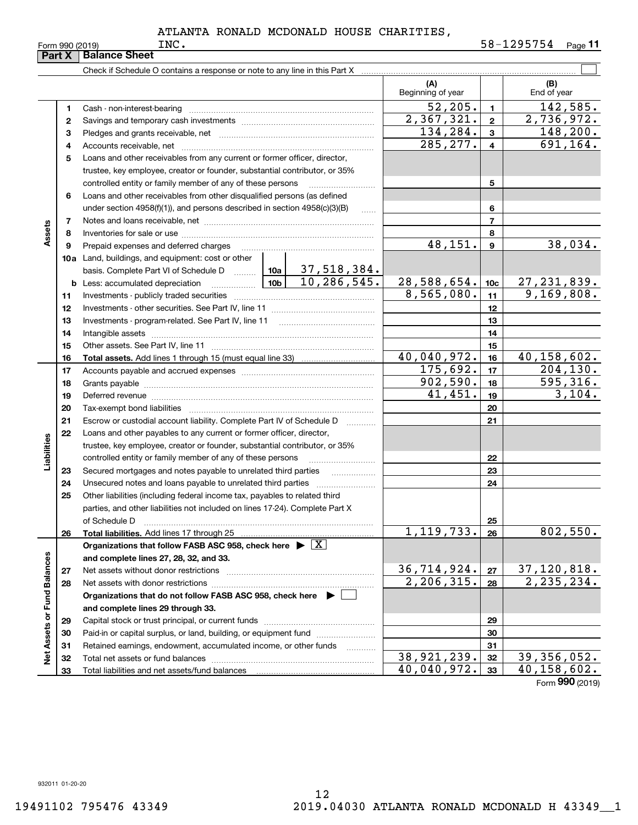Form 990 (2019) Page **11** INC. 58-1295754

|                             | Part X | <b>Balance Sheet</b>                                                                                                                                                                                                           |            |          |                          |              |                            |
|-----------------------------|--------|--------------------------------------------------------------------------------------------------------------------------------------------------------------------------------------------------------------------------------|------------|----------|--------------------------|--------------|----------------------------|
|                             |        | Check if Schedule O contains a response or note to any line in this Part X                                                                                                                                                     |            |          |                          |              |                            |
|                             |        |                                                                                                                                                                                                                                |            |          | (A)<br>Beginning of year |              | (B)<br>End of year         |
|                             | 1.     |                                                                                                                                                                                                                                |            |          | 52, 205.                 | $\mathbf{1}$ | 142,585.                   |
|                             | 2      |                                                                                                                                                                                                                                |            |          | 2,367,321.               | $\mathbf{2}$ | $\overline{2}$ , 736, 972. |
|                             | з      |                                                                                                                                                                                                                                | 134,284.   | 3        | 148,200.                 |              |                            |
|                             | 4      |                                                                                                                                                                                                                                | 285,277.   | 4        | 691,164.                 |              |                            |
|                             | 5      | Loans and other receivables from any current or former officer, director,                                                                                                                                                      |            |          |                          |              |                            |
|                             |        | trustee, key employee, creator or founder, substantial contributor, or 35%                                                                                                                                                     |            |          |                          |              |                            |
|                             |        | controlled entity or family member of any of these persons                                                                                                                                                                     |            |          |                          | 5            |                            |
|                             | 6      | Loans and other receivables from other disqualified persons (as defined                                                                                                                                                        |            |          |                          |              |                            |
|                             |        | under section $4958(f)(1)$ , and persons described in section $4958(c)(3)(B)$                                                                                                                                                  |            | $\ldots$ |                          | 6            |                            |
|                             | 7      |                                                                                                                                                                                                                                |            |          |                          | 7            |                            |
| Assets                      | 8      |                                                                                                                                                                                                                                |            |          |                          | 8            |                            |
|                             | 9      | Prepaid expenses and deferred charges                                                                                                                                                                                          |            |          | 48,151.                  | 9            | 38,034.                    |
|                             |        | <b>10a</b> Land, buildings, and equipment: cost or other                                                                                                                                                                       |            |          |                          |              |                            |
|                             |        | basis. Complete Part VI of Schedule D $\frac{10a}{37,518,384.$                                                                                                                                                                 |            |          |                          |              |                            |
|                             |        | <b>b</b> Less: accumulated depreciation $\frac{10b}{10b}$ 10, 286, 545.                                                                                                                                                        |            |          | 28,588,654.              | 10c          | 27, 231, 839.              |
|                             | 11     |                                                                                                                                                                                                                                | 8,565,080. | 11       | $\overline{9,169},808.$  |              |                            |
|                             | 12     |                                                                                                                                                                                                                                |            | 12       |                          |              |                            |
|                             | 13     |                                                                                                                                                                                                                                |            | 13       |                          |              |                            |
|                             | 14     |                                                                                                                                                                                                                                |            | 14       |                          |              |                            |
|                             | 15     |                                                                                                                                                                                                                                |            | 15       |                          |              |                            |
|                             | 16     |                                                                                                                                                                                                                                |            |          | 40,040,972.              | 16           | 40,158,602.                |
|                             | 17     |                                                                                                                                                                                                                                | 175,692.   | 17       | $\overline{204}$ , 130.  |              |                            |
|                             | 18     |                                                                                                                                                                                                                                |            |          | 902,590.                 | 18           | 595, 316.                  |
|                             | 19     | Deferred revenue manual contracts and contracts are contracted and contract and contract are contracted and contract are contracted and contract are contracted and contract are contracted and contract are contracted and co |            |          | 41, 451.                 | 19           | 3,104.                     |
|                             | 20     |                                                                                                                                                                                                                                |            |          |                          | 20           |                            |
|                             | 21     | Escrow or custodial account liability. Complete Part IV of Schedule D                                                                                                                                                          |            |          |                          | 21           |                            |
|                             | 22     | Loans and other payables to any current or former officer, director,                                                                                                                                                           |            |          |                          |              |                            |
| Liabilities                 |        | trustee, key employee, creator or founder, substantial contributor, or 35%                                                                                                                                                     |            |          |                          |              |                            |
|                             |        | controlled entity or family member of any of these persons                                                                                                                                                                     |            |          |                          | 22           |                            |
|                             | 23     | Secured mortgages and notes payable to unrelated third parties                                                                                                                                                                 |            |          |                          | 23           |                            |
|                             | 24     |                                                                                                                                                                                                                                |            |          |                          | 24           |                            |
|                             | 25     | Other liabilities (including federal income tax, payables to related third                                                                                                                                                     |            |          |                          |              |                            |
|                             |        | parties, and other liabilities not included on lines 17-24). Complete Part X                                                                                                                                                   |            |          |                          |              |                            |
|                             |        | of Schedule D                                                                                                                                                                                                                  |            |          | 1, 119, 733.             | 25<br>26     | 802,550.                   |
|                             | 26     | Total liabilities. Add lines 17 through 25<br>Organizations that follow FASB ASC 958, check here $\blacktriangleright \boxed{X}$                                                                                               |            |          |                          |              |                            |
|                             |        | and complete lines 27, 28, 32, and 33.                                                                                                                                                                                         |            |          |                          |              |                            |
|                             | 27     |                                                                                                                                                                                                                                |            |          | <u>36,714,924.</u>       | 27           | 37, 120, 818.              |
|                             | 28     |                                                                                                                                                                                                                                |            |          | 2, 206, 315.             | 28           | $\overline{2,235},234.$    |
|                             |        | Organizations that do not follow FASB ASC 958, check here $\blacktriangleright$                                                                                                                                                |            |          |                          |              |                            |
|                             |        | and complete lines 29 through 33.                                                                                                                                                                                              |            |          |                          |              |                            |
|                             | 29     |                                                                                                                                                                                                                                |            |          |                          | 29           |                            |
|                             | 30     | Paid-in or capital surplus, or land, building, or equipment fund                                                                                                                                                               |            |          |                          | 30           |                            |
|                             | 31     | Retained earnings, endowment, accumulated income, or other funds                                                                                                                                                               |            | .        |                          | 31           |                            |
| Net Assets or Fund Balances | 32     | Total net assets or fund balances                                                                                                                                                                                              |            |          | 38,921,239.              | 32           | 39,356,052.                |
|                             | 33     |                                                                                                                                                                                                                                |            |          | 40,040,972.              | 33           | $\overline{40,158,602}$ .  |
|                             |        |                                                                                                                                                                                                                                |            |          |                          |              | Form 990 (2019)            |

932011 01-20-20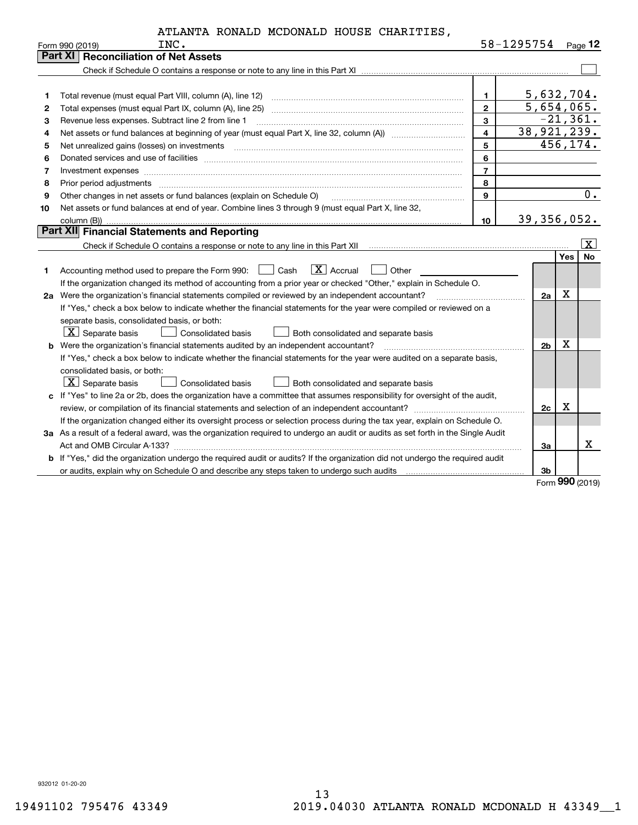| ATLANTA RONALD MCDONALD HOUSE CHARITIES, |  |
|------------------------------------------|--|
|------------------------------------------|--|

|    | ATLANTA RONALD MCDONALD HOUSE CHARITIES,                                                                                                                                                                                       |                         |                          |            |             |
|----|--------------------------------------------------------------------------------------------------------------------------------------------------------------------------------------------------------------------------------|-------------------------|--------------------------|------------|-------------|
|    | INC.<br>Form 990 (2019)                                                                                                                                                                                                        |                         | 58-1295754 Page 12       |            |             |
|    | <b>Part XI   Reconciliation of Net Assets</b>                                                                                                                                                                                  |                         |                          |            |             |
|    |                                                                                                                                                                                                                                |                         |                          |            |             |
|    |                                                                                                                                                                                                                                |                         |                          |            |             |
| 1  | Total revenue (must equal Part VIII, column (A), line 12)                                                                                                                                                                      | $\mathbf{1}$            | 5,632,704.               |            |             |
| 2  |                                                                                                                                                                                                                                | $\overline{2}$          | $\overline{5,654,065}$ . |            |             |
| 3  | Revenue less expenses. Subtract line 2 from line 1                                                                                                                                                                             | 3                       |                          |            | $-21,361.$  |
| 4  |                                                                                                                                                                                                                                | $\overline{\mathbf{4}}$ | 38,921,239.              |            |             |
| 5  | Net unrealized gains (losses) on investments [11] matter contracts and the state of the state of the state of the state of the state of the state of the state of the state of the state of the state of the state of the stat | 5                       |                          |            | 456,174.    |
| 6  |                                                                                                                                                                                                                                | 6                       |                          |            |             |
| 7  | Investment expenses                                                                                                                                                                                                            | $\overline{7}$          |                          |            |             |
| 8  | Prior period adjustments www.communication.communication.com/news/communication.com/news/communication.com/news/                                                                                                               | 8                       |                          |            |             |
| 9  | Other changes in net assets or fund balances (explain on Schedule O)                                                                                                                                                           | $\mathbf{g}$            |                          |            | 0.          |
| 10 | Net assets or fund balances at end of year. Combine lines 3 through 9 (must equal Part X, line 32,                                                                                                                             |                         |                          |            |             |
|    |                                                                                                                                                                                                                                | 10                      | 39, 356, 052.            |            |             |
|    | Part XII Financial Statements and Reporting                                                                                                                                                                                    |                         |                          |            |             |
|    |                                                                                                                                                                                                                                |                         |                          |            | X           |
|    |                                                                                                                                                                                                                                |                         |                          | <b>Yes</b> | <b>No</b>   |
| 1. | $\boxed{\mathbf{X}}$ Accrual<br>Accounting method used to prepare the Form 990: <u>I</u> Cash<br>Other                                                                                                                         |                         |                          |            |             |
|    | If the organization changed its method of accounting from a prior year or checked "Other," explain in Schedule O.                                                                                                              |                         |                          |            |             |
|    | 2a Were the organization's financial statements compiled or reviewed by an independent accountant?                                                                                                                             |                         | 2a                       | x          |             |
|    | If "Yes," check a box below to indicate whether the financial statements for the year were compiled or reviewed on a                                                                                                           |                         |                          |            |             |
|    | separate basis, consolidated basis, or both:                                                                                                                                                                                   |                         |                          |            |             |
|    | $ \mathbf{X} $ Separate basis<br>Consolidated basis<br>Both consolidated and separate basis                                                                                                                                    |                         |                          |            |             |
|    | b Were the organization's financial statements audited by an independent accountant?                                                                                                                                           |                         | 2 <sub>b</sub>           | X          |             |
|    | If "Yes," check a box below to indicate whether the financial statements for the year were audited on a separate basis,                                                                                                        |                         |                          |            |             |
|    | consolidated basis, or both:                                                                                                                                                                                                   |                         |                          |            |             |
|    | $X$ Separate basis<br>Consolidated basis<br>Both consolidated and separate basis                                                                                                                                               |                         |                          |            |             |
|    | c If "Yes" to line 2a or 2b, does the organization have a committee that assumes responsibility for oversight of the audit,                                                                                                    |                         |                          | Х          |             |
|    |                                                                                                                                                                                                                                |                         | 2c                       |            |             |
|    | If the organization changed either its oversight process or selection process during the tax year, explain on Schedule O.                                                                                                      |                         |                          |            |             |
|    | 3a As a result of a federal award, was the organization required to undergo an audit or audits as set forth in the Single Audit                                                                                                |                         |                          |            | $\mathbf X$ |
|    | b If "Yes," did the organization undergo the required audit or audits? If the organization did not undergo the required audit                                                                                                  |                         | За                       |            |             |
|    |                                                                                                                                                                                                                                |                         | 3 <sub>b</sub>           |            |             |
|    |                                                                                                                                                                                                                                |                         |                          |            |             |

Form (2019) **990**

932012 01-20-20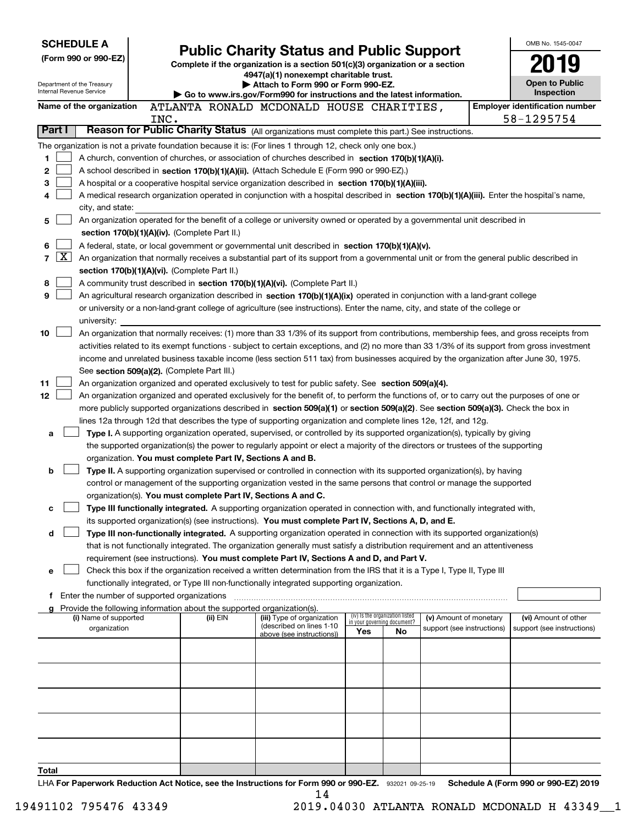|                                                        |                 | <b>SCHEDULE A</b>                           |      |                                                                        |                                                                                                                                                                                                                                                    |     |                                                                |                            |  | OMB No. 1545-0047                     |
|--------------------------------------------------------|-----------------|---------------------------------------------|------|------------------------------------------------------------------------|----------------------------------------------------------------------------------------------------------------------------------------------------------------------------------------------------------------------------------------------------|-----|----------------------------------------------------------------|----------------------------|--|---------------------------------------|
| (Form 990 or 990-EZ)                                   |                 |                                             |      |                                                                        | <b>Public Charity Status and Public Support</b>                                                                                                                                                                                                    |     |                                                                |                            |  |                                       |
|                                                        |                 |                                             |      |                                                                        | Complete if the organization is a section $501(c)(3)$ organization or a section<br>4947(a)(1) nonexempt charitable trust.                                                                                                                          |     |                                                                |                            |  |                                       |
| Department of the Treasury<br>Internal Revenue Service |                 |                                             |      |                                                                        | Open to Public<br>Attach to Form 990 or Form 990-EZ.<br>Inspection<br>$\triangleright$ Go to www.irs.gov/Form990 for instructions and the latest information.                                                                                      |     |                                                                |                            |  |                                       |
|                                                        |                 | Name of the organization                    |      |                                                                        | ATLANTA RONALD MCDONALD HOUSE CHARITIES,                                                                                                                                                                                                           |     |                                                                |                            |  | <b>Employer identification number</b> |
|                                                        |                 |                                             | INC. |                                                                        |                                                                                                                                                                                                                                                    |     |                                                                |                            |  | 58-1295754                            |
| Part I                                                 |                 |                                             |      |                                                                        | Reason for Public Charity Status (All organizations must complete this part.) See instructions.                                                                                                                                                    |     |                                                                |                            |  |                                       |
|                                                        |                 |                                             |      |                                                                        | The organization is not a private foundation because it is: (For lines 1 through 12, check only one box.)                                                                                                                                          |     |                                                                |                            |  |                                       |
| 1                                                      |                 |                                             |      |                                                                        | A church, convention of churches, or association of churches described in section 170(b)(1)(A)(i).                                                                                                                                                 |     |                                                                |                            |  |                                       |
| 2                                                      |                 |                                             |      |                                                                        | A school described in section 170(b)(1)(A)(ii). (Attach Schedule E (Form 990 or 990-EZ).)                                                                                                                                                          |     |                                                                |                            |  |                                       |
| 3<br>4                                                 |                 |                                             |      |                                                                        | A hospital or a cooperative hospital service organization described in section $170(b)(1)(A)(iii)$ .<br>A medical research organization operated in conjunction with a hospital described in section 170(b)(1)(A)(iii). Enter the hospital's name, |     |                                                                |                            |  |                                       |
|                                                        |                 | city, and state:                            |      |                                                                        |                                                                                                                                                                                                                                                    |     |                                                                |                            |  |                                       |
| 5                                                      |                 |                                             |      |                                                                        | An organization operated for the benefit of a college or university owned or operated by a governmental unit described in                                                                                                                          |     |                                                                |                            |  |                                       |
|                                                        |                 |                                             |      | section 170(b)(1)(A)(iv). (Complete Part II.)                          |                                                                                                                                                                                                                                                    |     |                                                                |                            |  |                                       |
| 6                                                      |                 |                                             |      |                                                                        | A federal, state, or local government or governmental unit described in section 170(b)(1)(A)(v).                                                                                                                                                   |     |                                                                |                            |  |                                       |
| 7                                                      | $\vert X \vert$ |                                             |      |                                                                        | An organization that normally receives a substantial part of its support from a governmental unit or from the general public described in                                                                                                          |     |                                                                |                            |  |                                       |
|                                                        |                 |                                             |      | section 170(b)(1)(A)(vi). (Complete Part II.)                          |                                                                                                                                                                                                                                                    |     |                                                                |                            |  |                                       |
| 8                                                      |                 |                                             |      |                                                                        | A community trust described in section 170(b)(1)(A)(vi). (Complete Part II.)                                                                                                                                                                       |     |                                                                |                            |  |                                       |
| 9                                                      |                 |                                             |      |                                                                        | An agricultural research organization described in section 170(b)(1)(A)(ix) operated in conjunction with a land-grant college                                                                                                                      |     |                                                                |                            |  |                                       |
|                                                        |                 |                                             |      |                                                                        | or university or a non-land-grant college of agriculture (see instructions). Enter the name, city, and state of the college or                                                                                                                     |     |                                                                |                            |  |                                       |
| 10                                                     |                 | university:                                 |      |                                                                        | An organization that normally receives: (1) more than 33 1/3% of its support from contributions, membership fees, and gross receipts from                                                                                                          |     |                                                                |                            |  |                                       |
|                                                        |                 |                                             |      |                                                                        | activities related to its exempt functions - subject to certain exceptions, and (2) no more than 33 1/3% of its support from gross investment                                                                                                      |     |                                                                |                            |  |                                       |
|                                                        |                 |                                             |      |                                                                        | income and unrelated business taxable income (less section 511 tax) from businesses acquired by the organization after June 30, 1975.                                                                                                              |     |                                                                |                            |  |                                       |
|                                                        |                 |                                             |      | See section 509(a)(2). (Complete Part III.)                            |                                                                                                                                                                                                                                                    |     |                                                                |                            |  |                                       |
| 11                                                     |                 |                                             |      |                                                                        | An organization organized and operated exclusively to test for public safety. See section 509(a)(4).                                                                                                                                               |     |                                                                |                            |  |                                       |
| 12                                                     |                 |                                             |      |                                                                        | An organization organized and operated exclusively for the benefit of, to perform the functions of, or to carry out the purposes of one or                                                                                                         |     |                                                                |                            |  |                                       |
|                                                        |                 |                                             |      |                                                                        | more publicly supported organizations described in section 509(a)(1) or section 509(a)(2). See section 509(a)(3). Check the box in                                                                                                                 |     |                                                                |                            |  |                                       |
|                                                        |                 |                                             |      |                                                                        | lines 12a through 12d that describes the type of supporting organization and complete lines 12e, 12f, and 12g.                                                                                                                                     |     |                                                                |                            |  |                                       |
| a                                                      |                 |                                             |      |                                                                        | Type I. A supporting organization operated, supervised, or controlled by its supported organization(s), typically by giving                                                                                                                        |     |                                                                |                            |  |                                       |
|                                                        |                 |                                             |      |                                                                        | the supported organization(s) the power to regularly appoint or elect a majority of the directors or trustees of the supporting                                                                                                                    |     |                                                                |                            |  |                                       |
|                                                        |                 |                                             |      | organization. You must complete Part IV, Sections A and B.             |                                                                                                                                                                                                                                                    |     |                                                                |                            |  |                                       |
| b                                                      |                 |                                             |      |                                                                        | Type II. A supporting organization supervised or controlled in connection with its supported organization(s), by having<br>control or management of the supporting organization vested in the same persons that control or manage the supported    |     |                                                                |                            |  |                                       |
|                                                        |                 |                                             |      |                                                                        | organization(s). You must complete Part IV, Sections A and C.                                                                                                                                                                                      |     |                                                                |                            |  |                                       |
| c                                                      |                 |                                             |      |                                                                        | Type III functionally integrated. A supporting organization operated in connection with, and functionally integrated with,                                                                                                                         |     |                                                                |                            |  |                                       |
|                                                        |                 |                                             |      |                                                                        | its supported organization(s) (see instructions). You must complete Part IV, Sections A, D, and E.                                                                                                                                                 |     |                                                                |                            |  |                                       |
| d                                                      |                 |                                             |      |                                                                        | Type III non-functionally integrated. A supporting organization operated in connection with its supported organization(s)                                                                                                                          |     |                                                                |                            |  |                                       |
|                                                        |                 |                                             |      |                                                                        | that is not functionally integrated. The organization generally must satisfy a distribution requirement and an attentiveness                                                                                                                       |     |                                                                |                            |  |                                       |
|                                                        |                 |                                             |      |                                                                        | requirement (see instructions). You must complete Part IV, Sections A and D, and Part V.                                                                                                                                                           |     |                                                                |                            |  |                                       |
| е                                                      |                 |                                             |      |                                                                        | Check this box if the organization received a written determination from the IRS that it is a Type I, Type II, Type III                                                                                                                            |     |                                                                |                            |  |                                       |
|                                                        |                 |                                             |      |                                                                        | functionally integrated, or Type III non-functionally integrated supporting organization.                                                                                                                                                          |     |                                                                |                            |  |                                       |
| f                                                      |                 | Enter the number of supported organizations |      | Provide the following information about the supported organization(s). |                                                                                                                                                                                                                                                    |     |                                                                |                            |  |                                       |
|                                                        |                 | (i) Name of supported                       |      | (ii) EIN                                                               | (iii) Type of organization                                                                                                                                                                                                                         |     | (iv) Is the organization listed<br>in your governing document? | (v) Amount of monetary     |  | (vi) Amount of other                  |
|                                                        |                 | organization                                |      |                                                                        | (described on lines 1-10)<br>above (see instructions))                                                                                                                                                                                             | Yes | No                                                             | support (see instructions) |  | support (see instructions)            |
|                                                        |                 |                                             |      |                                                                        |                                                                                                                                                                                                                                                    |     |                                                                |                            |  |                                       |
|                                                        |                 |                                             |      |                                                                        |                                                                                                                                                                                                                                                    |     |                                                                |                            |  |                                       |
|                                                        |                 |                                             |      |                                                                        |                                                                                                                                                                                                                                                    |     |                                                                |                            |  |                                       |
|                                                        |                 |                                             |      |                                                                        |                                                                                                                                                                                                                                                    |     |                                                                |                            |  |                                       |
|                                                        |                 |                                             |      |                                                                        |                                                                                                                                                                                                                                                    |     |                                                                |                            |  |                                       |
|                                                        |                 |                                             |      |                                                                        |                                                                                                                                                                                                                                                    |     |                                                                |                            |  |                                       |
|                                                        |                 |                                             |      |                                                                        |                                                                                                                                                                                                                                                    |     |                                                                |                            |  |                                       |
|                                                        |                 |                                             |      |                                                                        |                                                                                                                                                                                                                                                    |     |                                                                |                            |  |                                       |
|                                                        |                 |                                             |      |                                                                        |                                                                                                                                                                                                                                                    |     |                                                                |                            |  |                                       |
| Total                                                  |                 |                                             |      |                                                                        |                                                                                                                                                                                                                                                    |     |                                                                |                            |  |                                       |
|                                                        |                 |                                             |      |                                                                        |                                                                                                                                                                                                                                                    |     |                                                                |                            |  |                                       |

LHA For Paperwork Reduction Act Notice, see the Instructions for Form 990 or 990-EZ. 932021 09-25-19 Schedule A (Form 990 or 990-EZ) 2019 14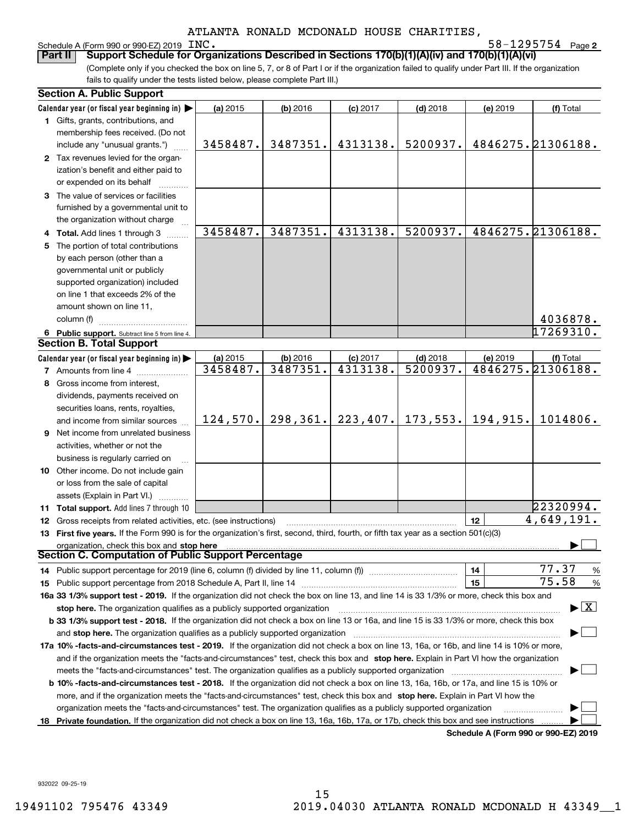## Schedule A (Form 990 or 990-EZ) 2019 INC.

**2** INC. 58-1295754

(Complete only if you checked the box on line 5, 7, or 8 of Part I or if the organization failed to qualify under Part III. If the organization fails to qualify under the tests listed below, please complete Part III.) **Part II Support Schedule for Organizations Described in Sections 170(b)(1)(A)(iv) and 170(b)(1)(A)(vi)**

|   | <b>Section A. Public Support</b>                                                                                                               |                      |                      |                        |                        |                                      |                                          |
|---|------------------------------------------------------------------------------------------------------------------------------------------------|----------------------|----------------------|------------------------|------------------------|--------------------------------------|------------------------------------------|
|   | Calendar year (or fiscal year beginning in)                                                                                                    | (a) 2015             | (b) 2016             | (c) 2017               | $(d)$ 2018             | (e) 2019                             | (f) Total                                |
|   | 1 Gifts, grants, contributions, and                                                                                                            |                      |                      |                        |                        |                                      |                                          |
|   | membership fees received. (Do not                                                                                                              |                      |                      |                        |                        |                                      |                                          |
|   | include any "unusual grants.")                                                                                                                 | 3458487.             | 3487351.             | 4313138.               | 5200937.               |                                      | 4846275. 21306188.                       |
|   | 2 Tax revenues levied for the organ-                                                                                                           |                      |                      |                        |                        |                                      |                                          |
|   | ization's benefit and either paid to                                                                                                           |                      |                      |                        |                        |                                      |                                          |
|   | or expended on its behalf                                                                                                                      |                      |                      |                        |                        |                                      |                                          |
|   | 3 The value of services or facilities                                                                                                          |                      |                      |                        |                        |                                      |                                          |
|   | furnished by a governmental unit to                                                                                                            |                      |                      |                        |                        |                                      |                                          |
|   | the organization without charge                                                                                                                |                      |                      |                        |                        |                                      |                                          |
|   | 4 Total. Add lines 1 through 3                                                                                                                 | 3458487.             | 3487351.             | 4313138.               | 5200937.               |                                      | 4846275.21306188.                        |
|   | The portion of total contributions                                                                                                             |                      |                      |                        |                        |                                      |                                          |
|   | by each person (other than a                                                                                                                   |                      |                      |                        |                        |                                      |                                          |
|   | governmental unit or publicly                                                                                                                  |                      |                      |                        |                        |                                      |                                          |
|   | supported organization) included                                                                                                               |                      |                      |                        |                        |                                      |                                          |
|   | on line 1 that exceeds 2% of the                                                                                                               |                      |                      |                        |                        |                                      |                                          |
|   | amount shown on line 11,                                                                                                                       |                      |                      |                        |                        |                                      |                                          |
|   | column (f)                                                                                                                                     |                      |                      |                        |                        |                                      | 4036878.                                 |
|   |                                                                                                                                                |                      |                      |                        |                        |                                      | 17269310.                                |
|   | 6 Public support. Subtract line 5 from line 4.<br><b>Section B. Total Support</b>                                                              |                      |                      |                        |                        |                                      |                                          |
|   |                                                                                                                                                |                      |                      |                        |                        |                                      |                                          |
|   | Calendar year (or fiscal year beginning in)                                                                                                    | (a) 2015<br>3458487. | (b) 2016<br>3487351. | $(c)$ 2017<br>4313138. | $(d)$ 2018<br>5200937. | (e) 2019                             | (f) Total<br>4846275.21306188.           |
|   | <b>7</b> Amounts from line 4                                                                                                                   |                      |                      |                        |                        |                                      |                                          |
|   | 8 Gross income from interest,                                                                                                                  |                      |                      |                        |                        |                                      |                                          |
|   | dividends, payments received on                                                                                                                |                      |                      |                        |                        |                                      |                                          |
|   | securities loans, rents, royalties,                                                                                                            |                      |                      |                        |                        |                                      |                                          |
|   | and income from similar sources                                                                                                                | 124,570.             | 298,361.             | 223, 407.              | 173,553.               | 194,915.                             | 1014806.                                 |
| 9 | Net income from unrelated business                                                                                                             |                      |                      |                        |                        |                                      |                                          |
|   | activities, whether or not the                                                                                                                 |                      |                      |                        |                        |                                      |                                          |
|   | business is regularly carried on                                                                                                               |                      |                      |                        |                        |                                      |                                          |
|   | 10 Other income. Do not include gain                                                                                                           |                      |                      |                        |                        |                                      |                                          |
|   | or loss from the sale of capital                                                                                                               |                      |                      |                        |                        |                                      |                                          |
|   | assets (Explain in Part VI.)                                                                                                                   |                      |                      |                        |                        |                                      |                                          |
|   | 11 Total support. Add lines 7 through 10                                                                                                       |                      |                      |                        |                        |                                      | 22320994.                                |
|   | 12 Gross receipts from related activities, etc. (see instructions)                                                                             |                      |                      |                        |                        | 12                                   | 4,649,191.                               |
|   | 13 First five years. If the Form 990 is for the organization's first, second, third, fourth, or fifth tax year as a section 501(c)(3)          |                      |                      |                        |                        |                                      |                                          |
|   | organization, check this box and stop here                                                                                                     |                      |                      |                        |                        |                                      |                                          |
|   | <b>Section C. Computation of Public Support Percentage</b>                                                                                     |                      |                      |                        |                        |                                      |                                          |
|   | 14 Public support percentage for 2019 (line 6, column (f) divided by line 11, column (f) <i>manumanomeron</i>                                  |                      |                      |                        |                        | 14                                   | 77.37<br>%                               |
|   |                                                                                                                                                |                      |                      |                        |                        | 15                                   | 75.58<br>%                               |
|   | 16a 33 1/3% support test - 2019. If the organization did not check the box on line 13, and line 14 is 33 1/3% or more, check this box and      |                      |                      |                        |                        |                                      |                                          |
|   | stop here. The organization qualifies as a publicly supported organization                                                                     |                      |                      |                        |                        |                                      | $\blacktriangleright$ $\boxed{\text{X}}$ |
|   | b 33 1/3% support test - 2018. If the organization did not check a box on line 13 or 16a, and line 15 is 33 1/3% or more, check this box       |                      |                      |                        |                        |                                      |                                          |
|   | and stop here. The organization qualifies as a publicly supported organization                                                                 |                      |                      |                        |                        |                                      |                                          |
|   | 17a 10% -facts-and-circumstances test - 2019. If the organization did not check a box on line 13, 16a, or 16b, and line 14 is 10% or more,     |                      |                      |                        |                        |                                      |                                          |
|   | and if the organization meets the "facts-and-circumstances" test, check this box and stop here. Explain in Part VI how the organization        |                      |                      |                        |                        |                                      |                                          |
|   | meets the "facts-and-circumstances" test. The organization qualifies as a publicly supported organization                                      |                      |                      |                        |                        |                                      |                                          |
|   | <b>b 10% -facts-and-circumstances test - 2018.</b> If the organization did not check a box on line 13, 16a, 16b, or 17a, and line 15 is 10% or |                      |                      |                        |                        |                                      |                                          |
|   | more, and if the organization meets the "facts-and-circumstances" test, check this box and stop here. Explain in Part VI how the               |                      |                      |                        |                        |                                      |                                          |
|   | organization meets the "facts-and-circumstances" test. The organization qualifies as a publicly supported organization                         |                      |                      |                        |                        |                                      |                                          |
|   | 18 Private foundation. If the organization did not check a box on line 13, 16a, 16b, 17a, or 17b, check this box and see instructions          |                      |                      |                        |                        |                                      |                                          |
|   |                                                                                                                                                |                      |                      |                        |                        | Schedule A (Form 990 or 990-F7) 2019 |                                          |

**Schedule A (Form 990 or 990-EZ) 2019**

932022 09-25-19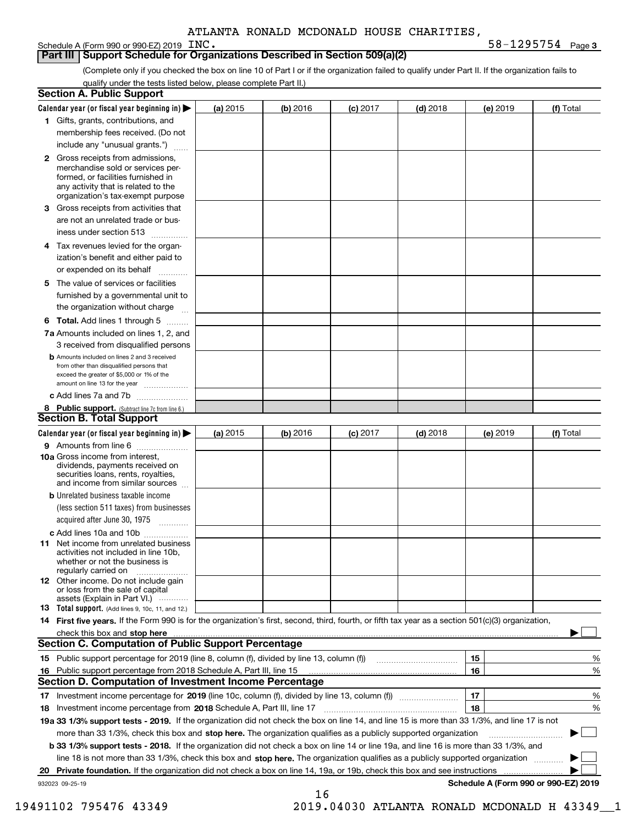**3** INC. 58-1295754

## **Part III Support Schedule for Organizations Described in Section 509(a)(2)**

(Complete only if you checked the box on line 10 of Part I or if the organization failed to qualify under Part II. If the organization fails to qualify under the tests listed below, please complete Part II.)

|    | <b>Section A. Public Support</b>                                                                                                                                                         |          |            |            |            |          |                                      |
|----|------------------------------------------------------------------------------------------------------------------------------------------------------------------------------------------|----------|------------|------------|------------|----------|--------------------------------------|
|    | Calendar year (or fiscal year beginning in) $\blacktriangleright$                                                                                                                        | (a) 2015 | $(b)$ 2016 | $(c)$ 2017 | $(d)$ 2018 | (e) 2019 | (f) Total                            |
|    | 1 Gifts, grants, contributions, and                                                                                                                                                      |          |            |            |            |          |                                      |
|    | membership fees received. (Do not                                                                                                                                                        |          |            |            |            |          |                                      |
|    | include any "unusual grants.")                                                                                                                                                           |          |            |            |            |          |                                      |
|    | 2 Gross receipts from admissions,<br>merchandise sold or services per-<br>formed, or facilities furnished in<br>any activity that is related to the<br>organization's tax-exempt purpose |          |            |            |            |          |                                      |
|    | 3 Gross receipts from activities that<br>are not an unrelated trade or bus-                                                                                                              |          |            |            |            |          |                                      |
|    | iness under section 513                                                                                                                                                                  |          |            |            |            |          |                                      |
|    | 4 Tax revenues levied for the organ-                                                                                                                                                     |          |            |            |            |          |                                      |
|    | ization's benefit and either paid to<br>or expended on its behalf<br>.                                                                                                                   |          |            |            |            |          |                                      |
|    | 5 The value of services or facilities                                                                                                                                                    |          |            |            |            |          |                                      |
|    | furnished by a governmental unit to                                                                                                                                                      |          |            |            |            |          |                                      |
|    | the organization without charge                                                                                                                                                          |          |            |            |            |          |                                      |
|    | <b>6 Total.</b> Add lines 1 through 5                                                                                                                                                    |          |            |            |            |          |                                      |
|    | 7a Amounts included on lines 1, 2, and<br>3 received from disqualified persons                                                                                                           |          |            |            |            |          |                                      |
|    | <b>b</b> Amounts included on lines 2 and 3 received<br>from other than disqualified persons that<br>exceed the greater of \$5,000 or 1% of the<br>amount on line 13 for the year         |          |            |            |            |          |                                      |
|    | c Add lines 7a and 7b                                                                                                                                                                    |          |            |            |            |          |                                      |
|    | 8 Public support. (Subtract line 7c from line 6.)                                                                                                                                        |          |            |            |            |          |                                      |
|    | <b>Section B. Total Support</b>                                                                                                                                                          |          |            |            |            |          |                                      |
|    | Calendar year (or fiscal year beginning in) $\blacktriangleright$                                                                                                                        | (a) 2015 | (b) 2016   | $(c)$ 2017 | $(d)$ 2018 | (e) 2019 | (f) Total                            |
|    | 9 Amounts from line 6                                                                                                                                                                    |          |            |            |            |          |                                      |
|    | 10a Gross income from interest,<br>dividends, payments received on<br>securities loans, rents, royalties,<br>and income from similar sources                                             |          |            |            |            |          |                                      |
|    | <b>b</b> Unrelated business taxable income<br>(less section 511 taxes) from businesses                                                                                                   |          |            |            |            |          |                                      |
|    | acquired after June 30, 1975                                                                                                                                                             |          |            |            |            |          |                                      |
|    | c Add lines 10a and 10b<br>11 Net income from unrelated business<br>activities not included in line 10b,<br>whether or not the business is<br>regularly carried on                       |          |            |            |            |          |                                      |
|    | 12 Other income. Do not include gain<br>or loss from the sale of capital<br>assets (Explain in Part VI.)                                                                                 |          |            |            |            |          |                                      |
|    | <b>13</b> Total support. (Add lines 9, 10c, 11, and 12.)                                                                                                                                 |          |            |            |            |          |                                      |
|    | 14 First five years. If the Form 990 is for the organization's first, second, third, fourth, or fifth tax year as a section 501(c)(3) organization,                                      |          |            |            |            |          |                                      |
|    | check this box and stop here measurements are constructed as the state of the state of the state of the state o                                                                          |          |            |            |            |          |                                      |
|    | Section C. Computation of Public Support Percentage                                                                                                                                      |          |            |            |            |          |                                      |
|    | 15 Public support percentage for 2019 (line 8, column (f), divided by line 13, column (f))                                                                                               |          |            |            |            | 15       | %                                    |
|    | 16 Public support percentage from 2018 Schedule A, Part III, line 15                                                                                                                     |          |            |            |            | 16       | %                                    |
|    | <b>Section D. Computation of Investment Income Percentage</b>                                                                                                                            |          |            |            |            |          |                                      |
|    | 17 Investment income percentage for 2019 (line 10c, column (f), divided by line 13, column (f))                                                                                          |          |            |            |            | 17       | %                                    |
|    | <b>18</b> Investment income percentage from <b>2018</b> Schedule A, Part III, line 17                                                                                                    |          |            |            |            | 18       | %                                    |
|    | 19a 33 1/3% support tests - 2019. If the organization did not check the box on line 14, and line 15 is more than 33 1/3%, and line 17 is not                                             |          |            |            |            |          |                                      |
|    | more than 33 1/3%, check this box and stop here. The organization qualifies as a publicly supported organization                                                                         |          |            |            |            |          | ▶                                    |
|    | b 33 1/3% support tests - 2018. If the organization did not check a box on line 14 or line 19a, and line 16 is more than 33 1/3%, and                                                    |          |            |            |            |          |                                      |
|    | line 18 is not more than 33 1/3%, check this box and stop here. The organization qualifies as a publicly supported organization                                                          |          |            |            |            |          |                                      |
| 20 | <b>Private foundation.</b> If the organization did not check a box on line 14, 19a, or 19b, check this box and see instructions                                                          |          |            |            |            |          |                                      |
|    | 932023 09-25-19                                                                                                                                                                          |          | 16         |            |            |          | Schedule A (Form 990 or 990-EZ) 2019 |

19491102 795476 43349 2019.04030 ATLANTA RONALD MCDONALD H 43349\_\_1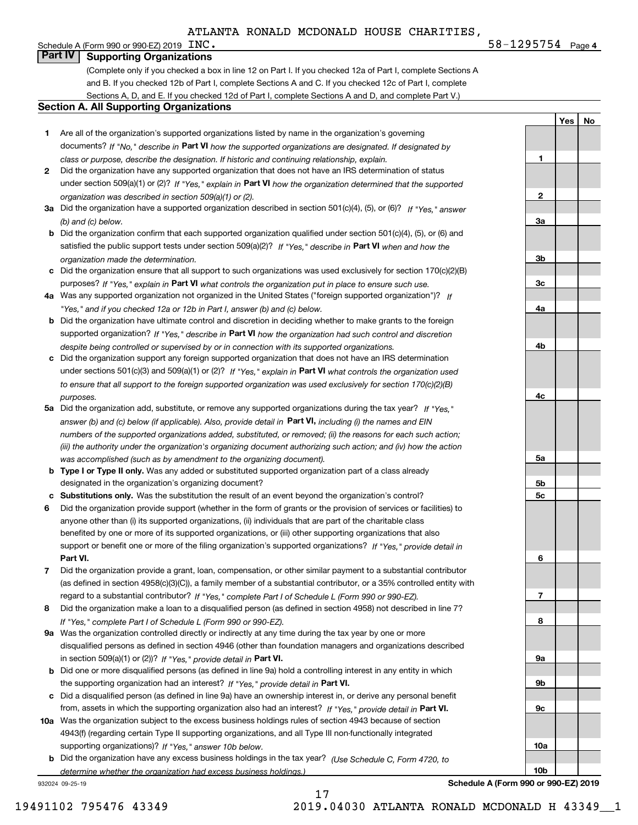**4**INC. 58-1295754

**1**

**2**

**3a**

**3b**

**YesNo**

## Schedule A (Form 990 or 990-EZ) 2019  $~\rm ~INC$  . **Part IV Supporting Organizations**

(Complete only if you checked a box in line 12 on Part I. If you checked 12a of Part I, complete Sections A and B. If you checked 12b of Part I, complete Sections A and C. If you checked 12c of Part I, complete Sections A, D, and E. If you checked 12d of Part I, complete Sections A and D, and complete Part V.)

#### **Section A. All Supporting Organizations**

- **1** Are all of the organization's supported organizations listed by name in the organization's governing documents? If "No," describe in **Part VI** how the supported organizations are designated. If designated by *class or purpose, describe the designation. If historic and continuing relationship, explain.*
- **2** Did the organization have any supported organization that does not have an IRS determination of status under section 509(a)(1) or (2)? If "Yes," explain in Part VI how the organization determined that the supported *organization was described in section 509(a)(1) or (2).*
- **3a** Did the organization have a supported organization described in section 501(c)(4), (5), or (6)? If "Yes," answer *(b) and (c) below.*
- **b** Did the organization confirm that each supported organization qualified under section 501(c)(4), (5), or (6) and satisfied the public support tests under section 509(a)(2)? If "Yes," describe in **Part VI** when and how the *organization made the determination.*
- **c**Did the organization ensure that all support to such organizations was used exclusively for section 170(c)(2)(B) purposes? If "Yes," explain in **Part VI** what controls the organization put in place to ensure such use.
- **4a***If* Was any supported organization not organized in the United States ("foreign supported organization")? *"Yes," and if you checked 12a or 12b in Part I, answer (b) and (c) below.*
- **b** Did the organization have ultimate control and discretion in deciding whether to make grants to the foreign supported organization? If "Yes," describe in **Part VI** how the organization had such control and discretion *despite being controlled or supervised by or in connection with its supported organizations.*
- **c** Did the organization support any foreign supported organization that does not have an IRS determination under sections 501(c)(3) and 509(a)(1) or (2)? If "Yes," explain in **Part VI** what controls the organization used *to ensure that all support to the foreign supported organization was used exclusively for section 170(c)(2)(B) purposes.*
- **5a** Did the organization add, substitute, or remove any supported organizations during the tax year? If "Yes," answer (b) and (c) below (if applicable). Also, provide detail in **Part VI,** including (i) the names and EIN *numbers of the supported organizations added, substituted, or removed; (ii) the reasons for each such action; (iii) the authority under the organization's organizing document authorizing such action; and (iv) how the action was accomplished (such as by amendment to the organizing document).*
- **b** Type I or Type II only. Was any added or substituted supported organization part of a class already designated in the organization's organizing document?
- **cSubstitutions only.**  Was the substitution the result of an event beyond the organization's control?
- **6** Did the organization provide support (whether in the form of grants or the provision of services or facilities) to **Part VI.** *If "Yes," provide detail in* support or benefit one or more of the filing organization's supported organizations? anyone other than (i) its supported organizations, (ii) individuals that are part of the charitable class benefited by one or more of its supported organizations, or (iii) other supporting organizations that also
- **7**Did the organization provide a grant, loan, compensation, or other similar payment to a substantial contributor *If "Yes," complete Part I of Schedule L (Form 990 or 990-EZ).* regard to a substantial contributor? (as defined in section 4958(c)(3)(C)), a family member of a substantial contributor, or a 35% controlled entity with
- **8** Did the organization make a loan to a disqualified person (as defined in section 4958) not described in line 7? *If "Yes," complete Part I of Schedule L (Form 990 or 990-EZ).*
- **9a** Was the organization controlled directly or indirectly at any time during the tax year by one or more in section 509(a)(1) or (2))? If "Yes," *provide detail in* <code>Part VI.</code> disqualified persons as defined in section 4946 (other than foundation managers and organizations described
- **b** Did one or more disqualified persons (as defined in line 9a) hold a controlling interest in any entity in which the supporting organization had an interest? If "Yes," provide detail in P**art VI**.
- **c**Did a disqualified person (as defined in line 9a) have an ownership interest in, or derive any personal benefit from, assets in which the supporting organization also had an interest? If "Yes," provide detail in P**art VI.**
- **10a** Was the organization subject to the excess business holdings rules of section 4943 because of section supporting organizations)? If "Yes," answer 10b below. 4943(f) (regarding certain Type II supporting organizations, and all Type III non-functionally integrated
- **b** Did the organization have any excess business holdings in the tax year? (Use Schedule C, Form 4720, to *determine whether the organization had excess business holdings.)*

932024 09-25-19



**Schedule A (Form 990 or 990-EZ) 2019**

17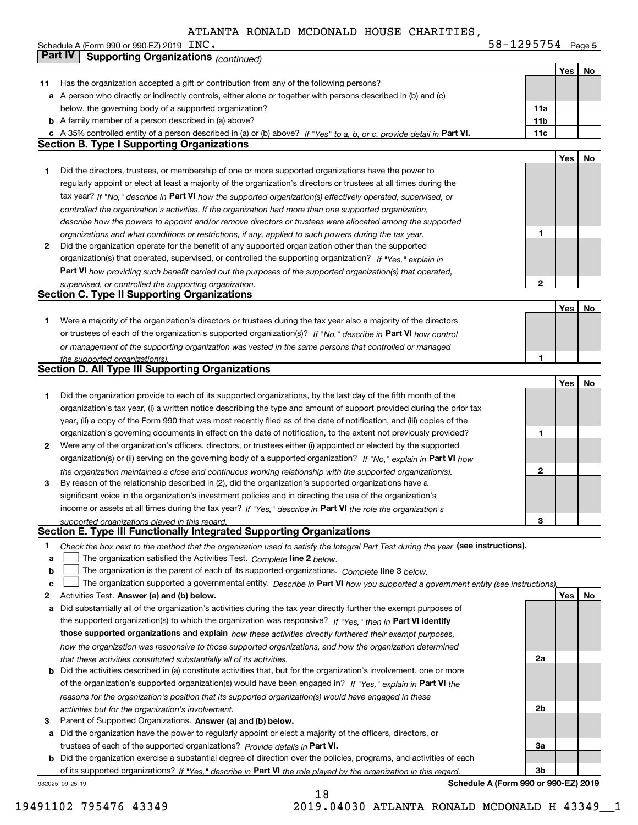Schedule A (Form 990 or 990-EZ) 2019  $\text{INC.}$ 

**5** INC. 58-1295754

|    | Part IV<br><b>Supporting Organizations (continued)</b>                                                                            |                 |     |    |
|----|-----------------------------------------------------------------------------------------------------------------------------------|-----------------|-----|----|
|    |                                                                                                                                   |                 | Yes | No |
| 11 | Has the organization accepted a gift or contribution from any of the following persons?                                           |                 |     |    |
|    | a A person who directly or indirectly controls, either alone or together with persons described in (b) and (c)                    |                 |     |    |
|    | below, the governing body of a supported organization?                                                                            | 11a             |     |    |
|    | <b>b</b> A family member of a person described in (a) above?                                                                      | 11 <sub>b</sub> |     |    |
|    | c A 35% controlled entity of a person described in (a) or (b) above? If "Yes" to a, b, or c, provide detail in Part VI.           | 11c             |     |    |
|    | <b>Section B. Type I Supporting Organizations</b>                                                                                 |                 |     |    |
|    |                                                                                                                                   |                 | Yes | No |
| 1  | Did the directors, trustees, or membership of one or more supported organizations have the power to                               |                 |     |    |
|    | regularly appoint or elect at least a majority of the organization's directors or trustees at all times during the                |                 |     |    |
|    | tax year? If "No," describe in Part VI how the supported organization(s) effectively operated, supervised, or                     |                 |     |    |
|    | controlled the organization's activities. If the organization had more than one supported organization,                           |                 |     |    |
|    | describe how the powers to appoint and/or remove directors or trustees were allocated among the supported                         |                 |     |    |
|    | organizations and what conditions or restrictions, if any, applied to such powers during the tax year.                            | 1               |     |    |
| 2  | Did the organization operate for the benefit of any supported organization other than the supported                               |                 |     |    |
|    | organization(s) that operated, supervised, or controlled the supporting organization? If "Yes," explain in                        |                 |     |    |
|    | Part VI how providing such benefit carried out the purposes of the supported organization(s) that operated,                       |                 |     |    |
|    | supervised, or controlled the supporting organization.                                                                            | 2               |     |    |
|    | <b>Section C. Type II Supporting Organizations</b>                                                                                |                 |     |    |
|    |                                                                                                                                   |                 | Yes | No |
| 1  | Were a majority of the organization's directors or trustees during the tax year also a majority of the directors                  |                 |     |    |
|    | or trustees of each of the organization's supported organization(s)? If "No," describe in Part VI how control                     |                 |     |    |
|    | or management of the supporting organization was vested in the same persons that controlled or managed                            |                 |     |    |
|    | the supported organization(s).                                                                                                    | 1               |     |    |
|    | <b>Section D. All Type III Supporting Organizations</b>                                                                           |                 |     |    |
|    |                                                                                                                                   |                 | Yes | No |
| 1  | Did the organization provide to each of its supported organizations, by the last day of the fifth month of the                    |                 |     |    |
|    | organization's tax year, (i) a written notice describing the type and amount of support provided during the prior tax             |                 |     |    |
|    | year, (ii) a copy of the Form 990 that was most recently filed as of the date of notification, and (iii) copies of the            |                 |     |    |
|    | organization's governing documents in effect on the date of notification, to the extent not previously provided?                  | 1               |     |    |
| 2  | Were any of the organization's officers, directors, or trustees either (i) appointed or elected by the supported                  |                 |     |    |
|    | organization(s) or (ii) serving on the governing body of a supported organization? If "No," explain in Part VI how                |                 |     |    |
|    | the organization maintained a close and continuous working relationship with the supported organization(s).                       | 2               |     |    |
| з  | By reason of the relationship described in (2), did the organization's supported organizations have a                             |                 |     |    |
|    | significant voice in the organization's investment policies and in directing the use of the organization's                        |                 |     |    |
|    | income or assets at all times during the tax year? If "Yes," describe in Part VI the role the organization's                      |                 |     |    |
|    | supported organizations played in this regard.                                                                                    | 3               |     |    |
|    | Section E. Type III Functionally Integrated Supporting Organizations                                                              |                 |     |    |
| 1  | Check the box next to the method that the organization used to satisfy the Integral Part Test during the year (see instructions). |                 |     |    |
| a  | The organization satisfied the Activities Test. Complete line 2 below.                                                            |                 |     |    |
| b  | The organization is the parent of each of its supported organizations. Complete line 3 below.                                     |                 |     |    |
| C  | The organization supported a governmental entity. Describe in Part VI how you supported a government entity (see instructions),   |                 |     |    |
| 2  | Activities Test. Answer (a) and (b) below.                                                                                        |                 | Yes | No |
| a  | Did substantially all of the organization's activities during the tax year directly further the exempt purposes of                |                 |     |    |
|    | the supported organization(s) to which the organization was responsive? If "Yes," then in Part VI identify                        |                 |     |    |
|    | those supported organizations and explain how these activities directly furthered their exempt purposes,                          |                 |     |    |
|    | how the organization was responsive to those supported organizations, and how the organization determined                         |                 |     |    |
|    | that these activities constituted substantially all of its activities.                                                            | 2a              |     |    |
|    | <b>b</b> Did the activities described in (a) constitute activities that, but for the organization's involvement, one or more      |                 |     |    |
|    | of the organization's supported organization(s) would have been engaged in? If "Yes," explain in Part VI the                      |                 |     |    |
|    | reasons for the organization's position that its supported organization(s) would have engaged in these                            |                 |     |    |
|    | activities but for the organization's involvement.                                                                                | 2b              |     |    |
| з  | Parent of Supported Organizations. Answer (a) and (b) below.                                                                      |                 |     |    |
| а  | Did the organization have the power to regularly appoint or elect a majority of the officers, directors, or                       |                 |     |    |
|    | trustees of each of the supported organizations? Provide details in Part VI.                                                      | 3a              |     |    |
| b  | Did the organization exercise a substantial degree of direction over the policies, programs, and activities of each               |                 |     |    |
|    | of its supported organizations? If "Yes." describe in Part VI the role played by the organization in this regard.                 | 3b              |     |    |
|    |                                                                                                                                   |                 |     |    |

18

932025 09-25-19

**Schedule A (Form 990 or 990-EZ) 2019**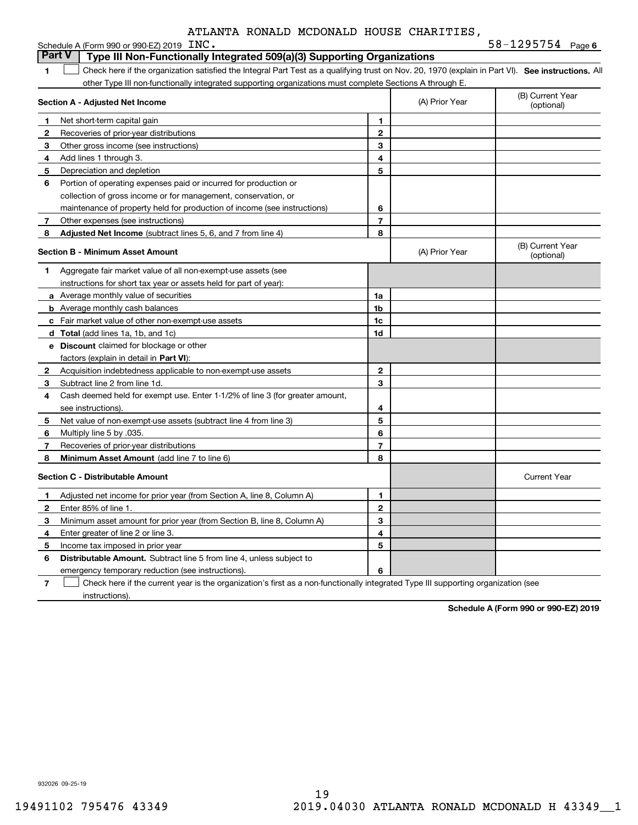| ATLANTA RONALD MCDONALD HOUSE CHARITIES. |  |  |  |  |
|------------------------------------------|--|--|--|--|
|------------------------------------------|--|--|--|--|

|              | Schedule A (Form 990 or 990-EZ) 2019 INC.                                                                                                          |                |                | $58 - 1295754$ Page 6          |
|--------------|----------------------------------------------------------------------------------------------------------------------------------------------------|----------------|----------------|--------------------------------|
|              | <b>Part V</b><br>Type III Non-Functionally Integrated 509(a)(3) Supporting Organizations                                                           |                |                |                                |
| 1            | Check here if the organization satisfied the Integral Part Test as a qualifying trust on Nov. 20, 1970 (explain in Part VI). See instructions. All |                |                |                                |
|              | other Type III non-functionally integrated supporting organizations must complete Sections A through E.                                            |                |                |                                |
|              | Section A - Adjusted Net Income                                                                                                                    |                | (A) Prior Year | (B) Current Year<br>(optional) |
| 1            | Net short-term capital gain                                                                                                                        | 1              |                |                                |
| $\mathbf{2}$ | Recoveries of prior-year distributions                                                                                                             | $\mathbf{2}$   |                |                                |
| 3            | Other gross income (see instructions)                                                                                                              | 3              |                |                                |
| 4            | Add lines 1 through 3.                                                                                                                             | 4              |                |                                |
| 5            | Depreciation and depletion                                                                                                                         | 5              |                |                                |
| 6            | Portion of operating expenses paid or incurred for production or                                                                                   |                |                |                                |
|              | collection of gross income or for management, conservation, or                                                                                     |                |                |                                |
|              | maintenance of property held for production of income (see instructions)                                                                           | 6              |                |                                |
| 7            | Other expenses (see instructions)                                                                                                                  | $\overline{7}$ |                |                                |
| 8            | Adjusted Net Income (subtract lines 5, 6, and 7 from line 4)                                                                                       | 8              |                |                                |
|              | <b>Section B - Minimum Asset Amount</b>                                                                                                            |                | (A) Prior Year | (B) Current Year<br>(optional) |
| 1.           | Aggregate fair market value of all non-exempt-use assets (see                                                                                      |                |                |                                |
|              | instructions for short tax year or assets held for part of year):                                                                                  |                |                |                                |
|              | a Average monthly value of securities                                                                                                              | 1a             |                |                                |
|              | <b>b</b> Average monthly cash balances                                                                                                             | 1 <sub>b</sub> |                |                                |
|              | c Fair market value of other non-exempt-use assets                                                                                                 | 1 <sub>c</sub> |                |                                |
|              | <b>d</b> Total (add lines 1a, 1b, and 1c)                                                                                                          | 1d             |                |                                |
|              | e Discount claimed for blockage or other                                                                                                           |                |                |                                |
|              | factors (explain in detail in Part VI):                                                                                                            |                |                |                                |
| 2            | Acquisition indebtedness applicable to non-exempt-use assets                                                                                       | $\mathbf{2}$   |                |                                |
| 3            | Subtract line 2 from line 1d.                                                                                                                      | 3              |                |                                |
| 4            | Cash deemed held for exempt use. Enter 1-1/2% of line 3 (for greater amount,                                                                       |                |                |                                |
|              | see instructions)                                                                                                                                  | 4              |                |                                |
| 5            | Net value of non-exempt-use assets (subtract line 4 from line 3)                                                                                   | 5              |                |                                |
| 6            | Multiply line 5 by .035.                                                                                                                           | 6              |                |                                |
| 7            | Recoveries of prior-year distributions                                                                                                             | $\overline{7}$ |                |                                |
| 8            | Minimum Asset Amount (add line 7 to line 6)                                                                                                        | 8              |                |                                |
|              | <b>Section C - Distributable Amount</b>                                                                                                            |                |                | <b>Current Year</b>            |
| 1            | Adjusted net income for prior year (from Section A, line 8, Column A)                                                                              | 1              |                |                                |
| 2            | Enter 85% of line 1.                                                                                                                               | $\mathbf{2}$   |                |                                |
| 3            | Minimum asset amount for prior year (from Section B, line 8, Column A)                                                                             | 3              |                |                                |
| 4            | Enter greater of line 2 or line 3.                                                                                                                 | 4              |                |                                |
| 5            | Income tax imposed in prior year                                                                                                                   | 5              |                |                                |
| 6            | <b>Distributable Amount.</b> Subtract line 5 from line 4, unless subject to                                                                        |                |                |                                |
|              | emergency temporary reduction (see instructions).                                                                                                  | 6              |                |                                |

**7** Check here if the current year is the organization's first as a non-functionally integrated Type III supporting organization (see instructions).

**Schedule A (Form 990 or 990-EZ) 2019**

932026 09-25-19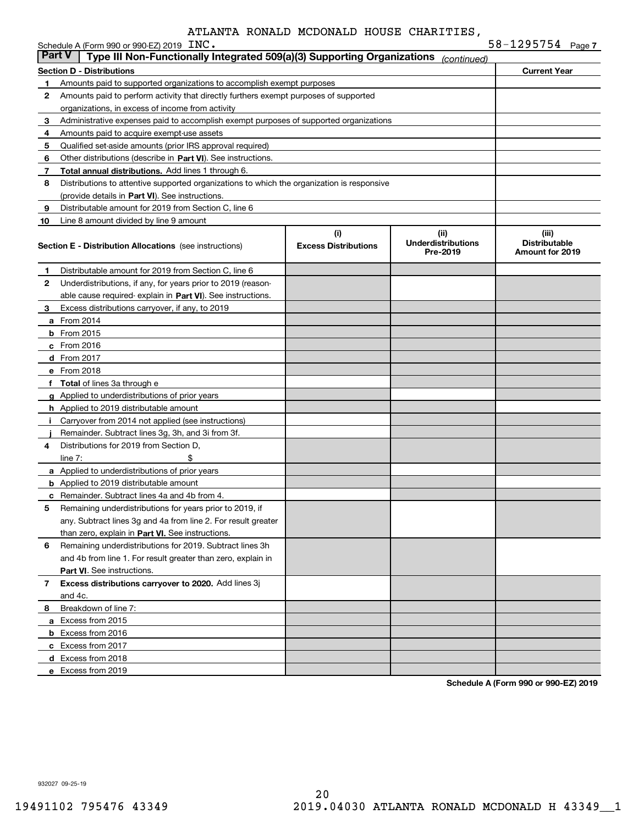|               | Schedule A (Form 990 or 990-EZ) 2019 INC.                                                  |                             |                                       | $58 - 1295754$ Page 7                          |
|---------------|--------------------------------------------------------------------------------------------|-----------------------------|---------------------------------------|------------------------------------------------|
| <b>Part V</b> | Type III Non-Functionally Integrated 509(a)(3) Supporting Organizations                    |                             | (continued)                           |                                                |
|               | <b>Section D - Distributions</b>                                                           |                             |                                       | <b>Current Year</b>                            |
| 1             | Amounts paid to supported organizations to accomplish exempt purposes                      |                             |                                       |                                                |
| 2             | Amounts paid to perform activity that directly furthers exempt purposes of supported       |                             |                                       |                                                |
|               | organizations, in excess of income from activity                                           |                             |                                       |                                                |
| 3             | Administrative expenses paid to accomplish exempt purposes of supported organizations      |                             |                                       |                                                |
| 4             | Amounts paid to acquire exempt-use assets                                                  |                             |                                       |                                                |
| 5             | Qualified set-aside amounts (prior IRS approval required)                                  |                             |                                       |                                                |
| 6             | Other distributions (describe in Part VI). See instructions.                               |                             |                                       |                                                |
| 7             | Total annual distributions. Add lines 1 through 6.                                         |                             |                                       |                                                |
| 8             | Distributions to attentive supported organizations to which the organization is responsive |                             |                                       |                                                |
|               | (provide details in Part VI). See instructions.                                            |                             |                                       |                                                |
| 9             | Distributable amount for 2019 from Section C, line 6                                       |                             |                                       |                                                |
| 10            | Line 8 amount divided by line 9 amount                                                     |                             |                                       |                                                |
|               |                                                                                            | (i)                         | (ii)                                  | (iii)                                          |
|               | <b>Section E - Distribution Allocations</b> (see instructions)                             | <b>Excess Distributions</b> | <b>Underdistributions</b><br>Pre-2019 | <b>Distributable</b><br><b>Amount for 2019</b> |
|               |                                                                                            |                             |                                       |                                                |
| 1             | Distributable amount for 2019 from Section C, line 6                                       |                             |                                       |                                                |
| 2             | Underdistributions, if any, for years prior to 2019 (reason-                               |                             |                                       |                                                |
|               | able cause required-explain in Part VI). See instructions.                                 |                             |                                       |                                                |
| З.            | Excess distributions carryover, if any, to 2019                                            |                             |                                       |                                                |
|               | <b>a</b> From 2014                                                                         |                             |                                       |                                                |
|               | <b>b</b> From 2015                                                                         |                             |                                       |                                                |
|               | $c$ From 2016                                                                              |                             |                                       |                                                |
|               | d From 2017                                                                                |                             |                                       |                                                |
|               | e From 2018                                                                                |                             |                                       |                                                |
|               | f Total of lines 3a through e                                                              |                             |                                       |                                                |
|               | g Applied to underdistributions of prior years                                             |                             |                                       |                                                |
|               | <b>h</b> Applied to 2019 distributable amount                                              |                             |                                       |                                                |
|               | Carryover from 2014 not applied (see instructions)                                         |                             |                                       |                                                |
|               | Remainder. Subtract lines 3g, 3h, and 3i from 3f.                                          |                             |                                       |                                                |
| 4             | Distributions for 2019 from Section D.                                                     |                             |                                       |                                                |
|               | \$<br>line $7:$                                                                            |                             |                                       |                                                |
|               | <b>a</b> Applied to underdistributions of prior years                                      |                             |                                       |                                                |
|               | <b>b</b> Applied to 2019 distributable amount                                              |                             |                                       |                                                |
|               | <b>c</b> Remainder. Subtract lines 4a and 4b from 4.                                       |                             |                                       |                                                |
|               | Remaining underdistributions for years prior to 2019, if                                   |                             |                                       |                                                |
|               | any. Subtract lines 3g and 4a from line 2. For result greater                              |                             |                                       |                                                |
|               | than zero, explain in Part VI. See instructions.                                           |                             |                                       |                                                |
| 6             | Remaining underdistributions for 2019. Subtract lines 3h                                   |                             |                                       |                                                |
|               | and 4b from line 1. For result greater than zero, explain in                               |                             |                                       |                                                |
|               | Part VI. See instructions.                                                                 |                             |                                       |                                                |
| 7             | Excess distributions carryover to 2020. Add lines 3j                                       |                             |                                       |                                                |
|               | and 4c.                                                                                    |                             |                                       |                                                |
| 8             | Breakdown of line 7:                                                                       |                             |                                       |                                                |
|               | a Excess from 2015                                                                         |                             |                                       |                                                |
|               | <b>b</b> Excess from 2016                                                                  |                             |                                       |                                                |
|               | c Excess from 2017                                                                         |                             |                                       |                                                |
|               | d Excess from 2018                                                                         |                             |                                       |                                                |
|               | e Excess from 2019                                                                         |                             |                                       |                                                |

**Schedule A (Form 990 or 990-EZ) 2019**

932027 09-25-19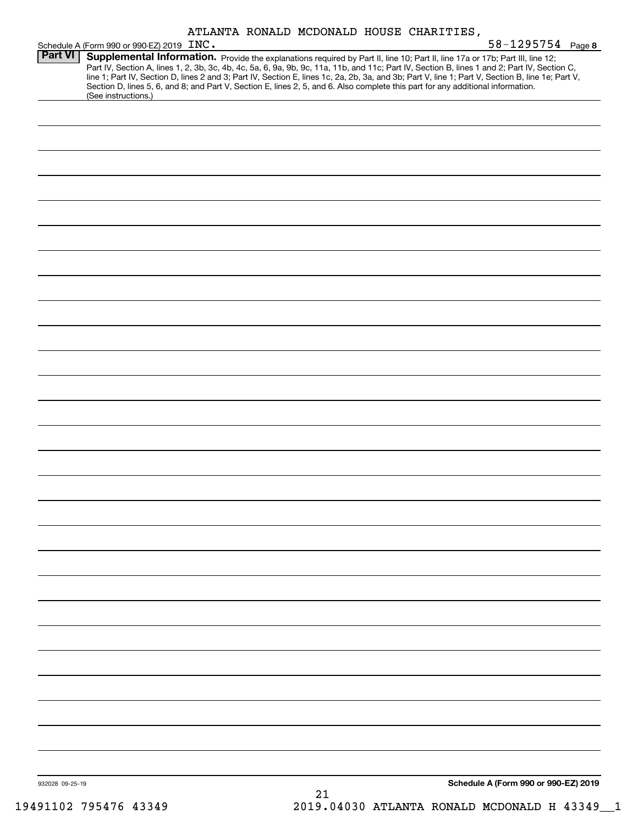|                 | ATLANTA RONALD MCDONALD HOUSE CHARITIES,                                                                                                                                                                                                                                                                                                                                                                                                                                                                                                                                                                                                                          |
|-----------------|-------------------------------------------------------------------------------------------------------------------------------------------------------------------------------------------------------------------------------------------------------------------------------------------------------------------------------------------------------------------------------------------------------------------------------------------------------------------------------------------------------------------------------------------------------------------------------------------------------------------------------------------------------------------|
| <b>Part VI</b>  | $58 - 1295754$ Page 8<br>Schedule A (Form 990 or 990-EZ) 2019 INC.<br>Supplemental Information. Provide the explanations required by Part II, line 10; Part II, line 17a or 17b; Part III, line 12;<br>Part IV, Section A, lines 1, 2, 3b, 3c, 4b, 4c, 5a, 6, 9a, 9b, 9c, 11a, 11b, and 11c; Part IV, Section B, lines 1 and 2; Part IV, Section C,<br>line 1; Part IV, Section D, lines 2 and 3; Part IV, Section E, lines 1c, 2a, 2b, 3a, and 3b; Part V, line 1; Part V, Section B, line 1e; Part V,<br>Section D, lines 5, 6, and 8; and Part V, Section E, lines 2, 5, and 6. Also complete this part for any additional information.<br>(See instructions.) |
|                 |                                                                                                                                                                                                                                                                                                                                                                                                                                                                                                                                                                                                                                                                   |
|                 |                                                                                                                                                                                                                                                                                                                                                                                                                                                                                                                                                                                                                                                                   |
|                 |                                                                                                                                                                                                                                                                                                                                                                                                                                                                                                                                                                                                                                                                   |
|                 |                                                                                                                                                                                                                                                                                                                                                                                                                                                                                                                                                                                                                                                                   |
|                 |                                                                                                                                                                                                                                                                                                                                                                                                                                                                                                                                                                                                                                                                   |
|                 |                                                                                                                                                                                                                                                                                                                                                                                                                                                                                                                                                                                                                                                                   |
|                 |                                                                                                                                                                                                                                                                                                                                                                                                                                                                                                                                                                                                                                                                   |
|                 |                                                                                                                                                                                                                                                                                                                                                                                                                                                                                                                                                                                                                                                                   |
|                 |                                                                                                                                                                                                                                                                                                                                                                                                                                                                                                                                                                                                                                                                   |
|                 |                                                                                                                                                                                                                                                                                                                                                                                                                                                                                                                                                                                                                                                                   |
|                 |                                                                                                                                                                                                                                                                                                                                                                                                                                                                                                                                                                                                                                                                   |
|                 |                                                                                                                                                                                                                                                                                                                                                                                                                                                                                                                                                                                                                                                                   |
|                 |                                                                                                                                                                                                                                                                                                                                                                                                                                                                                                                                                                                                                                                                   |
|                 |                                                                                                                                                                                                                                                                                                                                                                                                                                                                                                                                                                                                                                                                   |
|                 |                                                                                                                                                                                                                                                                                                                                                                                                                                                                                                                                                                                                                                                                   |
|                 |                                                                                                                                                                                                                                                                                                                                                                                                                                                                                                                                                                                                                                                                   |
|                 |                                                                                                                                                                                                                                                                                                                                                                                                                                                                                                                                                                                                                                                                   |
|                 |                                                                                                                                                                                                                                                                                                                                                                                                                                                                                                                                                                                                                                                                   |
|                 |                                                                                                                                                                                                                                                                                                                                                                                                                                                                                                                                                                                                                                                                   |
|                 |                                                                                                                                                                                                                                                                                                                                                                                                                                                                                                                                                                                                                                                                   |
|                 |                                                                                                                                                                                                                                                                                                                                                                                                                                                                                                                                                                                                                                                                   |
|                 |                                                                                                                                                                                                                                                                                                                                                                                                                                                                                                                                                                                                                                                                   |
|                 |                                                                                                                                                                                                                                                                                                                                                                                                                                                                                                                                                                                                                                                                   |
|                 |                                                                                                                                                                                                                                                                                                                                                                                                                                                                                                                                                                                                                                                                   |
|                 |                                                                                                                                                                                                                                                                                                                                                                                                                                                                                                                                                                                                                                                                   |
|                 |                                                                                                                                                                                                                                                                                                                                                                                                                                                                                                                                                                                                                                                                   |
|                 |                                                                                                                                                                                                                                                                                                                                                                                                                                                                                                                                                                                                                                                                   |
| 932028 09-25-19 | Schedule A (Form 990 or 990-EZ) 2019                                                                                                                                                                                                                                                                                                                                                                                                                                                                                                                                                                                                                              |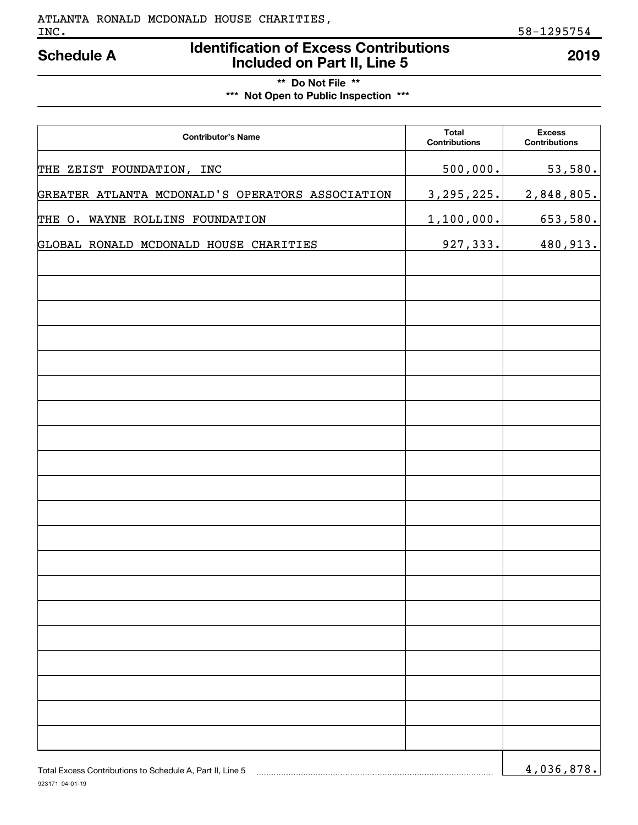# **Identification of Excess Contributions Included on Part II, Line 5 Schedule A 2019**

**\*\* Do Not File \*\* \*\*\* Not Open to Public Inspection \*\*\***

| <b>Contributor's Name</b>                        | <b>Total</b><br><b>Contributions</b> | <b>Excess</b><br><b>Contributions</b> |
|--------------------------------------------------|--------------------------------------|---------------------------------------|
| THE ZEIST FOUNDATION, INC                        | 500,000.                             | 53,580.                               |
| GREATER ATLANTA MCDONALD'S OPERATORS ASSOCIATION | 3, 295, 225.                         | 2,848,805.                            |
| THE O. WAYNE ROLLINS FOUNDATION                  | 1,100,000.                           | 653,580.                              |
| GLOBAL RONALD MCDONALD HOUSE CHARITIES           | 927,333.                             | 480,913.                              |
|                                                  |                                      |                                       |
|                                                  |                                      |                                       |
|                                                  |                                      |                                       |
|                                                  |                                      |                                       |
|                                                  |                                      |                                       |
|                                                  |                                      |                                       |
|                                                  |                                      |                                       |
|                                                  |                                      |                                       |
|                                                  |                                      |                                       |
|                                                  |                                      |                                       |
|                                                  |                                      |                                       |
|                                                  |                                      |                                       |
|                                                  |                                      |                                       |
|                                                  |                                      |                                       |
|                                                  |                                      |                                       |
|                                                  |                                      |                                       |
|                                                  |                                      |                                       |
|                                                  |                                      |                                       |
|                                                  |                                      |                                       |
|                                                  |                                      | 0.70<br>$\sim$ $\sim$                 |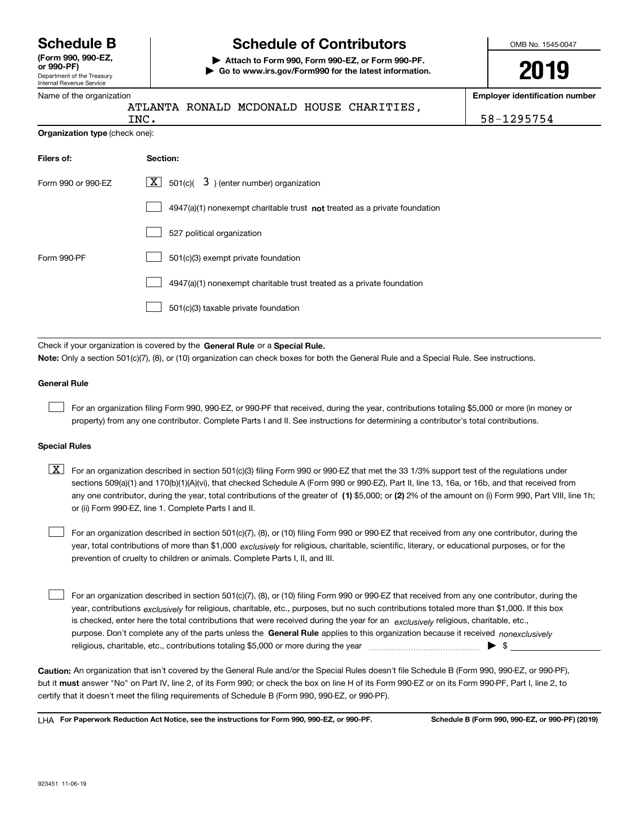Department of the Treasury Internal Revenue Service **(Form 990, 990-EZ, or 990-PF)**

# **Schedule B Schedule of Contributors**

**| Attach to Form 990, Form 990-EZ, or Form 990-PF. | Go to www.irs.gov/Form990 for the latest information.** OMB No. 1545-0047

**2019**

| Name of the organization       |                                                                                                                                                                                                                                                                                  | <b>Employer identification number</b> |
|--------------------------------|----------------------------------------------------------------------------------------------------------------------------------------------------------------------------------------------------------------------------------------------------------------------------------|---------------------------------------|
|                                | ATLANTA RONALD MCDONALD HOUSE CHARITIES,<br>INC.                                                                                                                                                                                                                                 | 58-1295754                            |
| Organization type (check one): |                                                                                                                                                                                                                                                                                  |                                       |
| Filers of:                     | Section:                                                                                                                                                                                                                                                                         |                                       |
| Form 990 or 990-EZ             | 501(c)( $3$ ) (enter number) organization<br>  X                                                                                                                                                                                                                                 |                                       |
|                                | 4947(a)(1) nonexempt charitable trust not treated as a private foundation                                                                                                                                                                                                        |                                       |
|                                | 527 political organization                                                                                                                                                                                                                                                       |                                       |
| Form 990-PF                    | 501(c)(3) exempt private foundation                                                                                                                                                                                                                                              |                                       |
|                                | 4947(a)(1) nonexempt charitable trust treated as a private foundation                                                                                                                                                                                                            |                                       |
|                                | 501(c)(3) taxable private foundation                                                                                                                                                                                                                                             |                                       |
|                                | Check if your organization is covered by the General Rule or a Special Rule.                                                                                                                                                                                                     |                                       |
|                                | Note: Only a section 501(c)(7), (8), or (10) organization can check boxes for both the General Rule and a Special Rule. See instructions.                                                                                                                                        |                                       |
| <b>General Rule</b>            |                                                                                                                                                                                                                                                                                  |                                       |
|                                | For an organization filing Form 990, 990-EZ, or 990-PF that received, during the year, contributions totaling \$5,000 or more (in money or<br>property) from any one contributor. Complete Parts I and II. See instructions for determining a contributor's total contributions. |                                       |

#### **Special Rules**

any one contributor, during the year, total contributions of the greater of  $\,$  (1) \$5,000; or **(2)** 2% of the amount on (i) Form 990, Part VIII, line 1h;  $\boxed{\textbf{X}}$  For an organization described in section 501(c)(3) filing Form 990 or 990-EZ that met the 33 1/3% support test of the regulations under sections 509(a)(1) and 170(b)(1)(A)(vi), that checked Schedule A (Form 990 or 990-EZ), Part II, line 13, 16a, or 16b, and that received from or (ii) Form 990-EZ, line 1. Complete Parts I and II.

year, total contributions of more than \$1,000 *exclusively* for religious, charitable, scientific, literary, or educational purposes, or for the For an organization described in section 501(c)(7), (8), or (10) filing Form 990 or 990-EZ that received from any one contributor, during the prevention of cruelty to children or animals. Complete Parts I, II, and III.

purpose. Don't complete any of the parts unless the **General Rule** applies to this organization because it received *nonexclusively* year, contributions <sub>exclusively</sub> for religious, charitable, etc., purposes, but no such contributions totaled more than \$1,000. If this box is checked, enter here the total contributions that were received during the year for an  $\;$ exclusively religious, charitable, etc., For an organization described in section 501(c)(7), (8), or (10) filing Form 990 or 990-EZ that received from any one contributor, during the religious, charitable, etc., contributions totaling \$5,000 or more during the year  $\Box$ — $\Box$  =  $\Box$  $\mathcal{L}^{\text{max}}$ 

**Caution:**  An organization that isn't covered by the General Rule and/or the Special Rules doesn't file Schedule B (Form 990, 990-EZ, or 990-PF),  **must** but it answer "No" on Part IV, line 2, of its Form 990; or check the box on line H of its Form 990-EZ or on its Form 990-PF, Part I, line 2, to certify that it doesn't meet the filing requirements of Schedule B (Form 990, 990-EZ, or 990-PF).

**For Paperwork Reduction Act Notice, see the instructions for Form 990, 990-EZ, or 990-PF. Schedule B (Form 990, 990-EZ, or 990-PF) (2019)** LHA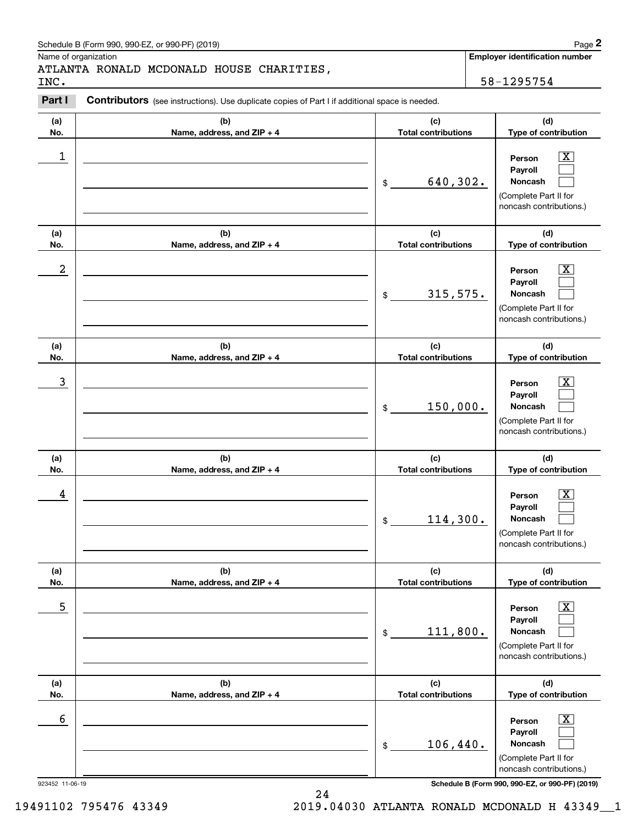| Schedule B (Form 990, 990-EZ, or 990-PF) (2019) | Page |
|-------------------------------------------------|------|
|-------------------------------------------------|------|

Name of organization

## ATLANTA RONALD MCDONALD HOUSE CHARITIES,

**Employer identification number**

**(a)No.(b)Name, address, and ZIP + 4 (c)Total contributions (d)Type of contribution PersonPayrollNoncash (a)No.(b)Name, address, and ZIP + 4 (c)Total contributions (d)Type of contribution PersonPayrollNoncash (a)No.(b)Name, address, and ZIP + 4 (c)Total contributions (d)Type of contribution PersonPayrollNoncash (a) No.(b)Name, address, and ZIP + 4 (c) Total contributions (d) Type of contribution PersonPayrollNoncash (a) No.(b)Name, address, and ZIP + 4 (c) Total contributions (d) Type of contribution PersonPayrollNoncash (a) No.(b)Name, address, and ZIP + 4 (c) Total contributions (d)Type of contribution PersonPayrollNoncash Contributors** (see instructions). Use duplicate copies of Part I if additional space is needed. \$(Complete Part II for noncash contributions.) \$(Complete Part II for noncash contributions.) \$(Complete Part II for noncash contributions.) \$(Complete Part II for noncash contributions.) \$(Complete Part II for noncash contributions.) \$(Complete Part II for noncash contributions.) Chedule B (Form 990, 990-EZ, or 990-PF) (2019)<br>Iame of organization<br>**2PARTA RONALD MCDONALD HOUSE CHARITIES**<br>**2PART I Contributors** (see instructions). Use duplicate copies of Part I if additional space is needed.<br>2PART  $|X|$  $\mathcal{L}^{\text{max}}$  $\mathcal{L}^{\text{max}}$  $\boxed{\text{X}}$  $\mathcal{L}^{\text{max}}$  $\mathcal{L}^{\text{max}}$  $|X|$  $\mathcal{L}^{\text{max}}$  $\mathcal{L}^{\text{max}}$  $|X|$  $\mathcal{L}^{\text{max}}$  $\mathcal{L}^{\text{max}}$  $|X|$  $\mathcal{L}^{\text{max}}$  $\mathcal{L}^{\text{max}}$  $\boxed{\text{X}}$  $\mathcal{L}^{\text{max}}$  $\mathcal{L}^{\text{max}}$  $\begin{array}{c|c|c|c|c|c} 1 & \hspace{1.5cm} & \hspace{1.5cm} & \hspace{1.5cm} & \hspace{1.5cm} & \hspace{1.5cm} & \hspace{1.5cm} & \hspace{1.5cm} & \hspace{1.5cm} & \hspace{1.5cm} & \hspace{1.5cm} & \hspace{1.5cm} & \hspace{1.5cm} & \hspace{1.5cm} & \hspace{1.5cm} & \hspace{1.5cm} & \hspace{1.5cm} & \hspace{1.5cm} & \hspace{1.5cm} & \hspace{1.5cm} & \hspace{1.5cm} &$ 640,302.  $2$  | Person  $\overline{\text{X}}$ 315,575.  $\overline{3}$  | Person  $\overline{X}$ 150,000.  $4$  | Person  $\overline{\text{X}}$ 114,300.  $\sim$  5 | Person X 111,800.  $\sim$  6 | Person X 106,440. INC. 58-1295754

923452 11-06-19 **Schedule B (Form 990, 990-EZ, or 990-PF) (2019)**

24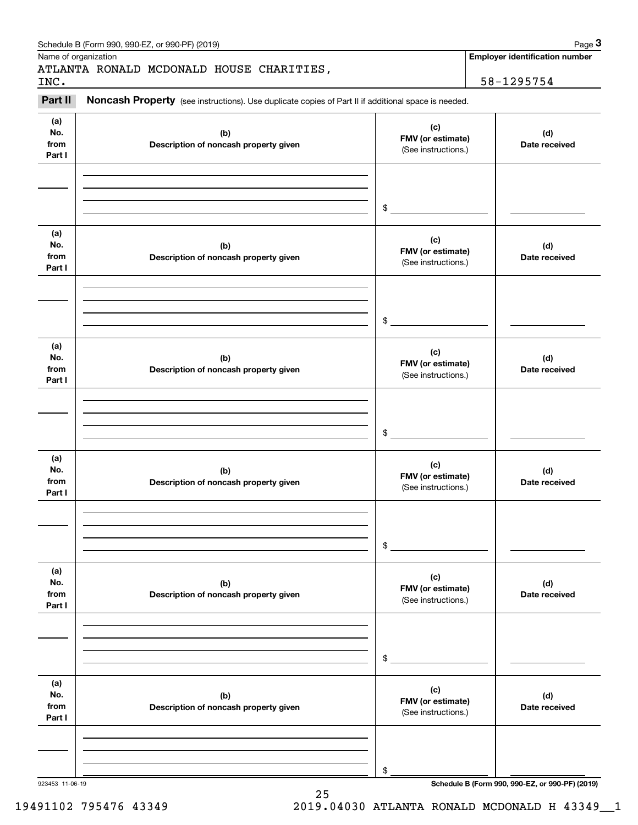|                              | Schedule B (Form 990, 990-EZ, or 990-PF) (2019)                                                     |                                                 | Page 3                                          |
|------------------------------|-----------------------------------------------------------------------------------------------------|-------------------------------------------------|-------------------------------------------------|
|                              | Name of organization<br>ATLANTA RONALD MCDONALD HOUSE CHARITIES,                                    |                                                 | <b>Employer identification number</b>           |
| INC.<br>Part II              | Noncash Property (see instructions). Use duplicate copies of Part II if additional space is needed. |                                                 | 58-1295754                                      |
| (a)<br>No.<br>from<br>Part I | (b)<br>Description of noncash property given                                                        | (c)<br>FMV (or estimate)<br>(See instructions.) | (d)<br>Date received                            |
|                              |                                                                                                     | \$                                              |                                                 |
| (a)<br>No.<br>from<br>Part I | (b)<br>Description of noncash property given                                                        | (c)<br>FMV (or estimate)<br>(See instructions.) | (d)<br>Date received                            |
|                              |                                                                                                     | \$                                              |                                                 |
| (a)<br>No.<br>from<br>Part I | (b)<br>Description of noncash property given                                                        | (c)<br>FMV (or estimate)<br>(See instructions.) | (d)<br>Date received                            |
|                              |                                                                                                     | \$                                              |                                                 |
| (a)<br>No.<br>from<br>Part I | (b)<br>Description of noncash property given                                                        | (c)<br>FMV (or estimate)<br>(See instructions.) | (d)<br>Date received                            |
|                              |                                                                                                     | \$                                              |                                                 |
| (a)<br>No.<br>from<br>Part I | (b)<br>Description of noncash property given                                                        | (c)<br>FMV (or estimate)<br>(See instructions.) | (d)<br>Date received                            |
|                              |                                                                                                     | \$                                              |                                                 |
| (a)<br>No.<br>from<br>Part I | (b)<br>Description of noncash property given                                                        | (c)<br>FMV (or estimate)<br>(See instructions.) | (d)<br>Date received                            |
|                              |                                                                                                     | \$                                              |                                                 |
| 923453 11-06-19              |                                                                                                     |                                                 | Schedule B (Form 990, 990-EZ, or 990-PF) (2019) |

25 19491102 795476 43349 2019.04030 ATLANTA RONALD MCDONALD H 43349\_\_1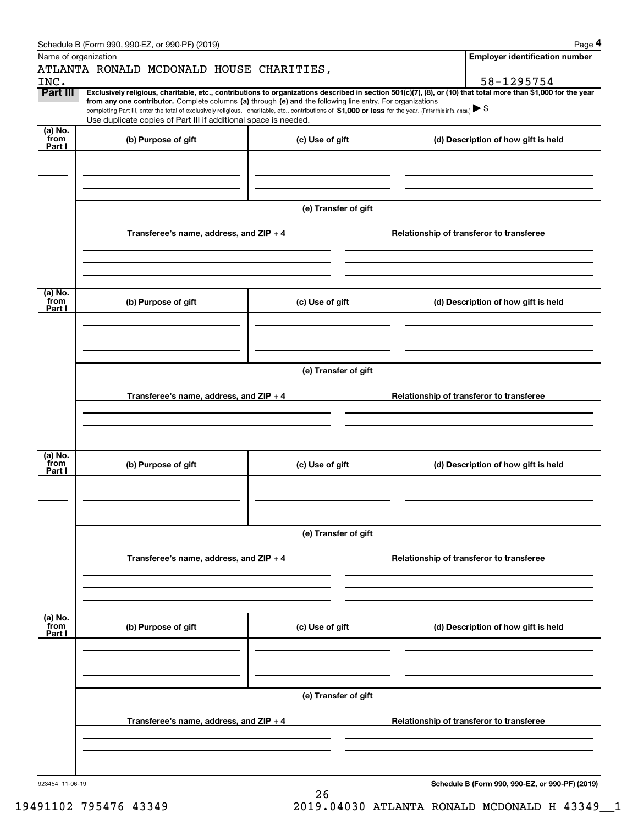|                      | Schedule B (Form 990, 990-EZ, or 990-PF) (2019)                                                                                                                                                                                                      |                      | Page 4                                                                                                                                                                       |
|----------------------|------------------------------------------------------------------------------------------------------------------------------------------------------------------------------------------------------------------------------------------------------|----------------------|------------------------------------------------------------------------------------------------------------------------------------------------------------------------------|
| Name of organization |                                                                                                                                                                                                                                                      |                      | <b>Employer identification number</b>                                                                                                                                        |
|                      | ATLANTA RONALD MCDONALD HOUSE CHARITIES,                                                                                                                                                                                                             |                      |                                                                                                                                                                              |
| INC.<br>Part III     |                                                                                                                                                                                                                                                      |                      | 58-1295754<br>Exclusively religious, charitable, etc., contributions to organizations described in section 501(c)(7), (8), or (10) that total more than \$1,000 for the year |
|                      | from any one contributor. Complete columns (a) through (e) and the following line entry. For organizations                                                                                                                                           |                      |                                                                                                                                                                              |
|                      | completing Part III, enter the total of exclusively religious, charitable, etc., contributions of \$1,000 or less for the year. (Enter this info. once.) $\blacktriangleright$ \$<br>Use duplicate copies of Part III if additional space is needed. |                      |                                                                                                                                                                              |
| $(a)$ No.            |                                                                                                                                                                                                                                                      |                      |                                                                                                                                                                              |
| from<br>Part I       | (b) Purpose of gift                                                                                                                                                                                                                                  | (c) Use of gift      | (d) Description of how gift is held                                                                                                                                          |
|                      |                                                                                                                                                                                                                                                      |                      |                                                                                                                                                                              |
|                      |                                                                                                                                                                                                                                                      |                      |                                                                                                                                                                              |
|                      |                                                                                                                                                                                                                                                      |                      |                                                                                                                                                                              |
|                      |                                                                                                                                                                                                                                                      |                      |                                                                                                                                                                              |
|                      |                                                                                                                                                                                                                                                      | (e) Transfer of gift |                                                                                                                                                                              |
|                      |                                                                                                                                                                                                                                                      |                      |                                                                                                                                                                              |
|                      | Transferee's name, address, and ZIP + 4                                                                                                                                                                                                              |                      | Relationship of transferor to transferee                                                                                                                                     |
|                      |                                                                                                                                                                                                                                                      |                      |                                                                                                                                                                              |
|                      |                                                                                                                                                                                                                                                      |                      |                                                                                                                                                                              |
|                      |                                                                                                                                                                                                                                                      |                      |                                                                                                                                                                              |
| (a) No.<br>from      |                                                                                                                                                                                                                                                      |                      |                                                                                                                                                                              |
| Part I               | (b) Purpose of gift                                                                                                                                                                                                                                  | (c) Use of gift      | (d) Description of how gift is held                                                                                                                                          |
|                      |                                                                                                                                                                                                                                                      |                      |                                                                                                                                                                              |
|                      |                                                                                                                                                                                                                                                      |                      |                                                                                                                                                                              |
|                      |                                                                                                                                                                                                                                                      |                      |                                                                                                                                                                              |
|                      |                                                                                                                                                                                                                                                      | (e) Transfer of gift |                                                                                                                                                                              |
|                      |                                                                                                                                                                                                                                                      |                      |                                                                                                                                                                              |
|                      | Transferee's name, address, and ZIP + 4                                                                                                                                                                                                              |                      | Relationship of transferor to transferee                                                                                                                                     |
|                      |                                                                                                                                                                                                                                                      |                      |                                                                                                                                                                              |
|                      |                                                                                                                                                                                                                                                      |                      |                                                                                                                                                                              |
|                      |                                                                                                                                                                                                                                                      |                      |                                                                                                                                                                              |
| (a) No.              |                                                                                                                                                                                                                                                      |                      |                                                                                                                                                                              |
| from<br>Part I       | (b) Purpose of gift                                                                                                                                                                                                                                  | (c) Use of gift      | (d) Description of how gift is held                                                                                                                                          |
|                      |                                                                                                                                                                                                                                                      |                      |                                                                                                                                                                              |
|                      |                                                                                                                                                                                                                                                      |                      |                                                                                                                                                                              |
|                      |                                                                                                                                                                                                                                                      |                      |                                                                                                                                                                              |
|                      |                                                                                                                                                                                                                                                      |                      |                                                                                                                                                                              |
|                      |                                                                                                                                                                                                                                                      | (e) Transfer of gift |                                                                                                                                                                              |
|                      |                                                                                                                                                                                                                                                      |                      |                                                                                                                                                                              |
|                      | Transferee's name, address, and $ZIP + 4$                                                                                                                                                                                                            |                      | Relationship of transferor to transferee                                                                                                                                     |
|                      |                                                                                                                                                                                                                                                      |                      |                                                                                                                                                                              |
|                      |                                                                                                                                                                                                                                                      |                      |                                                                                                                                                                              |
|                      |                                                                                                                                                                                                                                                      |                      |                                                                                                                                                                              |
| (a) No.<br>from      | (b) Purpose of gift                                                                                                                                                                                                                                  | (c) Use of gift      | (d) Description of how gift is held                                                                                                                                          |
| Part I               |                                                                                                                                                                                                                                                      |                      |                                                                                                                                                                              |
|                      |                                                                                                                                                                                                                                                      |                      |                                                                                                                                                                              |
|                      |                                                                                                                                                                                                                                                      |                      |                                                                                                                                                                              |
|                      |                                                                                                                                                                                                                                                      |                      |                                                                                                                                                                              |
|                      |                                                                                                                                                                                                                                                      | (e) Transfer of gift |                                                                                                                                                                              |
|                      |                                                                                                                                                                                                                                                      |                      |                                                                                                                                                                              |
|                      | Transferee's name, address, and $ZIP + 4$                                                                                                                                                                                                            |                      | Relationship of transferor to transferee                                                                                                                                     |
|                      |                                                                                                                                                                                                                                                      |                      |                                                                                                                                                                              |
|                      |                                                                                                                                                                                                                                                      |                      |                                                                                                                                                                              |
|                      |                                                                                                                                                                                                                                                      |                      |                                                                                                                                                                              |
|                      |                                                                                                                                                                                                                                                      |                      |                                                                                                                                                                              |

26

923454 11-06-19

**Schedule B (Form 990, 990-EZ, or 990-PF) (2019)**

19491102 795476 43349 2019.04030 ATLANTA RONALD MCDONALD H 43349\_\_1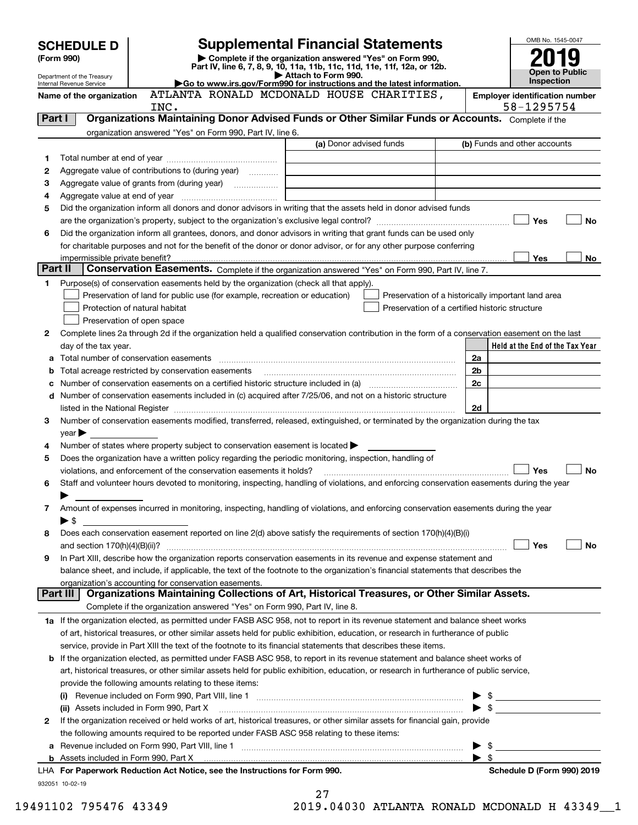|         | <b>SCHEDULE D</b>              |                                                                                                                                                                                                                                | <b>Supplemental Financial Statements</b>                                                        |                                                    | OMB No. 1545-0047                     |
|---------|--------------------------------|--------------------------------------------------------------------------------------------------------------------------------------------------------------------------------------------------------------------------------|-------------------------------------------------------------------------------------------------|----------------------------------------------------|---------------------------------------|
|         | (Form 990)                     |                                                                                                                                                                                                                                | Complete if the organization answered "Yes" on Form 990,                                        |                                                    |                                       |
|         | Department of the Treasury     |                                                                                                                                                                                                                                | Part IV, line 6, 7, 8, 9, 10, 11a, 11b, 11c, 11d, 11e, 11f, 12a, or 12b.<br>Attach to Form 990. |                                                    | <b>Open to Public</b>                 |
|         | Internal Revenue Service       |                                                                                                                                                                                                                                | Go to www.irs.gov/Form990 for instructions and the latest information.                          |                                                    | Inspection                            |
|         | Name of the organization       |                                                                                                                                                                                                                                | ATLANTA RONALD MCDONALD HOUSE CHARITIES,                                                        |                                                    | <b>Employer identification number</b> |
| Part I  |                                | INC.<br>Organizations Maintaining Donor Advised Funds or Other Similar Funds or Accounts. Complete if the                                                                                                                      |                                                                                                 |                                                    | 58-1295754                            |
|         |                                | organization answered "Yes" on Form 990, Part IV, line 6.                                                                                                                                                                      |                                                                                                 |                                                    |                                       |
|         |                                |                                                                                                                                                                                                                                | (a) Donor advised funds                                                                         |                                                    | (b) Funds and other accounts          |
| 1       |                                |                                                                                                                                                                                                                                |                                                                                                 |                                                    |                                       |
| 2       |                                | Aggregate value of contributions to (during year)                                                                                                                                                                              |                                                                                                 |                                                    |                                       |
| з       |                                |                                                                                                                                                                                                                                |                                                                                                 |                                                    |                                       |
| 4       |                                |                                                                                                                                                                                                                                |                                                                                                 |                                                    |                                       |
| 5       |                                | Did the organization inform all donors and donor advisors in writing that the assets held in donor advised funds                                                                                                               |                                                                                                 |                                                    |                                       |
|         |                                |                                                                                                                                                                                                                                |                                                                                                 |                                                    | Yes<br><b>No</b>                      |
| 6       |                                | Did the organization inform all grantees, donors, and donor advisors in writing that grant funds can be used only                                                                                                              |                                                                                                 |                                                    |                                       |
|         |                                | for charitable purposes and not for the benefit of the donor or donor advisor, or for any other purpose conferring                                                                                                             |                                                                                                 |                                                    |                                       |
|         | impermissible private benefit? |                                                                                                                                                                                                                                |                                                                                                 |                                                    | Yes<br>No                             |
| Part II |                                | Conservation Easements. Complete if the organization answered "Yes" on Form 990, Part IV, line 7.                                                                                                                              |                                                                                                 |                                                    |                                       |
| 1       |                                | Purpose(s) of conservation easements held by the organization (check all that apply).                                                                                                                                          |                                                                                                 |                                                    |                                       |
|         |                                | Preservation of land for public use (for example, recreation or education)                                                                                                                                                     |                                                                                                 | Preservation of a historically important land area |                                       |
|         |                                | Protection of natural habitat                                                                                                                                                                                                  |                                                                                                 | Preservation of a certified historic structure     |                                       |
| 2       |                                | Preservation of open space<br>Complete lines 2a through 2d if the organization held a qualified conservation contribution in the form of a conservation easement on the last                                                   |                                                                                                 |                                                    |                                       |
|         | day of the tax year.           |                                                                                                                                                                                                                                |                                                                                                 |                                                    | Held at the End of the Tax Year       |
| а       |                                |                                                                                                                                                                                                                                |                                                                                                 | 2a                                                 |                                       |
| b       |                                | Total acreage restricted by conservation easements                                                                                                                                                                             |                                                                                                 | 2b                                                 |                                       |
|         |                                | Number of conservation easements on a certified historic structure included in (a) manufacture included in (a)                                                                                                                 |                                                                                                 | 2c                                                 |                                       |
| d       |                                | Number of conservation easements included in (c) acquired after 7/25/06, and not on a historic structure                                                                                                                       |                                                                                                 |                                                    |                                       |
|         |                                | listed in the National Register [111] [12] The Materian Control of the National Register [12] The Mational Register [12] [12] The Material Anna Material Anna Material Anna Material Anna Material Anna Material Anna Material |                                                                                                 | 2d                                                 |                                       |
| 3       |                                | Number of conservation easements modified, transferred, released, extinguished, or terminated by the organization during the tax                                                                                               |                                                                                                 |                                                    |                                       |
|         | $year \blacktriangleright$     |                                                                                                                                                                                                                                |                                                                                                 |                                                    |                                       |
| 4       |                                | Number of states where property subject to conservation easement is located $\blacktriangleright$                                                                                                                              |                                                                                                 |                                                    |                                       |
| 5       |                                | Does the organization have a written policy regarding the periodic monitoring, inspection, handling of                                                                                                                         |                                                                                                 |                                                    |                                       |
|         |                                | violations, and enforcement of the conservation easements it holds?                                                                                                                                                            |                                                                                                 |                                                    | Yes<br><b>No</b>                      |
| 6       |                                | Staff and volunteer hours devoted to monitoring, inspecting, handling of violations, and enforcing conservation easements during the year                                                                                      |                                                                                                 |                                                    |                                       |
|         |                                |                                                                                                                                                                                                                                |                                                                                                 |                                                    |                                       |
| 7       |                                | Amount of expenses incurred in monitoring, inspecting, handling of violations, and enforcing conservation easements during the year                                                                                            |                                                                                                 |                                                    |                                       |
|         | $\blacktriangleright$ \$       |                                                                                                                                                                                                                                |                                                                                                 |                                                    |                                       |
| 8       |                                | Does each conservation easement reported on line 2(d) above satisfy the requirements of section 170(h)(4)(B)(i)                                                                                                                |                                                                                                 |                                                    |                                       |
|         |                                |                                                                                                                                                                                                                                |                                                                                                 |                                                    | Yes<br>No                             |
| 9       |                                | In Part XIII, describe how the organization reports conservation easements in its revenue and expense statement and                                                                                                            |                                                                                                 |                                                    |                                       |
|         |                                | balance sheet, and include, if applicable, the text of the footnote to the organization's financial statements that describes the<br>organization's accounting for conservation easements.                                     |                                                                                                 |                                                    |                                       |
|         | Part III                       | Organizations Maintaining Collections of Art, Historical Treasures, or Other Similar Assets.                                                                                                                                   |                                                                                                 |                                                    |                                       |
|         |                                | Complete if the organization answered "Yes" on Form 990, Part IV, line 8.                                                                                                                                                      |                                                                                                 |                                                    |                                       |
|         |                                | 1a If the organization elected, as permitted under FASB ASC 958, not to report in its revenue statement and balance sheet works                                                                                                |                                                                                                 |                                                    |                                       |
|         |                                | of art, historical treasures, or other similar assets held for public exhibition, education, or research in furtherance of public                                                                                              |                                                                                                 |                                                    |                                       |
|         |                                | service, provide in Part XIII the text of the footnote to its financial statements that describes these items.                                                                                                                 |                                                                                                 |                                                    |                                       |
|         |                                | <b>b</b> If the organization elected, as permitted under FASB ASC 958, to report in its revenue statement and balance sheet works of                                                                                           |                                                                                                 |                                                    |                                       |
|         |                                | art, historical treasures, or other similar assets held for public exhibition, education, or research in furtherance of public service,                                                                                        |                                                                                                 |                                                    |                                       |
|         |                                | provide the following amounts relating to these items:                                                                                                                                                                         |                                                                                                 |                                                    |                                       |
|         |                                |                                                                                                                                                                                                                                |                                                                                                 |                                                    | $\triangleright$ \$                   |
|         |                                | (ii) Assets included in Form 990, Part X                                                                                                                                                                                       |                                                                                                 |                                                    | $\bullet$ \$                          |
| 2       |                                | If the organization received or held works of art, historical treasures, or other similar assets for financial gain, provide                                                                                                   |                                                                                                 |                                                    |                                       |
|         |                                | the following amounts required to be reported under FASB ASC 958 relating to these items:                                                                                                                                      |                                                                                                 |                                                    |                                       |
| а       |                                |                                                                                                                                                                                                                                |                                                                                                 | \$                                                 |                                       |
|         |                                |                                                                                                                                                                                                                                |                                                                                                 | $\blacktriangleright$ \$                           |                                       |
|         |                                | LHA For Paperwork Reduction Act Notice, see the Instructions for Form 990.                                                                                                                                                     |                                                                                                 |                                                    | Schedule D (Form 990) 2019            |
|         | 932051 10-02-19                |                                                                                                                                                                                                                                | 27                                                                                              |                                                    |                                       |

19491102 795476 43349 2019.04030 ATLANTA RONALD MCDONALD H 43349\_\_1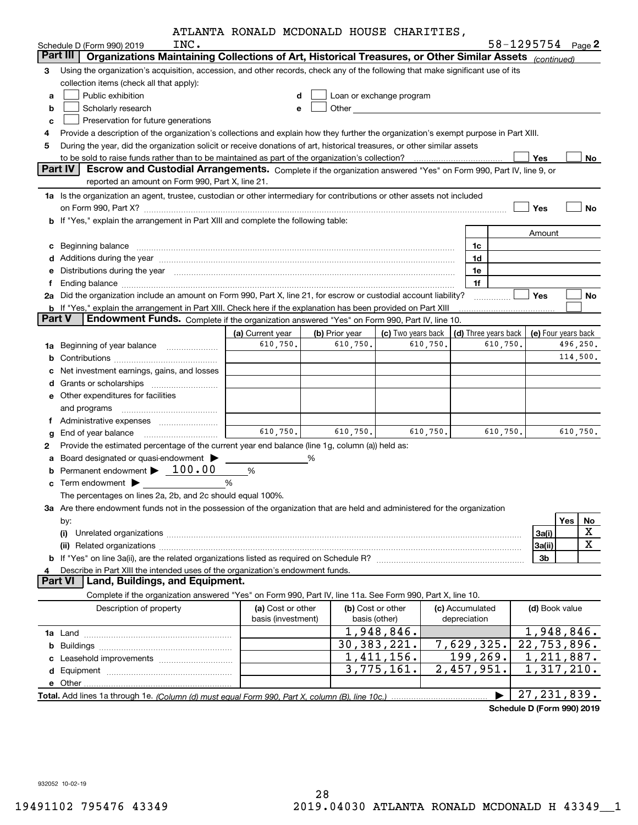|        | INC.                                                                                                                                                                                                                           | ATLANIA KONALD MCDONALD HOUSE CHARITIES, |   |                |                                                                                                                                                                                                                               |          |                 |                      | 58-1295754 Page 2          |                |                     |
|--------|--------------------------------------------------------------------------------------------------------------------------------------------------------------------------------------------------------------------------------|------------------------------------------|---|----------------|-------------------------------------------------------------------------------------------------------------------------------------------------------------------------------------------------------------------------------|----------|-----------------|----------------------|----------------------------|----------------|---------------------|
|        | Schedule D (Form 990) 2019<br>Organizations Maintaining Collections of Art, Historical Treasures, or Other Similar Assets (continued)<br>Part III                                                                              |                                          |   |                |                                                                                                                                                                                                                               |          |                 |                      |                            |                |                     |
| з      | Using the organization's acquisition, accession, and other records, check any of the following that make significant use of its                                                                                                |                                          |   |                |                                                                                                                                                                                                                               |          |                 |                      |                            |                |                     |
|        | collection items (check all that apply):                                                                                                                                                                                       |                                          |   |                |                                                                                                                                                                                                                               |          |                 |                      |                            |                |                     |
| а      | Public exhibition                                                                                                                                                                                                              | d                                        |   |                | Loan or exchange program                                                                                                                                                                                                      |          |                 |                      |                            |                |                     |
| b      | Scholarly research                                                                                                                                                                                                             | e                                        |   |                | Other and the contract of the contract of the contract of the contract of the contract of the contract of the contract of the contract of the contract of the contract of the contract of the contract of the contract of the |          |                 |                      |                            |                |                     |
| c      | Preservation for future generations                                                                                                                                                                                            |                                          |   |                |                                                                                                                                                                                                                               |          |                 |                      |                            |                |                     |
| 4      | Provide a description of the organization's collections and explain how they further the organization's exempt purpose in Part XIII.                                                                                           |                                          |   |                |                                                                                                                                                                                                                               |          |                 |                      |                            |                |                     |
| 5      | During the year, did the organization solicit or receive donations of art, historical treasures, or other similar assets                                                                                                       |                                          |   |                |                                                                                                                                                                                                                               |          |                 |                      |                            |                |                     |
|        |                                                                                                                                                                                                                                |                                          |   |                |                                                                                                                                                                                                                               |          |                 |                      | Yes                        |                | No                  |
|        | Part IV<br>Escrow and Custodial Arrangements. Complete if the organization answered "Yes" on Form 990, Part IV, line 9, or                                                                                                     |                                          |   |                |                                                                                                                                                                                                                               |          |                 |                      |                            |                |                     |
|        | reported an amount on Form 990, Part X, line 21.                                                                                                                                                                               |                                          |   |                |                                                                                                                                                                                                                               |          |                 |                      |                            |                |                     |
|        | 1a Is the organization an agent, trustee, custodian or other intermediary for contributions or other assets not included                                                                                                       |                                          |   |                |                                                                                                                                                                                                                               |          |                 |                      |                            |                |                     |
|        |                                                                                                                                                                                                                                |                                          |   |                |                                                                                                                                                                                                                               |          |                 |                      | Yes                        |                | <b>No</b>           |
|        | b If "Yes," explain the arrangement in Part XIII and complete the following table:                                                                                                                                             |                                          |   |                |                                                                                                                                                                                                                               |          |                 |                      |                            |                |                     |
|        |                                                                                                                                                                                                                                |                                          |   |                |                                                                                                                                                                                                                               |          |                 |                      | Amount                     |                |                     |
| с      |                                                                                                                                                                                                                                |                                          |   |                |                                                                                                                                                                                                                               |          | 1c              |                      |                            |                |                     |
|        | d Additions during the year manufactured and an account of a state of the state of an account of the state of                                                                                                                  |                                          |   |                |                                                                                                                                                                                                                               |          | 1d              |                      |                            |                |                     |
| е      | Distributions during the year manufactured and continuum control of the state of the control of the state of the state of the state of the state of the state of the state of the state of the state of the state of the state |                                          |   |                |                                                                                                                                                                                                                               |          | 1e              |                      |                            |                |                     |
| f      | Ending balance measurements are all the contract of the contract of the contract of the contract of the contract of the contract of the contract of the contract of the contract of the contract of the contract of the contra |                                          |   |                |                                                                                                                                                                                                                               |          | 1f              |                      |                            |                |                     |
|        | 2a Did the organization include an amount on Form 990, Part X, line 21, for escrow or custodial account liability?                                                                                                             |                                          |   |                |                                                                                                                                                                                                                               |          |                 |                      | Yes                        |                | No                  |
|        | b If "Yes," explain the arrangement in Part XIII. Check here if the explanation has been provided on Part XIII                                                                                                                 |                                          |   |                |                                                                                                                                                                                                                               |          |                 |                      |                            |                |                     |
| Part V | Endowment Funds. Complete if the organization answered "Yes" on Form 990, Part IV, line 10.                                                                                                                                    |                                          |   |                |                                                                                                                                                                                                                               |          |                 |                      |                            |                |                     |
|        |                                                                                                                                                                                                                                | (a) Current year                         |   | (b) Prior year | (c) Two years back                                                                                                                                                                                                            |          |                 | (d) Three years back |                            |                | (e) Four years back |
| 1a     | Beginning of year balance <i>manumman</i>                                                                                                                                                                                      | 610,750.                                 |   | 610,750.       |                                                                                                                                                                                                                               | 610,750. |                 | 610,750.             |                            |                | 496,250.            |
| b      |                                                                                                                                                                                                                                |                                          |   |                |                                                                                                                                                                                                                               |          |                 |                      |                            |                | 114,500.            |
| c      | Net investment earnings, gains, and losses                                                                                                                                                                                     |                                          |   |                |                                                                                                                                                                                                                               |          |                 |                      |                            |                |                     |
| d      |                                                                                                                                                                                                                                |                                          |   |                |                                                                                                                                                                                                                               |          |                 |                      |                            |                |                     |
|        | <b>e</b> Other expenditures for facilities                                                                                                                                                                                     |                                          |   |                |                                                                                                                                                                                                                               |          |                 |                      |                            |                |                     |
|        | and programs                                                                                                                                                                                                                   |                                          |   |                |                                                                                                                                                                                                                               |          |                 |                      |                            |                |                     |
|        |                                                                                                                                                                                                                                |                                          |   |                |                                                                                                                                                                                                                               |          |                 |                      |                            |                |                     |
| g      |                                                                                                                                                                                                                                | 610,750.                                 |   | 610,750.       |                                                                                                                                                                                                                               | 610,750. |                 | 610,750.             |                            |                | 610,750.            |
| 2      | Provide the estimated percentage of the current year end balance (line 1g, column (a)) held as:                                                                                                                                |                                          |   |                |                                                                                                                                                                                                                               |          |                 |                      |                            |                |                     |
| а      | Board designated or quasi-endowment                                                                                                                                                                                            |                                          | % |                |                                                                                                                                                                                                                               |          |                 |                      |                            |                |                     |
|        | Permanent endowment $\blacktriangleright$ 100.00                                                                                                                                                                               | %                                        |   |                |                                                                                                                                                                                                                               |          |                 |                      |                            |                |                     |
|        | Term endowment <b>Definition</b>                                                                                                                                                                                               | %                                        |   |                |                                                                                                                                                                                                                               |          |                 |                      |                            |                |                     |
|        | The percentages on lines 2a, 2b, and 2c should equal 100%.                                                                                                                                                                     |                                          |   |                |                                                                                                                                                                                                                               |          |                 |                      |                            |                |                     |
|        | 3a Are there endowment funds not in the possession of the organization that are held and administered for the organization                                                                                                     |                                          |   |                |                                                                                                                                                                                                                               |          |                 |                      |                            |                |                     |
|        | by:                                                                                                                                                                                                                            |                                          |   |                |                                                                                                                                                                                                                               |          |                 |                      |                            | Yes            | No                  |
|        |                                                                                                                                                                                                                                |                                          |   |                |                                                                                                                                                                                                                               |          |                 |                      | 3a(i)                      |                | х                   |
|        |                                                                                                                                                                                                                                |                                          |   |                |                                                                                                                                                                                                                               |          |                 |                      | 3a(ii)                     |                | X                   |
|        |                                                                                                                                                                                                                                |                                          |   |                |                                                                                                                                                                                                                               |          |                 |                      | 3b                         |                |                     |
| 4      | Describe in Part XIII the intended uses of the organization's endowment funds.                                                                                                                                                 |                                          |   |                |                                                                                                                                                                                                                               |          |                 |                      |                            |                |                     |
|        | Land, Buildings, and Equipment.<br>Part VI                                                                                                                                                                                     |                                          |   |                |                                                                                                                                                                                                                               |          |                 |                      |                            |                |                     |
|        | Complete if the organization answered "Yes" on Form 990, Part IV, line 11a. See Form 990, Part X, line 10.                                                                                                                     |                                          |   |                |                                                                                                                                                                                                                               |          |                 |                      |                            |                |                     |
|        | Description of property                                                                                                                                                                                                        | (a) Cost or other                        |   |                | (b) Cost or other                                                                                                                                                                                                             |          | (c) Accumulated |                      |                            | (d) Book value |                     |
|        |                                                                                                                                                                                                                                | basis (investment)                       |   | basis (other)  |                                                                                                                                                                                                                               |          | depreciation    |                      |                            |                |                     |
|        |                                                                                                                                                                                                                                |                                          |   |                | 1,948,846.                                                                                                                                                                                                                    |          |                 |                      |                            |                | 1,948,846.          |
| b      |                                                                                                                                                                                                                                |                                          |   |                | 30, 383, 221.                                                                                                                                                                                                                 |          |                 | 7,629,325.           | 22,753,896.                |                |                     |
|        |                                                                                                                                                                                                                                |                                          |   |                | 1,411,156.                                                                                                                                                                                                                    |          | 199,269.        |                      |                            |                | 1,211,887.          |
|        |                                                                                                                                                                                                                                |                                          |   |                | 3,775,161.                                                                                                                                                                                                                    |          | 2,457,951.      |                      |                            |                | 1,317,210.          |
|        |                                                                                                                                                                                                                                |                                          |   |                |                                                                                                                                                                                                                               |          |                 |                      |                            |                |                     |
|        |                                                                                                                                                                                                                                |                                          |   |                |                                                                                                                                                                                                                               |          |                 |                      | 27, 231, 839.              |                |                     |
|        |                                                                                                                                                                                                                                |                                          |   |                |                                                                                                                                                                                                                               |          |                 |                      | Schedule D (Form 990) 2019 |                |                     |

932052 10-02-19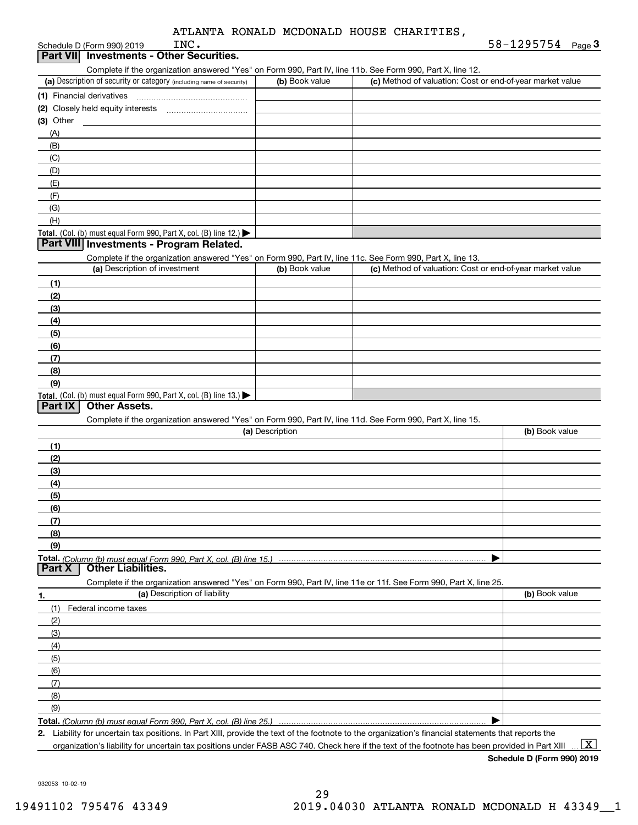|  |  |  |  | ATLANTA RONALD MCDONALD HOUSE CHARITIES. |
|--|--|--|--|------------------------------------------|
|--|--|--|--|------------------------------------------|

|             | INC.<br>Schedule D (Form 990) 2019                                                                                                          |                 |                                                           | 58-1295754 $_{Page}$ 3 |
|-------------|---------------------------------------------------------------------------------------------------------------------------------------------|-----------------|-----------------------------------------------------------|------------------------|
|             | Part VII Investments - Other Securities.                                                                                                    |                 |                                                           |                        |
|             | Complete if the organization answered "Yes" on Form 990, Part IV, line 11b. See Form 990, Part X, line 12.                                  |                 |                                                           |                        |
|             | (a) Description of security or category (including name of security)                                                                        | (b) Book value  | (c) Method of valuation: Cost or end-of-year market value |                        |
|             |                                                                                                                                             |                 |                                                           |                        |
|             |                                                                                                                                             |                 |                                                           |                        |
| $(3)$ Other |                                                                                                                                             |                 |                                                           |                        |
| (A)         |                                                                                                                                             |                 |                                                           |                        |
| (B)         |                                                                                                                                             |                 |                                                           |                        |
| (C)         |                                                                                                                                             |                 |                                                           |                        |
| (D)         |                                                                                                                                             |                 |                                                           |                        |
| (E)         |                                                                                                                                             |                 |                                                           |                        |
| (F)         |                                                                                                                                             |                 |                                                           |                        |
| (G)         |                                                                                                                                             |                 |                                                           |                        |
| (H)         |                                                                                                                                             |                 |                                                           |                        |
|             | Total. (Col. (b) must equal Form 990, Part X, col. (B) line 12.)                                                                            |                 |                                                           |                        |
|             | Part VIII Investments - Program Related.                                                                                                    |                 |                                                           |                        |
|             | Complete if the organization answered "Yes" on Form 990, Part IV, line 11c. See Form 990, Part X, line 13.<br>(a) Description of investment |                 | (c) Method of valuation: Cost or end-of-year market value |                        |
|             |                                                                                                                                             | (b) Book value  |                                                           |                        |
| (1)         |                                                                                                                                             |                 |                                                           |                        |
| (2)         |                                                                                                                                             |                 |                                                           |                        |
| (3)<br>(4)  |                                                                                                                                             |                 |                                                           |                        |
| (5)         |                                                                                                                                             |                 |                                                           |                        |
| (6)         |                                                                                                                                             |                 |                                                           |                        |
| (7)         |                                                                                                                                             |                 |                                                           |                        |
| (8)         |                                                                                                                                             |                 |                                                           |                        |
| (9)         |                                                                                                                                             |                 |                                                           |                        |
|             | Total. (Col. (b) must equal Form 990, Part X, col. (B) line 13.)                                                                            |                 |                                                           |                        |
| Part IX     | <b>Other Assets.</b>                                                                                                                        |                 |                                                           |                        |
|             | Complete if the organization answered "Yes" on Form 990, Part IV, line 11d. See Form 990, Part X, line 15.                                  |                 |                                                           |                        |
|             |                                                                                                                                             | (a) Description |                                                           | (b) Book value         |
| (1)         |                                                                                                                                             |                 |                                                           |                        |
| (2)         |                                                                                                                                             |                 |                                                           |                        |
| (3)         |                                                                                                                                             |                 |                                                           |                        |
| (4)         |                                                                                                                                             |                 |                                                           |                        |
| (5)         |                                                                                                                                             |                 |                                                           |                        |
| (6)         |                                                                                                                                             |                 |                                                           |                        |
| (7)         |                                                                                                                                             |                 |                                                           |                        |
| (8)         |                                                                                                                                             |                 |                                                           |                        |
| (9)         |                                                                                                                                             |                 |                                                           |                        |
| Part X      | <b>Other Liabilities.</b>                                                                                                                   |                 |                                                           |                        |
|             | Complete if the organization answered "Yes" on Form 990, Part IV, line 11e or 11f. See Form 990, Part X, line 25.                           |                 |                                                           |                        |
| 1.          | (a) Description of liability                                                                                                                |                 |                                                           | (b) Book value         |
| (1)         | Federal income taxes                                                                                                                        |                 |                                                           |                        |
| (2)         |                                                                                                                                             |                 |                                                           |                        |
| (3)         |                                                                                                                                             |                 |                                                           |                        |
| (4)         |                                                                                                                                             |                 |                                                           |                        |
| (5)         |                                                                                                                                             |                 |                                                           |                        |
| (6)         |                                                                                                                                             |                 |                                                           |                        |
| (7)         |                                                                                                                                             |                 |                                                           |                        |
| (8)         |                                                                                                                                             |                 |                                                           |                        |
| (9)         |                                                                                                                                             |                 |                                                           |                        |
|             | Total. (Column (b) must equal Form 990, Part X, col. (B) line 25.)                                                                          |                 |                                                           |                        |

**2.** Liability for uncertain tax positions. In Part XIII, provide the text of the footnote to the organization's financial statements that reports the organization's liability for uncertain tax positions under FASB ASC 740. Check here if the text of the footnote has been provided in Part XIII

 $\boxed{\text{X}}$ 

**Schedule D (Form 990) 2019**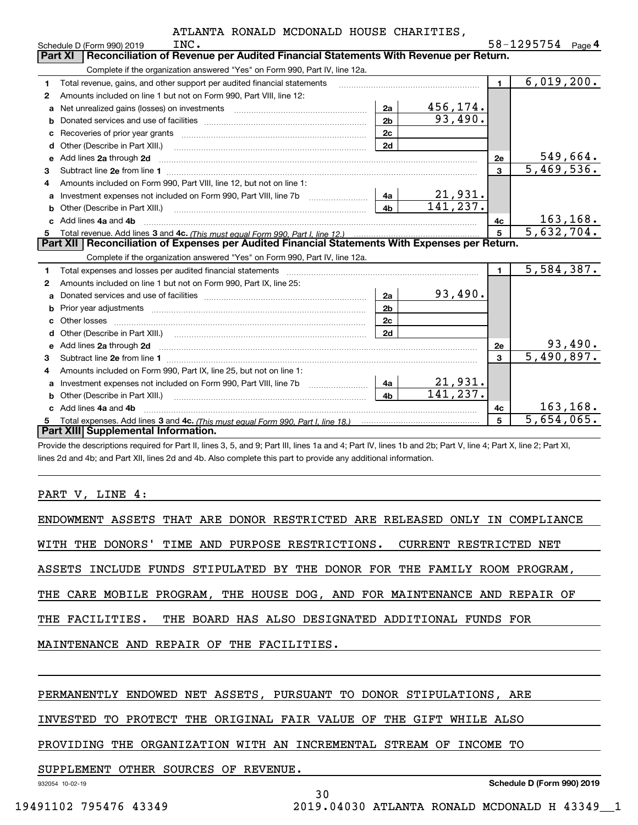|   | INC.<br>Schedule D (Form 990) 2019                                                                                                                                                                                                  |                |           |                | 58-1295754                  | Page 4 |
|---|-------------------------------------------------------------------------------------------------------------------------------------------------------------------------------------------------------------------------------------|----------------|-----------|----------------|-----------------------------|--------|
|   | Reconciliation of Revenue per Audited Financial Statements With Revenue per Return.<br><b>Part XI</b>                                                                                                                               |                |           |                |                             |        |
|   | Complete if the organization answered "Yes" on Form 990, Part IV, line 12a.                                                                                                                                                         |                |           |                |                             |        |
| 1 | Total revenue, gains, and other support per audited financial statements                                                                                                                                                            |                |           | $\blacksquare$ | 6,019,200.                  |        |
| 2 | Amounts included on line 1 but not on Form 990, Part VIII, line 12:                                                                                                                                                                 |                |           |                |                             |        |
| a |                                                                                                                                                                                                                                     | 2a             | 456, 174. |                |                             |        |
| b |                                                                                                                                                                                                                                     | 2 <sub>b</sub> | 93,490.   |                |                             |        |
| c |                                                                                                                                                                                                                                     | 2c             |           |                |                             |        |
| d | Other (Describe in Part XIII.)                                                                                                                                                                                                      | 2d             |           |                |                             |        |
| е | Add lines 2a through 2d                                                                                                                                                                                                             |                |           | 2e             | 549,664.                    |        |
| 3 |                                                                                                                                                                                                                                     |                |           | 3              | 5,469,536.                  |        |
| 4 | Amounts included on Form 990. Part VIII. line 12, but not on line 1:                                                                                                                                                                |                |           |                |                             |        |
| a | Investment expenses not included on Form 990, Part VIII, line 7b [11, 111, 111, 111]                                                                                                                                                | 4a             | 21,931.   |                |                             |        |
| b | Other (Describe in Part XIII.) <b>Construction Contract Construction</b> Chern Construction Construction Construction                                                                                                               | 4 <sub>b</sub> | 141,237.  |                |                             |        |
|   | Add lines 4a and 4b                                                                                                                                                                                                                 |                |           | 4с             | 163, 168.                   |        |
| 5 |                                                                                                                                                                                                                                     |                |           | 5              | $\overline{5,632,704.}$     |        |
|   |                                                                                                                                                                                                                                     |                |           |                |                             |        |
|   | Part XII   Reconciliation of Expenses per Audited Financial Statements With Expenses per Return.                                                                                                                                    |                |           |                |                             |        |
|   | Complete if the organization answered "Yes" on Form 990, Part IV, line 12a.                                                                                                                                                         |                |           |                |                             |        |
| 1 | Total expenses and losses per audited financial statements [11] [12] contain an intervention and contain a statements [13] [13] and the statements [13] [13] and the statements [13] and the statements [13] and the statement      |                |           | $\blacksquare$ | 5,584,387.                  |        |
| 2 | Amounts included on line 1 but not on Form 990, Part IX, line 25:                                                                                                                                                                   |                |           |                |                             |        |
| a |                                                                                                                                                                                                                                     | 2a             | 93,490.   |                |                             |        |
| b |                                                                                                                                                                                                                                     | 2 <sub>b</sub> |           |                |                             |        |
| с | Other losses                                                                                                                                                                                                                        | 2c             |           |                |                             |        |
|   |                                                                                                                                                                                                                                     | 2d             |           |                |                             |        |
| e |                                                                                                                                                                                                                                     |                |           | 2e             |                             |        |
| 3 | Add lines 2a through 2d <b>must be a constructed as the constant of the construction of the construction</b> and the construction of the construction of the construction of the construction of the construction of the constructi |                |           | $\mathbf{a}$   | $\frac{93,490}{5,490,897.}$ |        |
| 4 | Amounts included on Form 990, Part IX, line 25, but not on line 1:                                                                                                                                                                  |                |           |                |                             |        |
| a | Investment expenses not included on Form 990, Part VIII, line 7b [1000000000000000000000000000000000                                                                                                                                | 4a             | 21,931.   |                |                             |        |
|   | Other (Describe in Part XIII.)                                                                                                                                                                                                      | 4 <sub>b</sub> | 141, 237. |                |                             |        |
|   | Add lines 4a and 4b                                                                                                                                                                                                                 |                |           | 4c             | 163, 168.                   |        |
| 5 | <b>Part XIII Supplemental Information.</b>                                                                                                                                                                                          |                |           | 5              | $\overline{5,654,065}$ .    |        |

Provide the descriptions required for Part II, lines 3, 5, and 9; Part III, lines 1a and 4; Part IV, lines 1b and 2b; Part V, line 4; Part X, line 2; Part XI, lines 2d and 4b; and Part XII, lines 2d and 4b. Also complete this part to provide any additional information.

#### PART V, LINE 4:

| ENDOWMENT ASSETS THAT ARE DONOR RESTRICTED ARE RELEASED ONLY IN COMPLIANCE |
|----------------------------------------------------------------------------|
| WITH THE DONORS' TIME AND PURPOSE RESTRICTIONS. CURRENT RESTRICTED NET     |
| ASSETS INCLUDE FUNDS STIPULATED BY THE DONOR FOR THE FAMILY ROOM PROGRAM,  |
| THE CARE MOBILE PROGRAM, THE HOUSE DOG, AND FOR MAINTENANCE AND REPAIR OF  |
| THE FACILITIES. THE BOARD HAS ALSO DESIGNATED ADDITIONAL FUNDS FOR         |
| MAINTENANCE AND REPAIR OF THE FACILITIES.                                  |
|                                                                            |

30

## PERMANENTLY ENDOWED NET ASSETS, PURSUANT TO DONOR STIPULATIONS, ARE

INVESTED TO PROTECT THE ORIGINAL FAIR VALUE OF THE GIFT WHILE ALSO

PROVIDING THE ORGANIZATION WITH AN INCREMENTAL STREAM OF INCOME TO

#### SUPPLEMENT OTHER SOURCES OF REVENUE.

932054 10-02-19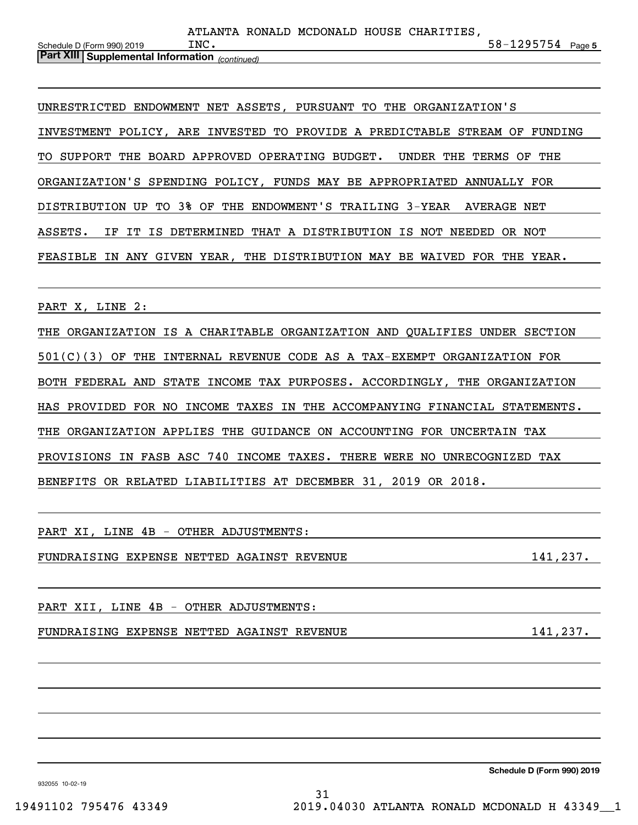| <b>Part XIII Supplemental Information</b> (continued) |      |  |                                          |                       |  |
|-------------------------------------------------------|------|--|------------------------------------------|-----------------------|--|
| Schedule D (Form 990) 2019                            | INC. |  |                                          | $58 - 1295754$ Page 5 |  |
|                                                       |      |  |                                          |                       |  |
|                                                       |      |  | ATLANTA RONALD MCDONALD HOUSE CHARITIES. |                       |  |

UNRESTRICTED ENDOWMENT NET ASSETS, PURSUANT TO THE ORGANIZATION'S INVESTMENT POLICY, ARE INVESTED TO PROVIDE A PREDICTABLE STREAM OF FUNDING TO SUPPORT THE BOARD APPROVED OPERATING BUDGET. UNDER THE TERMS OF THE ORGANIZATION'S SPENDING POLICY, FUNDS MAY BE APPROPRIATED ANNUALLY FOR DISTRIBUTION UP TO 3% OF THE ENDOWMENT'S TRAILING 3-YEAR AVERAGE NET ASSETS. IF IT IS DETERMINED THAT A DISTRIBUTION IS NOT NEEDED OR NOT FEASIBLE IN ANY GIVEN YEAR, THE DISTRIBUTION MAY BE WAIVED FOR THE YEAR.

PART X, LINE 2:

THE ORGANIZATION IS A CHARITABLE ORGANIZATION AND QUALIFIES UNDER SECTION 501(C)(3) OF THE INTERNAL REVENUE CODE AS A TAX-EXEMPT ORGANIZATION FOR BOTH FEDERAL AND STATE INCOME TAX PURPOSES. ACCORDINGLY, THE ORGANIZATION HAS PROVIDED FOR NO INCOME TAXES IN THE ACCOMPANYING FINANCIAL STATEMENTS. THE ORGANIZATION APPLIES THE GUIDANCE ON ACCOUNTING FOR UNCERTAIN TAX PROVISIONS IN FASB ASC 740 INCOME TAXES. THERE WERE NO UNRECOGNIZED TAX BENEFITS OR RELATED LIABILITIES AT DECEMBER 31, 2019 OR 2018.

PART XI, LINE 4B - OTHER ADJUSTMENTS:

FUNDRAISING EXPENSE NETTED AGAINST REVENUE 141,237.

PART XII, LINE 4B - OTHER ADJUSTMENTS:

FUNDRAISING EXPENSE NETTED AGAINST REVENUE 141,237.

**Schedule D (Form 990) 2019**

932055 10-02-19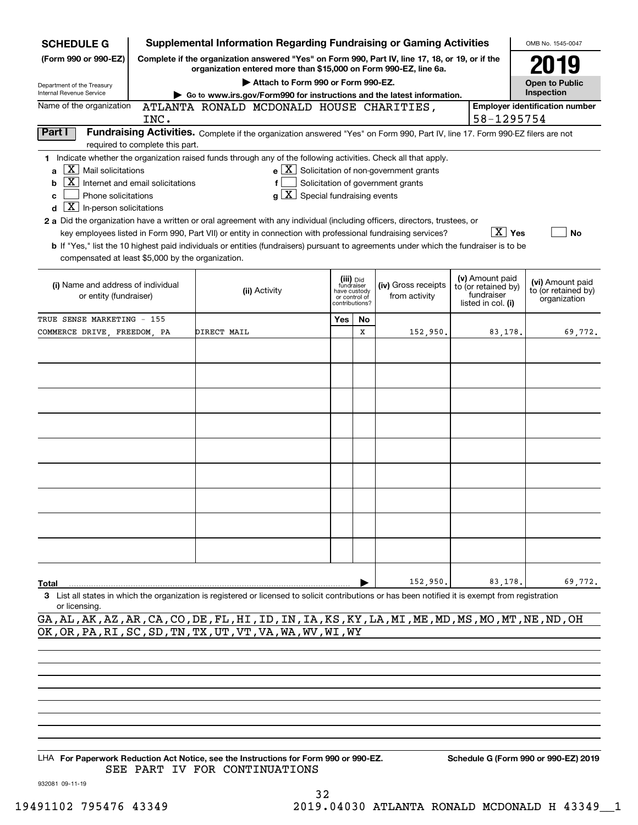| <b>SCHEDULE G</b>                                                                                                                                                | <b>Supplemental Information Regarding Fundraising or Gaming Activities</b>                                                                                                                                                                                                                                                                                                                                                                                                                                                                           |     |                                                                            |                                                                                                   |                                                                            | OMB No. 1545-0047                                       |
|------------------------------------------------------------------------------------------------------------------------------------------------------------------|------------------------------------------------------------------------------------------------------------------------------------------------------------------------------------------------------------------------------------------------------------------------------------------------------------------------------------------------------------------------------------------------------------------------------------------------------------------------------------------------------------------------------------------------------|-----|----------------------------------------------------------------------------|---------------------------------------------------------------------------------------------------|----------------------------------------------------------------------------|---------------------------------------------------------|
| (Form 990 or 990-EZ)                                                                                                                                             | Complete if the organization answered "Yes" on Form 990, Part IV, line 17, 18, or 19, or if the<br>organization entered more than \$15,000 on Form 990-EZ, line 6a.                                                                                                                                                                                                                                                                                                                                                                                  |     |                                                                            |                                                                                                   |                                                                            | 2019                                                    |
| Department of the Treasury                                                                                                                                       | Attach to Form 990 or Form 990-EZ.                                                                                                                                                                                                                                                                                                                                                                                                                                                                                                                   |     |                                                                            |                                                                                                   |                                                                            | <b>Open to Public</b>                                   |
| Internal Revenue Service                                                                                                                                         | Go to www.irs.gov/Form990 for instructions and the latest information.                                                                                                                                                                                                                                                                                                                                                                                                                                                                               |     |                                                                            |                                                                                                   |                                                                            | Inspection                                              |
| Name of the organization                                                                                                                                         | ATLANTA RONALD MCDONALD HOUSE CHARITIES,                                                                                                                                                                                                                                                                                                                                                                                                                                                                                                             |     |                                                                            |                                                                                                   |                                                                            | <b>Employer identification number</b>                   |
| INC.                                                                                                                                                             |                                                                                                                                                                                                                                                                                                                                                                                                                                                                                                                                                      |     |                                                                            |                                                                                                   |                                                                            | 58-1295754                                              |
| Part I<br>required to complete this part.                                                                                                                        | Fundraising Activities. Complete if the organization answered "Yes" on Form 990, Part IV, line 17. Form 990-EZ filers are not                                                                                                                                                                                                                                                                                                                                                                                                                        |     |                                                                            |                                                                                                   |                                                                            |                                                         |
| $\overline{X}$ Mail solicitations<br>a<br>Internet and email solicitations<br>b<br>Phone solicitations<br>c<br>$\boxed{\textbf{X}}$ In-person solicitations<br>d | 1 Indicate whether the organization raised funds through any of the following activities. Check all that apply.<br>$g\mid X$ Special fundraising events<br>2 a Did the organization have a written or oral agreement with any individual (including officers, directors, trustees, or<br>key employees listed in Form 990, Part VII) or entity in connection with professional fundraising services?<br><b>b</b> If "Yes," list the 10 highest paid individuals or entities (fundraisers) pursuant to agreements under which the fundraiser is to be |     |                                                                            | $e$ $\boxed{\text{X}}$ Solicitation of non-government grants<br>Solicitation of government grants | $\boxed{\text{X}}$ Yes                                                     | No                                                      |
| compensated at least \$5,000 by the organization.                                                                                                                |                                                                                                                                                                                                                                                                                                                                                                                                                                                                                                                                                      |     |                                                                            |                                                                                                   |                                                                            |                                                         |
| (i) Name and address of individual<br>or entity (fundraiser)                                                                                                     | (ii) Activity                                                                                                                                                                                                                                                                                                                                                                                                                                                                                                                                        |     | (iii) Did<br>fundraiser<br>have custody<br>or control of<br>contributions? | (iv) Gross receipts<br>from activity                                                              | (v) Amount paid<br>to (or retained by)<br>fundraiser<br>listed in col. (i) | (vi) Amount paid<br>to (or retained by)<br>organization |
| TRUE SENSE MARKETING - 155                                                                                                                                       |                                                                                                                                                                                                                                                                                                                                                                                                                                                                                                                                                      | Yes | No                                                                         |                                                                                                   |                                                                            |                                                         |
| COMMERCE DRIVE, FREEDOM, PA                                                                                                                                      | DIRECT MAIL                                                                                                                                                                                                                                                                                                                                                                                                                                                                                                                                          |     | x                                                                          | 152,950.                                                                                          | 83,178.                                                                    | 69,772.                                                 |
| Total                                                                                                                                                            |                                                                                                                                                                                                                                                                                                                                                                                                                                                                                                                                                      |     |                                                                            | 152,950.                                                                                          | 83,178.                                                                    | 69,772.                                                 |
| or licensing.                                                                                                                                                    | 3 List all states in which the organization is registered or licensed to solicit contributions or has been notified it is exempt from registration<br>GA, AL, AK, AZ, AR, CA, CO, DE, FL, HI, ID, IN, IA, KS, KY, LA, MI, ME, MD, MS, MO, MT, NE, ND, OH                                                                                                                                                                                                                                                                                             |     |                                                                            |                                                                                                   |                                                                            |                                                         |

OK,OR,PA,RI,SC,SD,TN,TX,UT,VT,VA,WA,WV,WI,WY

LHA For Paperwork Reduction Act Notice, see the Instructions for Form 990 or 990-EZ. Schedule G (Form 990 or 990-EZ) 2019 SEE PART IV FOR CONTINUATIONS

932081 09-11-19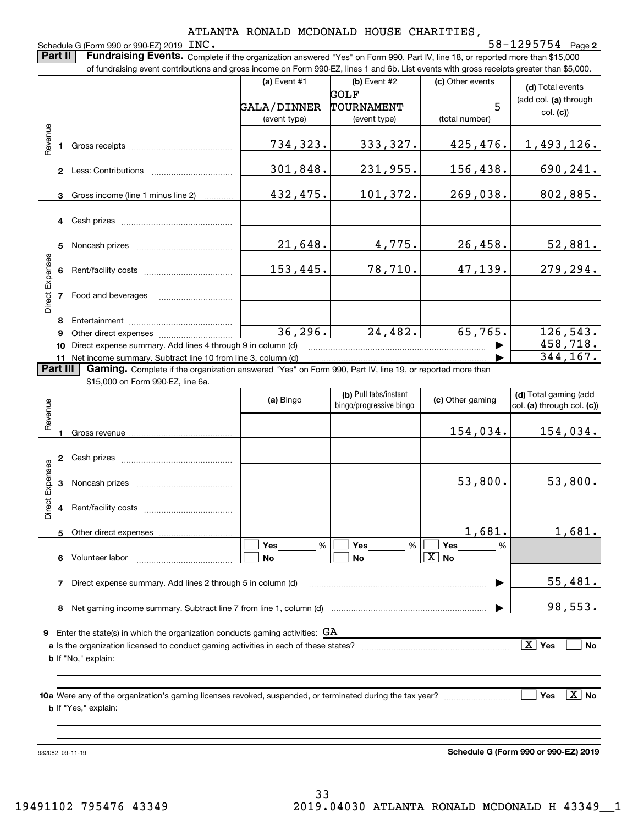## Schedule G (Form 990 or 990-EZ) 2019 INC.

**2**INC. 58-1295754

**(d)**  Total events (add col. **(a)** through col. **(c)**) **(a)** Event  $#1$  **(b)** Event  $#2$ **Part II** | Fundraising Events. Complete if the organization answered "Yes" on Form 990, Part IV, line 18, or reported more than \$15,000 of fundraising event contributions and gross income on Form 990-EZ, lines 1 and 6b. List events with gross receipts greater than \$5,000. (c) Other events GALA/DINNER TOURNAMENT GOLF 5

| Revenue<br>734,323.<br>333,327.<br>425,476.<br>Gross receipts and the control of the control of the control of the control of the control of the control of the control of the control of the control of the control of the control of the control of the control of the cont<br>301,848.<br>231,955.<br>156,438.<br>Less: Contributions<br>$\mathbf{2}$<br>432,475.<br>101,372.<br>269,038.<br>Gross income (line 1 minus line 2)<br>3<br>4 Cash prizes<br>21,648.<br>26,458.<br>4,775.<br>Noncash prizes<br>5<br>penses<br>153,445.<br>78,710.<br>47,139.<br>Rent/facility costs<br>Direct<br>Food and beverages<br>Entertainment<br>8<br>36, 296.<br>24,482.<br>65,765.<br>Other direct expenses of the state of the state of the state of the state of the state of the state of the state of the state of the state of the state of the state of the state of the state of the state of the state of th<br>9 |    |                                                             | (event type) | (event type) | (total number) | $\mathbf{v}$ |
|-------------------------------------------------------------------------------------------------------------------------------------------------------------------------------------------------------------------------------------------------------------------------------------------------------------------------------------------------------------------------------------------------------------------------------------------------------------------------------------------------------------------------------------------------------------------------------------------------------------------------------------------------------------------------------------------------------------------------------------------------------------------------------------------------------------------------------------------------------------------------------------------------------------------|----|-------------------------------------------------------------|--------------|--------------|----------------|--------------|
|                                                                                                                                                                                                                                                                                                                                                                                                                                                                                                                                                                                                                                                                                                                                                                                                                                                                                                                   |    |                                                             |              |              |                |              |
|                                                                                                                                                                                                                                                                                                                                                                                                                                                                                                                                                                                                                                                                                                                                                                                                                                                                                                                   |    |                                                             |              |              |                | 1,493,126.   |
|                                                                                                                                                                                                                                                                                                                                                                                                                                                                                                                                                                                                                                                                                                                                                                                                                                                                                                                   |    |                                                             |              |              |                |              |
|                                                                                                                                                                                                                                                                                                                                                                                                                                                                                                                                                                                                                                                                                                                                                                                                                                                                                                                   |    |                                                             |              |              |                | 690,241.     |
|                                                                                                                                                                                                                                                                                                                                                                                                                                                                                                                                                                                                                                                                                                                                                                                                                                                                                                                   |    |                                                             |              |              |                |              |
|                                                                                                                                                                                                                                                                                                                                                                                                                                                                                                                                                                                                                                                                                                                                                                                                                                                                                                                   |    |                                                             |              |              |                | 802,885.     |
|                                                                                                                                                                                                                                                                                                                                                                                                                                                                                                                                                                                                                                                                                                                                                                                                                                                                                                                   |    |                                                             |              |              |                |              |
|                                                                                                                                                                                                                                                                                                                                                                                                                                                                                                                                                                                                                                                                                                                                                                                                                                                                                                                   |    |                                                             |              |              |                |              |
|                                                                                                                                                                                                                                                                                                                                                                                                                                                                                                                                                                                                                                                                                                                                                                                                                                                                                                                   |    |                                                             |              |              |                |              |
|                                                                                                                                                                                                                                                                                                                                                                                                                                                                                                                                                                                                                                                                                                                                                                                                                                                                                                                   |    |                                                             |              |              |                | 52,881.      |
|                                                                                                                                                                                                                                                                                                                                                                                                                                                                                                                                                                                                                                                                                                                                                                                                                                                                                                                   |    |                                                             |              |              |                |              |
|                                                                                                                                                                                                                                                                                                                                                                                                                                                                                                                                                                                                                                                                                                                                                                                                                                                                                                                   |    |                                                             |              |              |                | 279,294.     |
|                                                                                                                                                                                                                                                                                                                                                                                                                                                                                                                                                                                                                                                                                                                                                                                                                                                                                                                   |    |                                                             |              |              |                |              |
|                                                                                                                                                                                                                                                                                                                                                                                                                                                                                                                                                                                                                                                                                                                                                                                                                                                                                                                   |    |                                                             |              |              |                |              |
|                                                                                                                                                                                                                                                                                                                                                                                                                                                                                                                                                                                                                                                                                                                                                                                                                                                                                                                   |    |                                                             |              |              |                |              |
|                                                                                                                                                                                                                                                                                                                                                                                                                                                                                                                                                                                                                                                                                                                                                                                                                                                                                                                   |    |                                                             |              |              |                |              |
|                                                                                                                                                                                                                                                                                                                                                                                                                                                                                                                                                                                                                                                                                                                                                                                                                                                                                                                   |    |                                                             |              |              |                | 126, 543.    |
|                                                                                                                                                                                                                                                                                                                                                                                                                                                                                                                                                                                                                                                                                                                                                                                                                                                                                                                   | 10 | Direct expense summary. Add lines 4 through 9 in column (d) |              |              |                | 458,718.     |
| 11 Net income summary. Subtract line 10 from line 3, column (d)<br>$-1111 - 2 - 1$                                                                                                                                                                                                                                                                                                                                                                                                                                                                                                                                                                                                                                                                                                                                                                                                                                |    |                                                             |              |              |                | 344,167.     |

**Part III | Gaming.** Complete if the organization answered "Yes" on Form 990, Part IV, line 19, or reported more than

\$15,000 on Form 990-EZ, line 6a.

| Revenue         |              |                                                                                      | (a) Bingo      | (b) Pull tabs/instant<br>bingo/progressive bingo | (c) Other gaming      | (d) Total gaming (add<br>col. (a) through col. (c)) |
|-----------------|--------------|--------------------------------------------------------------------------------------|----------------|--------------------------------------------------|-----------------------|-----------------------------------------------------|
|                 |              |                                                                                      |                |                                                  | 154,034.              | 154,034.                                            |
|                 | $\mathbf{2}$ |                                                                                      |                |                                                  |                       |                                                     |
| Direct Expenses | 3            |                                                                                      |                |                                                  | 53,800.               | 53,800.                                             |
|                 | 4            |                                                                                      |                |                                                  |                       |                                                     |
|                 |              |                                                                                      |                |                                                  | 1,681.                | 1,681.                                              |
|                 | 6            | Volunteer labor                                                                      | %<br><b>No</b> | $Yes$ %<br><b>No</b>                             | $\boxed{\text{X}}$ No |                                                     |
|                 |              | Direct expense summary. Add lines 2 through 5 in column (d)                          |                |                                                  | ▶                     | 55,481.                                             |
|                 | 8            |                                                                                      |                |                                                  |                       | 98,553.                                             |
| 9               |              | Enter the state(s) in which the organization conducts gaming activities: $GA$        |                |                                                  |                       |                                                     |
|                 |              | a Is the organization licensed to conduct gaming activities in each of these states? |                |                                                  |                       | $\boxed{\text{X}}$ Yes<br><b>No</b>                 |
|                 |              |                                                                                      |                |                                                  |                       |                                                     |
|                 |              |                                                                                      |                |                                                  |                       | $\sqrt{X}$<br><b>Yes</b><br><b>No</b>               |
|                 |              |                                                                                      |                |                                                  |                       |                                                     |

932082 09-11-19

**Schedule G (Form 990 or 990-EZ) 2019**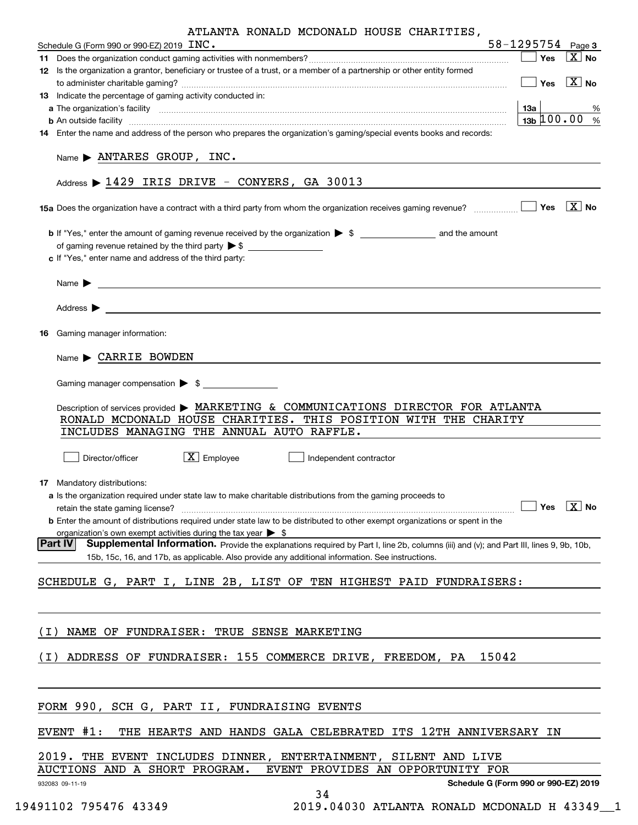|       | ATLANTA RONALD MCDONALD HOUSE CHARITIES,<br>Schedule G (Form 990 or 990-EZ) 2019 INC.                                                                                                                                              | 58-1295754 Page 3                               |                                                                                     |
|-------|------------------------------------------------------------------------------------------------------------------------------------------------------------------------------------------------------------------------------------|-------------------------------------------------|-------------------------------------------------------------------------------------|
|       |                                                                                                                                                                                                                                    | $\overline{\phantom{a}}$ Yes                    | $\boxed{\text{X}}$ No                                                               |
|       | 12 Is the organization a grantor, beneficiary or trustee of a trust, or a member of a partnership or other entity formed                                                                                                           |                                                 |                                                                                     |
|       |                                                                                                                                                                                                                                    | $\boxed{\phantom{1}}$ Yes $\boxed{\text{X}}$ No |                                                                                     |
|       | 13 Indicate the percentage of gaming activity conducted in:                                                                                                                                                                        |                                                 |                                                                                     |
|       |                                                                                                                                                                                                                                    | 13a                                             | %                                                                                   |
|       |                                                                                                                                                                                                                                    | 13b $100.00_{\%}$                               |                                                                                     |
|       | 14 Enter the name and address of the person who prepares the organization's gaming/special events books and records:                                                                                                               |                                                 |                                                                                     |
|       | Name > ANTARES GROUP, INC.                                                                                                                                                                                                         |                                                 |                                                                                     |
|       | Address > 1429 IRIS DRIVE - CONYERS, GA 30013                                                                                                                                                                                      |                                                 |                                                                                     |
|       |                                                                                                                                                                                                                                    |                                                 |                                                                                     |
|       | <b>b</b> If "Yes," enter the amount of gaming revenue received by the organization $\triangleright$ \$                                                                                                                             |                                                 |                                                                                     |
|       |                                                                                                                                                                                                                                    |                                                 |                                                                                     |
|       | c If "Yes," enter name and address of the third party:                                                                                                                                                                             |                                                 |                                                                                     |
|       |                                                                                                                                                                                                                                    |                                                 |                                                                                     |
|       | Name $\blacktriangleright$ $\lrcorner$                                                                                                                                                                                             |                                                 |                                                                                     |
|       |                                                                                                                                                                                                                                    |                                                 |                                                                                     |
|       | Address $\blacktriangleright$                                                                                                                                                                                                      |                                                 |                                                                                     |
|       | <u> 1989 - Johann Stein, marwolaethau a bhann an t-Amhain an t-Amhain an t-Amhain an t-Amhain an t-Amhain an t-A</u>                                                                                                               |                                                 |                                                                                     |
| 16    | Gaming manager information:                                                                                                                                                                                                        |                                                 |                                                                                     |
|       |                                                                                                                                                                                                                                    |                                                 |                                                                                     |
|       | $Name \triangleright$ CARRIE BOWDEN                                                                                                                                                                                                |                                                 |                                                                                     |
|       |                                                                                                                                                                                                                                    |                                                 |                                                                                     |
|       | Gaming manager compensation $\triangleright$ \$                                                                                                                                                                                    |                                                 |                                                                                     |
|       |                                                                                                                                                                                                                                    |                                                 |                                                                                     |
|       | Description of services provided > MARKETING & COMMUNICATIONS DIRECTOR FOR ATLANTA                                                                                                                                                 |                                                 |                                                                                     |
|       | RONALD MCDONALD HOUSE CHARITIES. THIS POSITION WITH THE CHARITY                                                                                                                                                                    |                                                 |                                                                                     |
|       | INCLUDES MANAGING THE ANNUAL AUTO RAFFLE.                                                                                                                                                                                          |                                                 |                                                                                     |
|       |                                                                                                                                                                                                                                    |                                                 |                                                                                     |
|       | $\boxed{\text{X}}$ Employee<br>Director/officer<br>Independent contractor                                                                                                                                                          |                                                 |                                                                                     |
|       |                                                                                                                                                                                                                                    |                                                 |                                                                                     |
|       | 17 Mandatory distributions:                                                                                                                                                                                                        |                                                 |                                                                                     |
|       | a Is the organization required under state law to make charitable distributions from the gaming proceeds to                                                                                                                        |                                                 |                                                                                     |
|       | retain the state gaming license?                                                                                                                                                                                                   |                                                 | $\overline{\phantom{a}}$ Yes $\overline{\phantom{a}}$ X $\overline{\phantom{a}}$ No |
|       | b Enter the amount of distributions required under state law to be distributed to other exempt organizations or spent in the                                                                                                       |                                                 |                                                                                     |
|       |                                                                                                                                                                                                                                    |                                                 |                                                                                     |
|       | organization's own exempt activities during the tax year $\triangleright$ \$<br>Supplemental Information. Provide the explanations required by Part I, line 2b, columns (iii) and (v); and Part III, lines 9, 9b, 10b,<br> Part IV |                                                 |                                                                                     |
|       | 15b, 15c, 16, and 17b, as applicable. Also provide any additional information. See instructions.                                                                                                                                   |                                                 |                                                                                     |
|       |                                                                                                                                                                                                                                    |                                                 |                                                                                     |
|       | SCHEDULE G, PART I, LINE 2B, LIST OF TEN HIGHEST PAID FUNDRAISERS:                                                                                                                                                                 |                                                 |                                                                                     |
|       |                                                                                                                                                                                                                                    |                                                 |                                                                                     |
|       |                                                                                                                                                                                                                                    |                                                 |                                                                                     |
|       |                                                                                                                                                                                                                                    |                                                 |                                                                                     |
| ( I ) | NAME OF FUNDRAISER: TRUE SENSE MARKETING                                                                                                                                                                                           |                                                 |                                                                                     |
|       |                                                                                                                                                                                                                                    |                                                 |                                                                                     |
| ( I ) | ADDRESS OF FUNDRAISER: 155 COMMERCE DRIVE, FREEDOM, PA<br>15042                                                                                                                                                                    |                                                 |                                                                                     |
|       |                                                                                                                                                                                                                                    |                                                 |                                                                                     |
|       |                                                                                                                                                                                                                                    |                                                 |                                                                                     |
|       |                                                                                                                                                                                                                                    |                                                 |                                                                                     |
|       | FORM 990, SCH G, PART II, FUNDRAISING EVENTS                                                                                                                                                                                       |                                                 |                                                                                     |
|       | EVENT #1:<br>THE HEARTS AND HANDS GALA CELEBRATED ITS 12TH ANNIVERSARY IN                                                                                                                                                          |                                                 |                                                                                     |
|       |                                                                                                                                                                                                                                    |                                                 |                                                                                     |
|       | 2019. THE EVENT INCLUDES DINNER, ENTERTAINMENT, SILENT AND LIVE                                                                                                                                                                    |                                                 |                                                                                     |
|       | AUCTIONS AND A SHORT PROGRAM.<br>EVENT PROVIDES AN OPPORTUNITY FOR                                                                                                                                                                 |                                                 |                                                                                     |
|       |                                                                                                                                                                                                                                    |                                                 |                                                                                     |
|       | 932083 09-11-19                                                                                                                                                                                                                    |                                                 |                                                                                     |
|       | Schedule G (Form 990 or 990-EZ) 2019<br>34                                                                                                                                                                                         |                                                 |                                                                                     |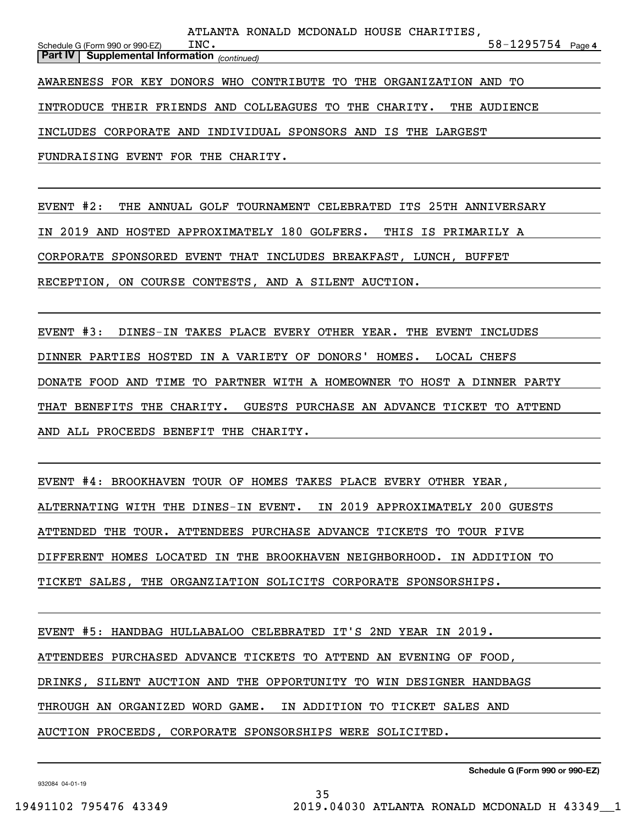| $58 - 1295754$ Page 4                                               |
|---------------------------------------------------------------------|
|                                                                     |
|                                                                     |
|                                                                     |
|                                                                     |
|                                                                     |
|                                                                     |
|                                                                     |
| INTRODUCE THEIR FRIENDS AND COLLEAGUES TO THE CHARITY. THE AUDIENCE |

FUNDRAISING EVENT FOR THE CHARITY.

EVENT #2: THE ANNUAL GOLF TOURNAMENT CELEBRATED ITS 25TH ANNIVERSARY IN 2019 AND HOSTED APPROXIMATELY 180 GOLFERS. THIS IS PRIMARILY A CORPORATE SPONSORED EVENT THAT INCLUDES BREAKFAST, LUNCH, BUFFET RECEPTION, ON COURSE CONTESTS, AND A SILENT AUCTION.

EVENT #3: DINES-IN TAKES PLACE EVERY OTHER YEAR. THE EVENT INCLUDES DINNER PARTIES HOSTED IN A VARIETY OF DONORS' HOMES. LOCAL CHEFS DONATE FOOD AND TIME TO PARTNER WITH A HOMEOWNER TO HOST A DINNER PARTY THAT BENEFITS THE CHARITY. GUESTS PURCHASE AN ADVANCE TICKET TO ATTEND AND ALL PROCEEDS BENEFIT THE CHARITY.

EVENT #4: BROOKHAVEN TOUR OF HOMES TAKES PLACE EVERY OTHER YEAR, ALTERNATING WITH THE DINES-IN EVENT. IN 2019 APPROXIMATELY 200 GUESTS ATTENDED THE TOUR. ATTENDEES PURCHASE ADVANCE TICKETS TO TOUR FIVE DIFFERENT HOMES LOCATED IN THE BROOKHAVEN NEIGHBORHOOD. IN ADDITION TO TICKET SALES, THE ORGANZIATION SOLICITS CORPORATE SPONSORSHIPS.

EVENT #5: HANDBAG HULLABALOO CELEBRATED IT'S 2ND YEAR IN 2019. ATTENDEES PURCHASED ADVANCE TICKETS TO ATTEND AN EVENING OF FOOD, DRINKS, SILENT AUCTION AND THE OPPORTUNITY TO WIN DESIGNER HANDBAGS THROUGH AN ORGANIZED WORD GAME. IN ADDITION TO TICKET SALES AND AUCTION PROCEEDS, CORPORATE SPONSORSHIPS WERE SOLICITED.

**Schedule G (Form 990 or 990-EZ)**

932084 04-01-19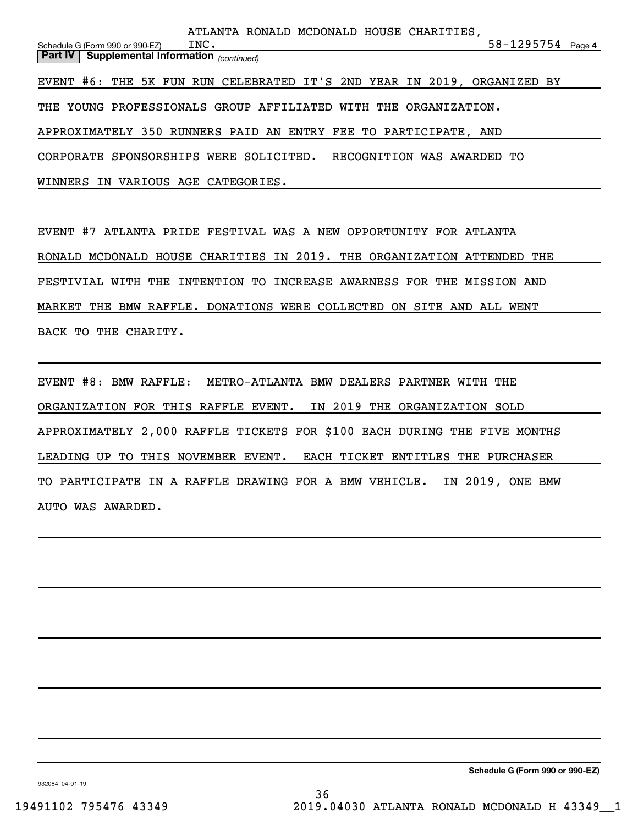**4**58-1295754 *(continued)* **Part IV Supplemental Information**  Schedule G (Form 990 or 990-EZ) THE YOUNG PROFESSIONALS GROUP AFFILIATED WITH THE ORGANIZATION. APPROXIMATELY 350 RUNNERS PAID AN ENTRY FEE TO PARTICIPATE, AND CORPORATE SPONSORSHIPS WERE SOLICITED. RECOGNITION WAS AWARDED TO WINNERS IN VARIOUS AGE CATEGORIES. INC. EVENT #6: THE 5K FUN RUN CELEBRATED IT'S 2ND YEAR IN 2019, ORGANIZED BY ATLANTA RONALD MCDONALD HOUSE CHARITIES,

EVENT #7 ATLANTA PRIDE FESTIVAL WAS A NEW OPPORTUNITY FOR ATLANTA RONALD MCDONALD HOUSE CHARITIES IN 2019. THE ORGANIZATION ATTENDED THE FESTIVIAL WITH THE INTENTION TO INCREASE AWARNESS FOR THE MISSION AND MARKET THE BMW RAFFLE. DONATIONS WERE COLLECTED ON SITE AND ALL WENT BACK TO THE CHARITY.

EVENT #8: BMW RAFFLE: METRO-ATLANTA BMW DEALERS PARTNER WITH THE ORGANIZATION FOR THIS RAFFLE EVENT. IN 2019 THE ORGANIZATION SOLD APPROXIMATELY 2,000 RAFFLE TICKETS FOR \$100 EACH DURING THE FIVE MONTHS LEADING UP TO THIS NOVEMBER EVENT. EACH TICKET ENTITLES THE PURCHASER TO PARTICIPATE IN A RAFFLE DRAWING FOR A BMW VEHICLE. IN 2019, ONE BMW AUTO WAS AWARDED.

**Schedule G (Form 990 or 990-EZ)**

932084 04-01-19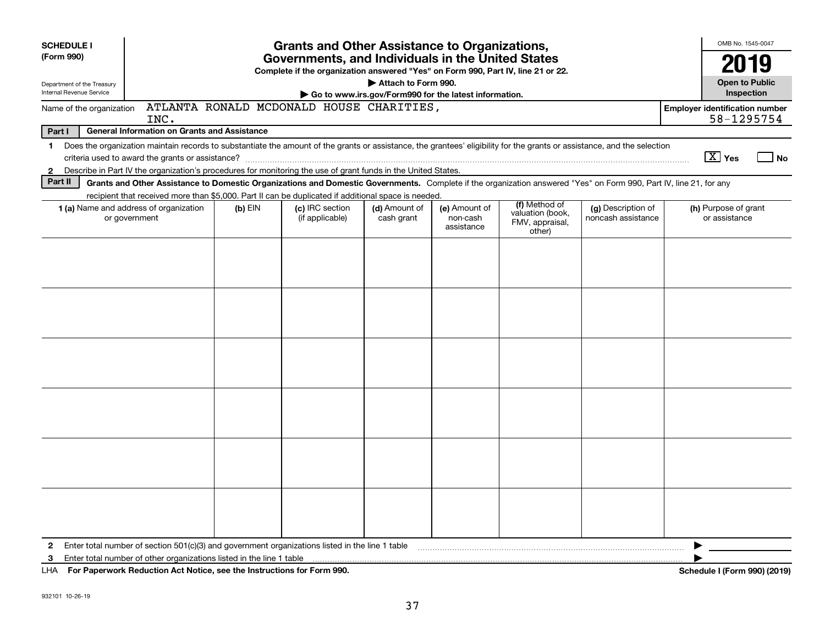| <b>SCHEDULE I</b>                                      |                                                                                                                                                                                                                                                                           |           | <b>Grants and Other Assistance to Organizations,</b> |                             |                                         |                                                                |                                          |  | OMB No. 1545-0047                                                 |                              |
|--------------------------------------------------------|---------------------------------------------------------------------------------------------------------------------------------------------------------------------------------------------------------------------------------------------------------------------------|-----------|------------------------------------------------------|-----------------------------|-----------------------------------------|----------------------------------------------------------------|------------------------------------------|--|-------------------------------------------------------------------|------------------------------|
| (Form 990)                                             | Governments, and Individuals in the United States<br>Complete if the organization answered "Yes" on Form 990, Part IV, line 21 or 22.                                                                                                                                     |           |                                                      |                             |                                         |                                                                |                                          |  |                                                                   |                              |
| Department of the Treasury<br>Internal Revenue Service | Attach to Form 990.<br>Go to www.irs.gov/Form990 for the latest information.                                                                                                                                                                                              |           |                                                      |                             |                                         |                                                                |                                          |  |                                                                   |                              |
| Name of the organization                               | INC.                                                                                                                                                                                                                                                                      |           | ATLANTA RONALD MCDONALD HOUSE CHARITIES,             |                             |                                         |                                                                |                                          |  | Inspection<br><b>Employer identification number</b><br>58-1295754 |                              |
| Part I                                                 | <b>General Information on Grants and Assistance</b>                                                                                                                                                                                                                       |           |                                                      |                             |                                         |                                                                |                                          |  |                                                                   |                              |
|                                                        | 1 Does the organization maintain records to substantiate the amount of the grants or assistance, the grantees' eligibility for the grants or assistance, and the selection                                                                                                |           |                                                      |                             |                                         |                                                                |                                          |  |                                                                   |                              |
|                                                        | criteria used to award the grants or assistance?                                                                                                                                                                                                                          |           |                                                      |                             |                                         |                                                                |                                          |  | $\boxed{\text{X}}$ Yes                                            | No                           |
| $\mathbf{2}$                                           | Describe in Part IV the organization's procedures for monitoring the use of grant funds in the United States.                                                                                                                                                             |           |                                                      |                             |                                         |                                                                |                                          |  |                                                                   |                              |
| Part II                                                | Grants and Other Assistance to Domestic Organizations and Domestic Governments. Complete if the organization answered "Yes" on Form 990, Part IV, line 21, for any<br>recipient that received more than \$5,000. Part II can be duplicated if additional space is needed. |           |                                                      |                             |                                         |                                                                |                                          |  |                                                                   |                              |
|                                                        | 1 (a) Name and address of organization<br>or government                                                                                                                                                                                                                   | $(b)$ EIN | (c) IRC section<br>(if applicable)                   | (d) Amount of<br>cash grant | (e) Amount of<br>non-cash<br>assistance | (f) Method of<br>valuation (book,<br>FMV, appraisal,<br>other) | (g) Description of<br>noncash assistance |  | (h) Purpose of grant<br>or assistance                             |                              |
|                                                        |                                                                                                                                                                                                                                                                           |           |                                                      |                             |                                         |                                                                |                                          |  |                                                                   |                              |
|                                                        |                                                                                                                                                                                                                                                                           |           |                                                      |                             |                                         |                                                                |                                          |  |                                                                   |                              |
|                                                        |                                                                                                                                                                                                                                                                           |           |                                                      |                             |                                         |                                                                |                                          |  |                                                                   |                              |
|                                                        |                                                                                                                                                                                                                                                                           |           |                                                      |                             |                                         |                                                                |                                          |  |                                                                   |                              |
|                                                        |                                                                                                                                                                                                                                                                           |           |                                                      |                             |                                         |                                                                |                                          |  |                                                                   |                              |
|                                                        |                                                                                                                                                                                                                                                                           |           |                                                      |                             |                                         |                                                                |                                          |  |                                                                   |                              |
|                                                        |                                                                                                                                                                                                                                                                           |           |                                                      |                             |                                         |                                                                |                                          |  |                                                                   |                              |
|                                                        |                                                                                                                                                                                                                                                                           |           |                                                      |                             |                                         |                                                                |                                          |  |                                                                   |                              |
|                                                        |                                                                                                                                                                                                                                                                           |           |                                                      |                             |                                         |                                                                |                                          |  |                                                                   |                              |
|                                                        |                                                                                                                                                                                                                                                                           |           |                                                      |                             |                                         |                                                                |                                          |  |                                                                   |                              |
|                                                        |                                                                                                                                                                                                                                                                           |           |                                                      |                             |                                         |                                                                |                                          |  |                                                                   |                              |
|                                                        |                                                                                                                                                                                                                                                                           |           |                                                      |                             |                                         |                                                                |                                          |  |                                                                   |                              |
|                                                        |                                                                                                                                                                                                                                                                           |           |                                                      |                             |                                         |                                                                |                                          |  |                                                                   |                              |
|                                                        |                                                                                                                                                                                                                                                                           |           |                                                      |                             |                                         |                                                                |                                          |  |                                                                   |                              |
| $\mathbf{2}$                                           | Enter total number of section $501(c)(3)$ and government organizations listed in the line 1 table                                                                                                                                                                         |           |                                                      |                             |                                         |                                                                |                                          |  |                                                                   |                              |
| 3                                                      | Enter total number of other organizations listed in the line 1 table                                                                                                                                                                                                      |           |                                                      |                             |                                         |                                                                |                                          |  |                                                                   |                              |
|                                                        | LHA For Paperwork Reduction Act Notice, see the Instructions for Form 990.                                                                                                                                                                                                |           |                                                      |                             |                                         |                                                                |                                          |  |                                                                   | Schedule I (Form 990) (2019) |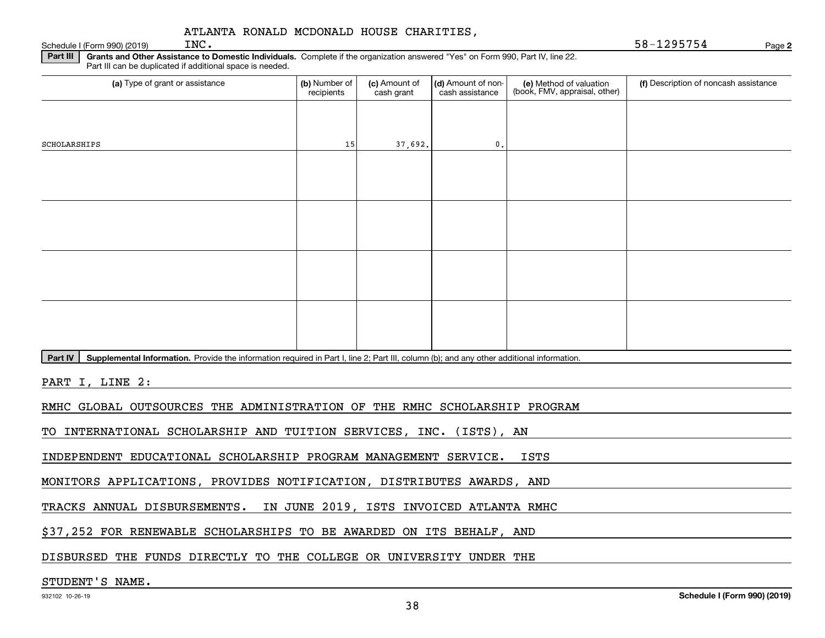**2**Schedule I (Form 990) (2019) Page INC. 58-1295754

**Part III Grants and Other Assistance to Domestic Individuals.**  Complete if the organization answered "Yes" on Form 990, Part IV, line 22. Part III can be duplicated if additional space is needed.

| Part in can be duplicated in additional space is needed.                                                                                             |                                                                      |                             |                                       |                                                          |                                       |  |  |  |  |
|------------------------------------------------------------------------------------------------------------------------------------------------------|----------------------------------------------------------------------|-----------------------------|---------------------------------------|----------------------------------------------------------|---------------------------------------|--|--|--|--|
| (a) Type of grant or assistance                                                                                                                      | (b) Number of<br>recipients                                          | (c) Amount of<br>cash grant | (d) Amount of non-<br>cash assistance | (e) Method of valuation<br>(book, FMV, appraisal, other) | (f) Description of noncash assistance |  |  |  |  |
|                                                                                                                                                      |                                                                      |                             |                                       |                                                          |                                       |  |  |  |  |
|                                                                                                                                                      |                                                                      |                             |                                       |                                                          |                                       |  |  |  |  |
| SCHOLARSHIPS                                                                                                                                         | 15                                                                   | 37,692.                     | 0.                                    |                                                          |                                       |  |  |  |  |
|                                                                                                                                                      |                                                                      |                             |                                       |                                                          |                                       |  |  |  |  |
|                                                                                                                                                      |                                                                      |                             |                                       |                                                          |                                       |  |  |  |  |
|                                                                                                                                                      |                                                                      |                             |                                       |                                                          |                                       |  |  |  |  |
|                                                                                                                                                      |                                                                      |                             |                                       |                                                          |                                       |  |  |  |  |
|                                                                                                                                                      |                                                                      |                             |                                       |                                                          |                                       |  |  |  |  |
|                                                                                                                                                      |                                                                      |                             |                                       |                                                          |                                       |  |  |  |  |
|                                                                                                                                                      |                                                                      |                             |                                       |                                                          |                                       |  |  |  |  |
|                                                                                                                                                      |                                                                      |                             |                                       |                                                          |                                       |  |  |  |  |
|                                                                                                                                                      |                                                                      |                             |                                       |                                                          |                                       |  |  |  |  |
|                                                                                                                                                      |                                                                      |                             |                                       |                                                          |                                       |  |  |  |  |
|                                                                                                                                                      |                                                                      |                             |                                       |                                                          |                                       |  |  |  |  |
| Supplemental Information. Provide the information required in Part I, line 2; Part III, column (b); and any other additional information.<br>Part IV |                                                                      |                             |                                       |                                                          |                                       |  |  |  |  |
|                                                                                                                                                      |                                                                      |                             |                                       |                                                          |                                       |  |  |  |  |
| PART I, LINE 2:                                                                                                                                      |                                                                      |                             |                                       |                                                          |                                       |  |  |  |  |
| RMHC GLOBAL OUTSOURCES THE ADMINISTRATION OF THE RMHC SCHOLARSHIP PROGRAM                                                                            |                                                                      |                             |                                       |                                                          |                                       |  |  |  |  |
|                                                                                                                                                      |                                                                      |                             |                                       |                                                          |                                       |  |  |  |  |
| TO INTERNATIONAL SCHOLARSHIP AND TUITION SERVICES, INC. (ISTS), AN                                                                                   |                                                                      |                             |                                       |                                                          |                                       |  |  |  |  |
| INDEPENDENT EDUCATIONAL SCHOLARSHIP PROGRAM MANAGEMENT SERVICE.                                                                                      |                                                                      |                             |                                       | <b>ISTS</b>                                              |                                       |  |  |  |  |
| MONITORS APPLICATIONS, PROVIDES NOTIFICATION, DISTRIBUTES AWARDS, AND                                                                                |                                                                      |                             |                                       |                                                          |                                       |  |  |  |  |
| TRACKS ANNUAL DISBURSEMENTS. IN JUNE 2019, ISTS INVOICED ATLANTA RMHC                                                                                |                                                                      |                             |                                       |                                                          |                                       |  |  |  |  |
|                                                                                                                                                      |                                                                      |                             |                                       |                                                          |                                       |  |  |  |  |
|                                                                                                                                                      | \$37,252 FOR RENEWABLE SCHOLARSHIPS TO BE AWARDED ON ITS BEHALF, AND |                             |                                       |                                                          |                                       |  |  |  |  |

DISBURSED THE FUNDS DIRECTLY TO THE COLLEGE OR UNIVERSITY UNDER THE

## STUDENT'S NAME.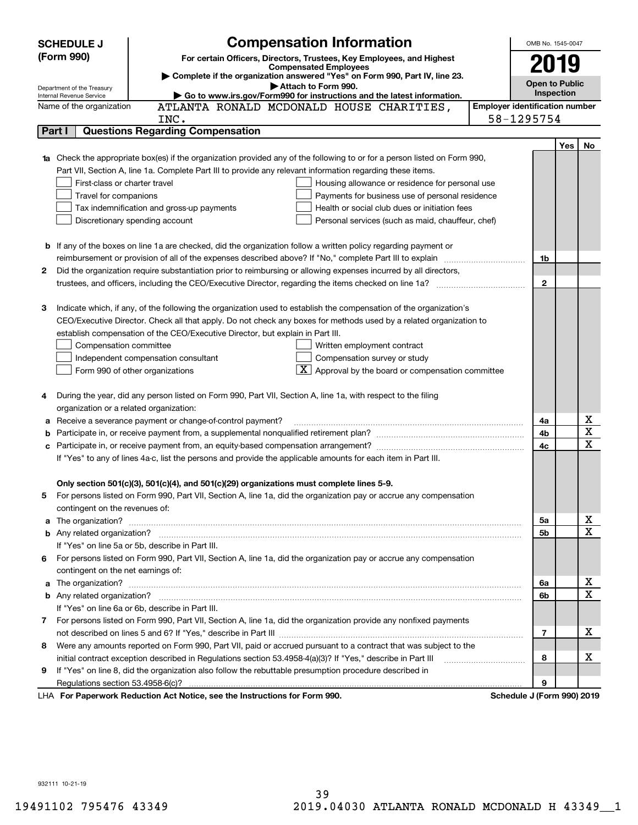|    | <b>Compensation Information</b><br><b>SCHEDULE J</b>                                                                                                                                                                                 |                                       | OMB No. 1545-0047     |            |                         |
|----|--------------------------------------------------------------------------------------------------------------------------------------------------------------------------------------------------------------------------------------|---------------------------------------|-----------------------|------------|-------------------------|
|    | (Form 990)<br>For certain Officers, Directors, Trustees, Key Employees, and Highest                                                                                                                                                  |                                       |                       |            |                         |
|    | <b>Compensated Employees</b>                                                                                                                                                                                                         |                                       | 2019                  |            |                         |
|    | Complete if the organization answered "Yes" on Form 990, Part IV, line 23.<br>Attach to Form 990.<br>Department of the Treasury                                                                                                      |                                       | <b>Open to Public</b> |            |                         |
|    | Go to www.irs.gov/Form990 for instructions and the latest information.<br>Internal Revenue Service                                                                                                                                   |                                       | Inspection            |            |                         |
|    | ATLANTA RONALD MCDONALD HOUSE CHARITIES,<br>Name of the organization                                                                                                                                                                 | <b>Employer identification number</b> |                       |            |                         |
|    | INC.                                                                                                                                                                                                                                 | 58-1295754                            |                       |            |                         |
|    | <b>Questions Regarding Compensation</b><br>Part I                                                                                                                                                                                    |                                       |                       |            |                         |
|    |                                                                                                                                                                                                                                      |                                       |                       | <b>Yes</b> | No                      |
|    | <b>1a</b> Check the appropriate box(es) if the organization provided any of the following to or for a person listed on Form 990,                                                                                                     |                                       |                       |            |                         |
|    | Part VII, Section A, line 1a. Complete Part III to provide any relevant information regarding these items.                                                                                                                           |                                       |                       |            |                         |
|    | First-class or charter travel<br>Housing allowance or residence for personal use                                                                                                                                                     |                                       |                       |            |                         |
|    | Travel for companions<br>Payments for business use of personal residence                                                                                                                                                             |                                       |                       |            |                         |
|    | Tax indemnification and gross-up payments<br>Health or social club dues or initiation fees                                                                                                                                           |                                       |                       |            |                         |
|    | Discretionary spending account<br>Personal services (such as maid, chauffeur, chef)                                                                                                                                                  |                                       |                       |            |                         |
|    |                                                                                                                                                                                                                                      |                                       |                       |            |                         |
|    | <b>b</b> If any of the boxes on line 1a are checked, did the organization follow a written policy regarding payment or                                                                                                               |                                       |                       |            |                         |
|    | reimbursement or provision of all of the expenses described above? If "No," complete Part III to explain                                                                                                                             |                                       | 1b                    |            |                         |
| 2  | Did the organization require substantiation prior to reimbursing or allowing expenses incurred by all directors,                                                                                                                     |                                       | $\mathbf{2}$          |            |                         |
|    |                                                                                                                                                                                                                                      |                                       |                       |            |                         |
| 3  | Indicate which, if any, of the following the organization used to establish the compensation of the organization's                                                                                                                   |                                       |                       |            |                         |
|    | CEO/Executive Director. Check all that apply. Do not check any boxes for methods used by a related organization to                                                                                                                   |                                       |                       |            |                         |
|    | establish compensation of the CEO/Executive Director, but explain in Part III.                                                                                                                                                       |                                       |                       |            |                         |
|    | Compensation committee<br>Written employment contract                                                                                                                                                                                |                                       |                       |            |                         |
|    | Compensation survey or study<br>Independent compensation consultant                                                                                                                                                                  |                                       |                       |            |                         |
|    | Approval by the board or compensation committee<br>Form 990 of other organizations                                                                                                                                                   |                                       |                       |            |                         |
|    |                                                                                                                                                                                                                                      |                                       |                       |            |                         |
|    | During the year, did any person listed on Form 990, Part VII, Section A, line 1a, with respect to the filing                                                                                                                         |                                       |                       |            |                         |
|    | organization or a related organization:                                                                                                                                                                                              |                                       |                       |            |                         |
|    | Receive a severance payment or change-of-control payment?                                                                                                                                                                            |                                       | 4a                    |            | х                       |
|    |                                                                                                                                                                                                                                      |                                       | 4b                    |            | $\overline{\mathbf{x}}$ |
|    |                                                                                                                                                                                                                                      |                                       | 4c                    |            | $\mathbf x$             |
|    | If "Yes" to any of lines 4a-c, list the persons and provide the applicable amounts for each item in Part III.                                                                                                                        |                                       |                       |            |                         |
|    |                                                                                                                                                                                                                                      |                                       |                       |            |                         |
|    | Only section 501(c)(3), 501(c)(4), and 501(c)(29) organizations must complete lines 5-9.                                                                                                                                             |                                       |                       |            |                         |
|    | For persons listed on Form 990, Part VII, Section A, line 1a, did the organization pay or accrue any compensation                                                                                                                    |                                       |                       |            |                         |
|    | contingent on the revenues of:                                                                                                                                                                                                       |                                       |                       |            |                         |
|    |                                                                                                                                                                                                                                      |                                       | 5а                    |            | x                       |
|    |                                                                                                                                                                                                                                      |                                       | 5b                    |            | $\mathbf x$             |
|    | If "Yes" on line 5a or 5b, describe in Part III.                                                                                                                                                                                     |                                       |                       |            |                         |
| 6. | For persons listed on Form 990, Part VII, Section A, line 1a, did the organization pay or accrue any compensation                                                                                                                    |                                       |                       |            |                         |
|    | contingent on the net earnings of:                                                                                                                                                                                                   |                                       |                       |            |                         |
|    | a The organization? <b>Entitled Strategies and Strategies and Strategies and Strategies and Strategies and Strategies and Strategies and Strategies and Strategies and Strategies and Strategies and Strategies and Strategies a</b> |                                       | 6a                    |            | х                       |
|    |                                                                                                                                                                                                                                      |                                       | 6b                    |            | $\mathbf x$             |
|    | If "Yes" on line 6a or 6b, describe in Part III.                                                                                                                                                                                     |                                       |                       |            |                         |
|    | 7 For persons listed on Form 990, Part VII, Section A, line 1a, did the organization provide any nonfixed payments                                                                                                                   |                                       |                       |            |                         |
|    |                                                                                                                                                                                                                                      |                                       | $\overline{7}$        |            | x                       |
| 8  | Were any amounts reported on Form 990, Part VII, paid or accrued pursuant to a contract that was subject to the                                                                                                                      |                                       |                       |            |                         |
|    | initial contract exception described in Regulations section 53.4958-4(a)(3)? If "Yes," describe in Part III                                                                                                                          |                                       | 8                     |            | x                       |
| 9  | If "Yes" on line 8, did the organization also follow the rebuttable presumption procedure described in                                                                                                                               |                                       |                       |            |                         |
|    | Regulations section 53.4958-6(c)?                                                                                                                                                                                                    |                                       | 9                     |            |                         |
|    | LHA For Paperwork Reduction Act Notice, see the Instructions for Form 990.                                                                                                                                                           | Schedule J (Form 990) 2019            |                       |            |                         |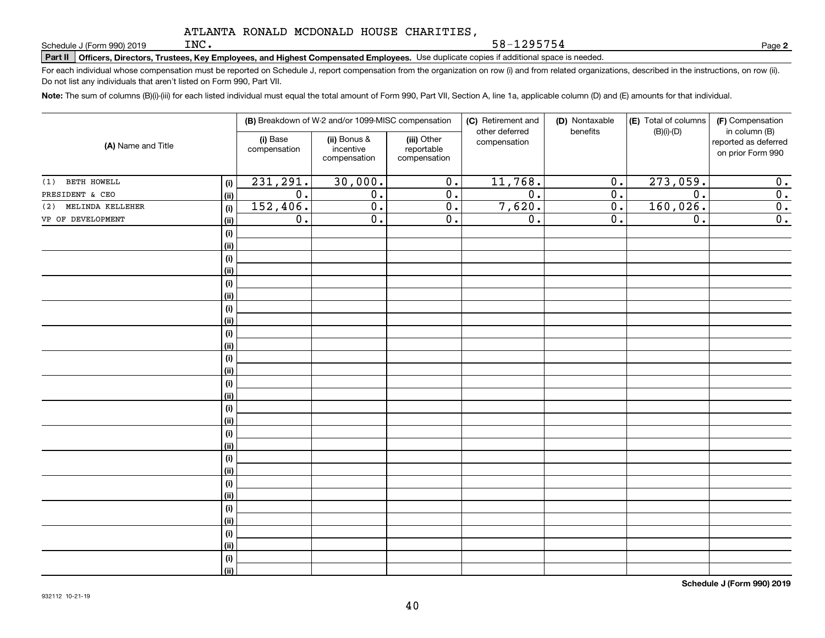**Part II Officers, Directors, Trustees, Key Employees, and Highest Compensated Employees.**  Schedule J (Form 990) 2019 Page Use duplicate copies if additional space is needed.

For each individual whose compensation must be reported on Schedule J, report compensation from the organization on row (i) and from related organizations, described in the instructions, on row (ii). Do not list any individuals that aren't listed on Form 990, Part VII.

58-1295754

**Note:**  The sum of columns (B)(i)-(iii) for each listed individual must equal the total amount of Form 990, Part VII, Section A, line 1a, applicable column (D) and (E) amounts for that individual.

| (A) Name and Title   |            | (B) Breakdown of W-2 and/or 1099-MISC compensation |                                           |                                           | (C) Retirement and<br>other deferred | (D) Nontaxable<br>benefits | (E) Total of columns<br>$(B)(i)-(D)$ | (F) Compensation<br>in column (B)         |
|----------------------|------------|----------------------------------------------------|-------------------------------------------|-------------------------------------------|--------------------------------------|----------------------------|--------------------------------------|-------------------------------------------|
|                      |            | (i) Base<br>compensation                           | (ii) Bonus &<br>incentive<br>compensation | (iii) Other<br>reportable<br>compensation | compensation                         |                            |                                      | reported as deferred<br>on prior Form 990 |
| BETH HOWELL<br>(1)   | $(\sf{i})$ | 231,291.                                           | 30,000.                                   | 0.                                        | 11,768.                              | 0.                         | 273,059.                             | 0.                                        |
| PRESIDENT & CEO      | (ii)       | $\overline{0}$ .                                   | $\overline{0}$ .                          | 0.                                        | $\overline{0}$ .                     | $\overline{0}$ .           | $\overline{0}$ .                     | $\overline{0}$ .                          |
| (2) MELINDA KELLEHER | (i)        | 152,406.                                           | $\overline{0}$ .                          | 0.                                        | 7,620.                               | $\overline{0}$ .           | 160,026.                             | $\overline{0}$ .                          |
| VP OF DEVELOPMENT    | (ii)       | $\overline{0}$ .                                   | $\overline{0}$ .                          | $\overline{0}$ .                          | $\overline{0}$ .                     | $\overline{0}$ .           | $\overline{0}$ .                     | $\overline{0}$ .                          |
|                      | $(\sf{i})$ |                                                    |                                           |                                           |                                      |                            |                                      |                                           |
|                      | (ii)       |                                                    |                                           |                                           |                                      |                            |                                      |                                           |
|                      | $(\sf{i})$ |                                                    |                                           |                                           |                                      |                            |                                      |                                           |
|                      | (i)        |                                                    |                                           |                                           |                                      |                            |                                      |                                           |
|                      | $(\sf{i})$ |                                                    |                                           |                                           |                                      |                            |                                      |                                           |
|                      | (i)        |                                                    |                                           |                                           |                                      |                            |                                      |                                           |
|                      | $(\sf{i})$ |                                                    |                                           |                                           |                                      |                            |                                      |                                           |
|                      | (ii)       |                                                    |                                           |                                           |                                      |                            |                                      |                                           |
|                      | (i)        |                                                    |                                           |                                           |                                      |                            |                                      |                                           |
|                      | (ii)       |                                                    |                                           |                                           |                                      |                            |                                      |                                           |
|                      | $(\sf{i})$ |                                                    |                                           |                                           |                                      |                            |                                      |                                           |
|                      | (ii)       |                                                    |                                           |                                           |                                      |                            |                                      |                                           |
|                      | $(\sf{i})$ |                                                    |                                           |                                           |                                      |                            |                                      |                                           |
|                      | (ii)       |                                                    |                                           |                                           |                                      |                            |                                      |                                           |
|                      | $(\sf{i})$ |                                                    |                                           |                                           |                                      |                            |                                      |                                           |
|                      | (ii)       |                                                    |                                           |                                           |                                      |                            |                                      |                                           |
|                      | $(\sf{i})$ |                                                    |                                           |                                           |                                      |                            |                                      |                                           |
|                      | (ii)       |                                                    |                                           |                                           |                                      |                            |                                      |                                           |
|                      | $(\sf{i})$ |                                                    |                                           |                                           |                                      |                            |                                      |                                           |
|                      | (i)        |                                                    |                                           |                                           |                                      |                            |                                      |                                           |
|                      | $(\sf{i})$ |                                                    |                                           |                                           |                                      |                            |                                      |                                           |
|                      | (i)        |                                                    |                                           |                                           |                                      |                            |                                      |                                           |
|                      | (i)        |                                                    |                                           |                                           |                                      |                            |                                      |                                           |
|                      | (i)        |                                                    |                                           |                                           |                                      |                            |                                      |                                           |
|                      | (i)        |                                                    |                                           |                                           |                                      |                            |                                      |                                           |
|                      | (i)        |                                                    |                                           |                                           |                                      |                            |                                      |                                           |
|                      | $(\sf{i})$ |                                                    |                                           |                                           |                                      |                            |                                      |                                           |
|                      | (ii)       |                                                    |                                           |                                           |                                      |                            |                                      |                                           |

**Schedule J (Form 990) 2019**

**2**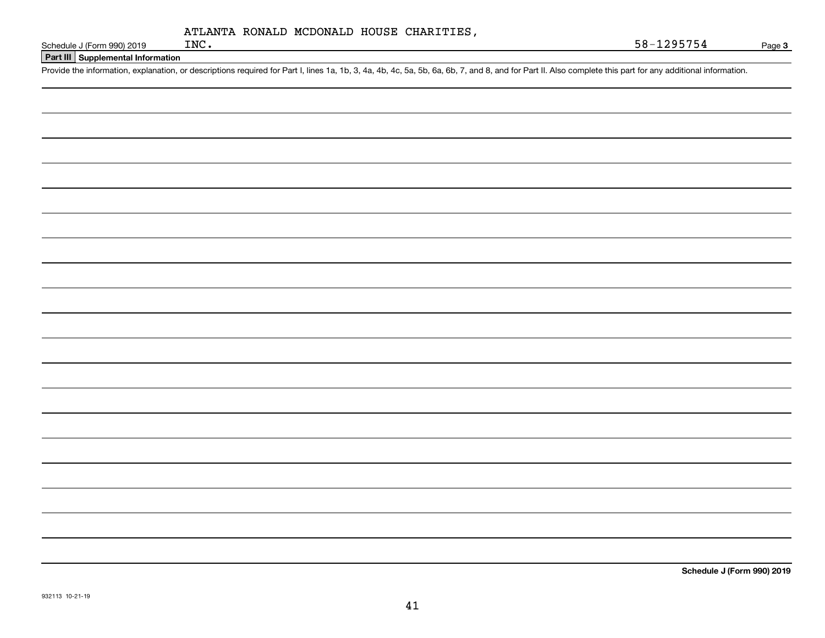| ATLANTA RONALD MCDONALD HOUSE CHARITIES, |  |  |  |
|------------------------------------------|--|--|--|
|------------------------------------------|--|--|--|

**Part III Supplemental Information**

Schedule J (Form 990) 2019 INC.<br>Part III Supplemental Information<br>Provide the information, explanation, or descriptions required for Part I, lines 1a, 1b, 3, 4a, 4b, 4c, 5a, 5b, 6a, 6b, 7, and 8, and for Part II. Also comp

**Schedule J (Form 990) 2019**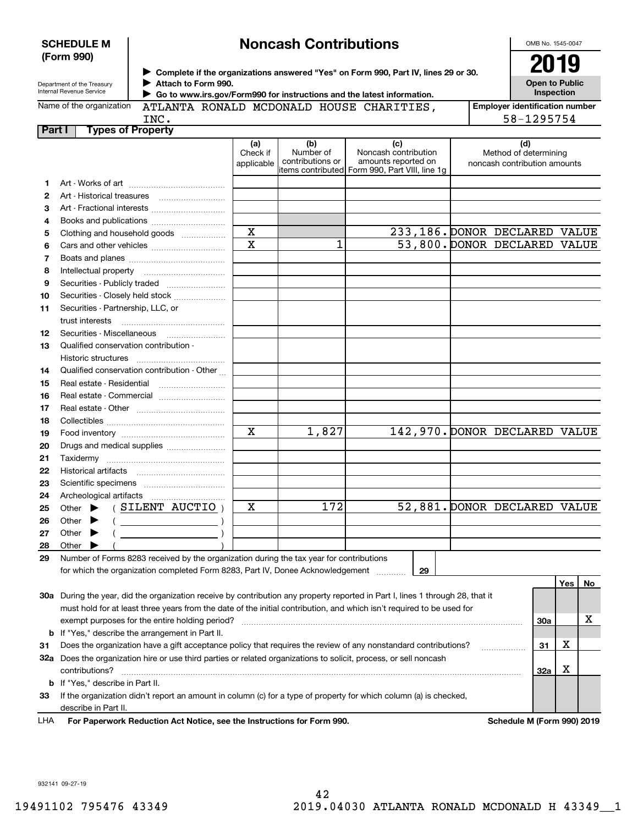| <b>SCHEDULE M</b> |  |
|-------------------|--|
| (Form 990)        |  |

# **Noncash Contributions**

OMB No. 1545-0047

| Department of the Treasury |
|----------------------------|
| Internal Revenue Service   |

**Complete if the organizations answered "Yes" on Form 990, Part IV, lines 29 or 30.** <sup>J</sup>**2019 Attach to Form 990.** J  **Go to www.irs.gov/Form990 for instructions and the latest information.**

**Open to Public Inspection**

| Internal Revenue Service<br>$\triangleright$ Go to www.irs.gov/Form990 for instructions and the latest information. |  |  |     | Inspection |                                                                                                                                                                                                                                          |  |                                       |
|---------------------------------------------------------------------------------------------------------------------|--|--|-----|------------|------------------------------------------------------------------------------------------------------------------------------------------------------------------------------------------------------------------------------------------|--|---------------------------------------|
| Name of the organization<br>ATLANTA RONALD MCDONALD HOUSE CHARITIES,                                                |  |  |     |            |                                                                                                                                                                                                                                          |  | <b>Employer identification number</b> |
| INC.                                                                                                                |  |  |     |            |                                                                                                                                                                                                                                          |  | 58-1295754                            |
| Part I<br><b>Types of Property</b>                                                                                  |  |  |     |            |                                                                                                                                                                                                                                          |  |                                       |
|                                                                                                                     |  |  | (a) | (b)        | (c)<br>$\mathbf{r}$ . The contract of the contract of the contract of the contract of the contract of the contract of the contract of the contract of the contract of the contract of the contract of the contract of the contract of th |  | (d)                                   |

| items contributed  Form 990, Part VIII, line 1g<br>1<br>2<br>з<br>Art - Fractional interests<br>4<br>Books and publications<br>$\mathbf X$<br>233,186. DONOR DECLARED VALUE<br>Clothing and household goods<br>5<br>$\overline{\mathbf{x}}$<br>53,800. DONOR DECLARED VALUE<br>1<br>6<br>7<br>8<br>9<br>Securities - Publicly traded<br>Securities - Closely held stock<br>10<br>Securities - Partnership, LLC, or<br>11<br>trust interests<br>Securities - Miscellaneous<br>12<br>Qualified conservation contribution -<br>13<br>Historic structures<br>Qualified conservation contribution - Other<br>14<br>Real estate - Residential<br>15<br>16<br>17<br>18<br>$\mathbf X$<br>1,827<br>142,970. DONOR DECLARED VALUE<br>19<br>20<br>Drugs and medical supplies<br>21<br>22<br>23<br>24<br>$\overline{172}$<br>52,881. DONOR DECLARED VALUE<br>X<br>Other $\blacktriangleright$ (SILENT AUCTIO)<br>25<br>$($ $)$<br>Other $\blacktriangleright$<br>26<br>$($ $)$<br>27<br>Other $\blacktriangleright$<br>Other $\blacktriangleright$<br>28<br>29<br>Number of Forms 8283 received by the organization during the tax year for contributions<br>29<br>for which the organization completed Form 8283, Part IV, Donee Acknowledgement<br>Yes <sub>1</sub><br>30a During the year, did the organization receive by contribution any property reported in Part I, lines 1 through 28, that it |                | Check if<br>applicable | Number of<br>contributions or | Noncash contribution<br>amounts reported on | Method of determining<br>noncash contribution amounts |   |    |
|----------------------------------------------------------------------------------------------------------------------------------------------------------------------------------------------------------------------------------------------------------------------------------------------------------------------------------------------------------------------------------------------------------------------------------------------------------------------------------------------------------------------------------------------------------------------------------------------------------------------------------------------------------------------------------------------------------------------------------------------------------------------------------------------------------------------------------------------------------------------------------------------------------------------------------------------------------------------------------------------------------------------------------------------------------------------------------------------------------------------------------------------------------------------------------------------------------------------------------------------------------------------------------------------------------------------------------------------------------------------------------------------|----------------|------------------------|-------------------------------|---------------------------------------------|-------------------------------------------------------|---|----|
|                                                                                                                                                                                                                                                                                                                                                                                                                                                                                                                                                                                                                                                                                                                                                                                                                                                                                                                                                                                                                                                                                                                                                                                                                                                                                                                                                                                              |                |                        |                               |                                             |                                                       |   |    |
|                                                                                                                                                                                                                                                                                                                                                                                                                                                                                                                                                                                                                                                                                                                                                                                                                                                                                                                                                                                                                                                                                                                                                                                                                                                                                                                                                                                              |                |                        |                               |                                             |                                                       |   |    |
|                                                                                                                                                                                                                                                                                                                                                                                                                                                                                                                                                                                                                                                                                                                                                                                                                                                                                                                                                                                                                                                                                                                                                                                                                                                                                                                                                                                              |                |                        |                               |                                             |                                                       |   |    |
|                                                                                                                                                                                                                                                                                                                                                                                                                                                                                                                                                                                                                                                                                                                                                                                                                                                                                                                                                                                                                                                                                                                                                                                                                                                                                                                                                                                              |                |                        |                               |                                             |                                                       |   |    |
|                                                                                                                                                                                                                                                                                                                                                                                                                                                                                                                                                                                                                                                                                                                                                                                                                                                                                                                                                                                                                                                                                                                                                                                                                                                                                                                                                                                              |                |                        |                               |                                             |                                                       |   |    |
|                                                                                                                                                                                                                                                                                                                                                                                                                                                                                                                                                                                                                                                                                                                                                                                                                                                                                                                                                                                                                                                                                                                                                                                                                                                                                                                                                                                              |                |                        |                               |                                             |                                                       |   |    |
|                                                                                                                                                                                                                                                                                                                                                                                                                                                                                                                                                                                                                                                                                                                                                                                                                                                                                                                                                                                                                                                                                                                                                                                                                                                                                                                                                                                              |                |                        |                               |                                             |                                                       |   |    |
|                                                                                                                                                                                                                                                                                                                                                                                                                                                                                                                                                                                                                                                                                                                                                                                                                                                                                                                                                                                                                                                                                                                                                                                                                                                                                                                                                                                              |                |                        |                               |                                             |                                                       |   |    |
|                                                                                                                                                                                                                                                                                                                                                                                                                                                                                                                                                                                                                                                                                                                                                                                                                                                                                                                                                                                                                                                                                                                                                                                                                                                                                                                                                                                              |                |                        |                               |                                             |                                                       |   |    |
|                                                                                                                                                                                                                                                                                                                                                                                                                                                                                                                                                                                                                                                                                                                                                                                                                                                                                                                                                                                                                                                                                                                                                                                                                                                                                                                                                                                              |                |                        |                               |                                             |                                                       |   |    |
|                                                                                                                                                                                                                                                                                                                                                                                                                                                                                                                                                                                                                                                                                                                                                                                                                                                                                                                                                                                                                                                                                                                                                                                                                                                                                                                                                                                              |                |                        |                               |                                             |                                                       |   |    |
|                                                                                                                                                                                                                                                                                                                                                                                                                                                                                                                                                                                                                                                                                                                                                                                                                                                                                                                                                                                                                                                                                                                                                                                                                                                                                                                                                                                              |                |                        |                               |                                             |                                                       |   |    |
|                                                                                                                                                                                                                                                                                                                                                                                                                                                                                                                                                                                                                                                                                                                                                                                                                                                                                                                                                                                                                                                                                                                                                                                                                                                                                                                                                                                              |                |                        |                               |                                             |                                                       |   |    |
|                                                                                                                                                                                                                                                                                                                                                                                                                                                                                                                                                                                                                                                                                                                                                                                                                                                                                                                                                                                                                                                                                                                                                                                                                                                                                                                                                                                              |                |                        |                               |                                             |                                                       |   |    |
|                                                                                                                                                                                                                                                                                                                                                                                                                                                                                                                                                                                                                                                                                                                                                                                                                                                                                                                                                                                                                                                                                                                                                                                                                                                                                                                                                                                              |                |                        |                               |                                             |                                                       |   |    |
|                                                                                                                                                                                                                                                                                                                                                                                                                                                                                                                                                                                                                                                                                                                                                                                                                                                                                                                                                                                                                                                                                                                                                                                                                                                                                                                                                                                              |                |                        |                               |                                             |                                                       |   |    |
|                                                                                                                                                                                                                                                                                                                                                                                                                                                                                                                                                                                                                                                                                                                                                                                                                                                                                                                                                                                                                                                                                                                                                                                                                                                                                                                                                                                              |                |                        |                               |                                             |                                                       |   |    |
|                                                                                                                                                                                                                                                                                                                                                                                                                                                                                                                                                                                                                                                                                                                                                                                                                                                                                                                                                                                                                                                                                                                                                                                                                                                                                                                                                                                              |                |                        |                               |                                             |                                                       |   |    |
|                                                                                                                                                                                                                                                                                                                                                                                                                                                                                                                                                                                                                                                                                                                                                                                                                                                                                                                                                                                                                                                                                                                                                                                                                                                                                                                                                                                              |                |                        |                               |                                             |                                                       |   |    |
|                                                                                                                                                                                                                                                                                                                                                                                                                                                                                                                                                                                                                                                                                                                                                                                                                                                                                                                                                                                                                                                                                                                                                                                                                                                                                                                                                                                              |                |                        |                               |                                             |                                                       |   |    |
|                                                                                                                                                                                                                                                                                                                                                                                                                                                                                                                                                                                                                                                                                                                                                                                                                                                                                                                                                                                                                                                                                                                                                                                                                                                                                                                                                                                              |                |                        |                               |                                             |                                                       |   |    |
|                                                                                                                                                                                                                                                                                                                                                                                                                                                                                                                                                                                                                                                                                                                                                                                                                                                                                                                                                                                                                                                                                                                                                                                                                                                                                                                                                                                              |                |                        |                               |                                             |                                                       |   |    |
|                                                                                                                                                                                                                                                                                                                                                                                                                                                                                                                                                                                                                                                                                                                                                                                                                                                                                                                                                                                                                                                                                                                                                                                                                                                                                                                                                                                              |                |                        |                               |                                             |                                                       |   |    |
|                                                                                                                                                                                                                                                                                                                                                                                                                                                                                                                                                                                                                                                                                                                                                                                                                                                                                                                                                                                                                                                                                                                                                                                                                                                                                                                                                                                              |                |                        |                               |                                             |                                                       |   |    |
|                                                                                                                                                                                                                                                                                                                                                                                                                                                                                                                                                                                                                                                                                                                                                                                                                                                                                                                                                                                                                                                                                                                                                                                                                                                                                                                                                                                              |                |                        |                               |                                             |                                                       |   |    |
|                                                                                                                                                                                                                                                                                                                                                                                                                                                                                                                                                                                                                                                                                                                                                                                                                                                                                                                                                                                                                                                                                                                                                                                                                                                                                                                                                                                              |                |                        |                               |                                             |                                                       |   |    |
|                                                                                                                                                                                                                                                                                                                                                                                                                                                                                                                                                                                                                                                                                                                                                                                                                                                                                                                                                                                                                                                                                                                                                                                                                                                                                                                                                                                              |                |                        |                               |                                             |                                                       |   |    |
|                                                                                                                                                                                                                                                                                                                                                                                                                                                                                                                                                                                                                                                                                                                                                                                                                                                                                                                                                                                                                                                                                                                                                                                                                                                                                                                                                                                              |                |                        |                               |                                             |                                                       |   |    |
|                                                                                                                                                                                                                                                                                                                                                                                                                                                                                                                                                                                                                                                                                                                                                                                                                                                                                                                                                                                                                                                                                                                                                                                                                                                                                                                                                                                              |                |                        |                               |                                             |                                                       |   |    |
|                                                                                                                                                                                                                                                                                                                                                                                                                                                                                                                                                                                                                                                                                                                                                                                                                                                                                                                                                                                                                                                                                                                                                                                                                                                                                                                                                                                              |                |                        |                               |                                             |                                                       |   |    |
|                                                                                                                                                                                                                                                                                                                                                                                                                                                                                                                                                                                                                                                                                                                                                                                                                                                                                                                                                                                                                                                                                                                                                                                                                                                                                                                                                                                              |                |                        |                               |                                             |                                                       |   |    |
|                                                                                                                                                                                                                                                                                                                                                                                                                                                                                                                                                                                                                                                                                                                                                                                                                                                                                                                                                                                                                                                                                                                                                                                                                                                                                                                                                                                              |                |                        |                               |                                             |                                                       |   |    |
|                                                                                                                                                                                                                                                                                                                                                                                                                                                                                                                                                                                                                                                                                                                                                                                                                                                                                                                                                                                                                                                                                                                                                                                                                                                                                                                                                                                              |                |                        |                               |                                             |                                                       |   |    |
|                                                                                                                                                                                                                                                                                                                                                                                                                                                                                                                                                                                                                                                                                                                                                                                                                                                                                                                                                                                                                                                                                                                                                                                                                                                                                                                                                                                              |                |                        |                               |                                             |                                                       |   | No |
|                                                                                                                                                                                                                                                                                                                                                                                                                                                                                                                                                                                                                                                                                                                                                                                                                                                                                                                                                                                                                                                                                                                                                                                                                                                                                                                                                                                              |                |                        |                               |                                             |                                                       |   |    |
| must hold for at least three years from the date of the initial contribution, and which isn't required to be used for                                                                                                                                                                                                                                                                                                                                                                                                                                                                                                                                                                                                                                                                                                                                                                                                                                                                                                                                                                                                                                                                                                                                                                                                                                                                        |                |                        |                               |                                             |                                                       |   |    |
| 30a                                                                                                                                                                                                                                                                                                                                                                                                                                                                                                                                                                                                                                                                                                                                                                                                                                                                                                                                                                                                                                                                                                                                                                                                                                                                                                                                                                                          |                |                        |                               |                                             |                                                       |   | x  |
| <b>b</b> If "Yes," describe the arrangement in Part II.                                                                                                                                                                                                                                                                                                                                                                                                                                                                                                                                                                                                                                                                                                                                                                                                                                                                                                                                                                                                                                                                                                                                                                                                                                                                                                                                      |                |                        |                               |                                             |                                                       |   |    |
| X<br>Does the organization have a gift acceptance policy that requires the review of any nonstandard contributions?<br>31<br>31<br>.                                                                                                                                                                                                                                                                                                                                                                                                                                                                                                                                                                                                                                                                                                                                                                                                                                                                                                                                                                                                                                                                                                                                                                                                                                                         |                |                        |                               |                                             |                                                       |   |    |
| 32a Does the organization hire or use third parties or related organizations to solicit, process, or sell noncash                                                                                                                                                                                                                                                                                                                                                                                                                                                                                                                                                                                                                                                                                                                                                                                                                                                                                                                                                                                                                                                                                                                                                                                                                                                                            |                |                        |                               |                                             |                                                       |   |    |
|                                                                                                                                                                                                                                                                                                                                                                                                                                                                                                                                                                                                                                                                                                                                                                                                                                                                                                                                                                                                                                                                                                                                                                                                                                                                                                                                                                                              | contributions? |                        |                               |                                             | 32a                                                   | X |    |

**33**If the organization didn't report an amount in column (c) for a type of property for which column (a) is checked, describe in Part II.

**b**If "Yes," describe in Part II.

**For Paperwork Reduction Act Notice, see the Instructions for Form 990. Schedule M (Form 990) 2019** LHA

932141 09-27-19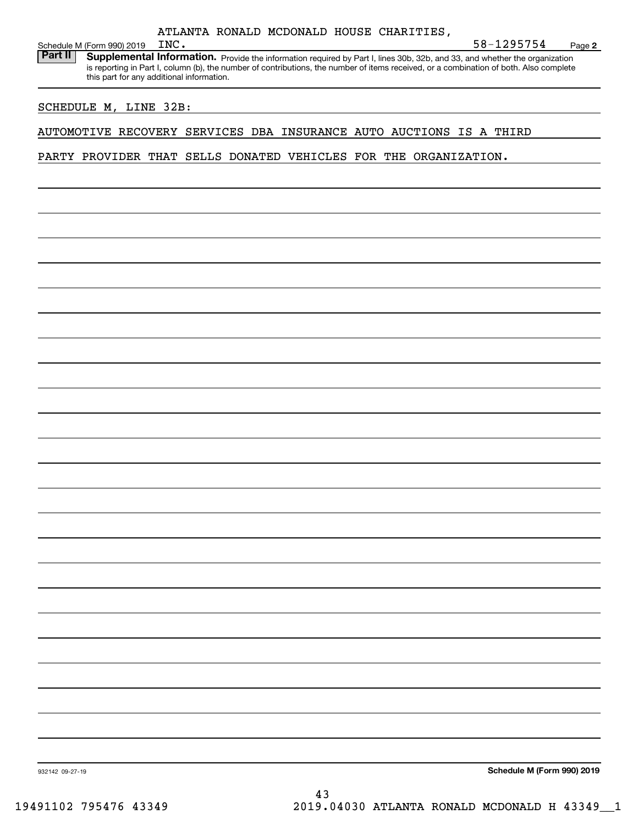Schedule M (Form 990) 2019 INC.<br>**Part II** Supplemental Inform Part II | Supplemental Information. Provide the information required by Part I, lines 30b, 32b, and 33, and whether the organization is reporting in Part I, column (b), the number of contributions, the number of items received, or a combination of both. Also complete this part for any additional information.

## SCHEDULE M, LINE 32B:

### AUTOMOTIVE RECOVERY SERVICES DBA INSURANCE AUTO AUCTIONS IS A THIRD

PARTY PROVIDER THAT SELLS DONATED VEHICLES FOR THE ORGANIZATION.

**Schedule M (Form 990) 2019**

**2**

INC. 58-1295754

932142 09-27-19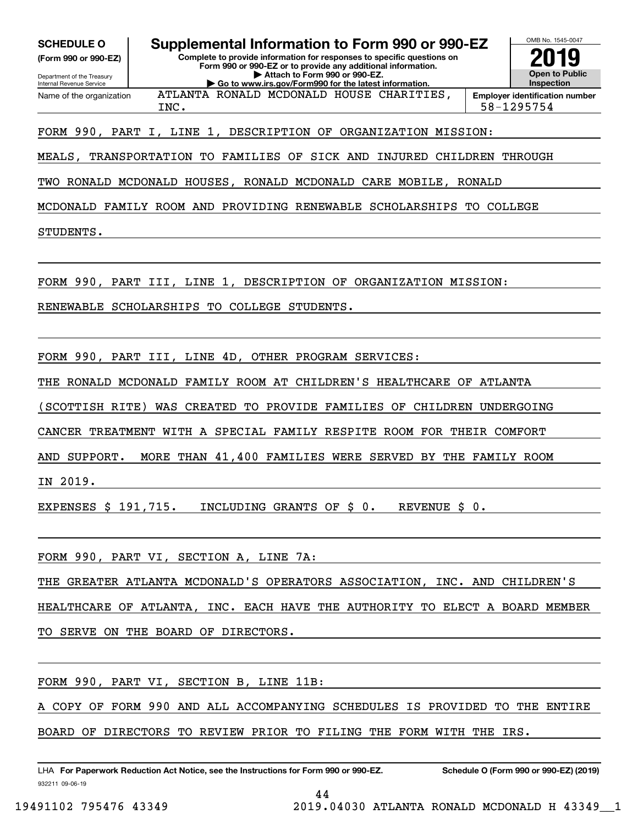**(Form 990 or 990-EZ)**

Department of the Treasury Internal Revenue Service Name of the organization

**SCHEDULE O Supplemental Information to Form 990 or 990-EZ**

**Complete to provide information for responses to specific questions on Form 990 or 990-EZ or to provide any additional information. | Attach to Form 990 or 990-EZ. | Go to www.irs.gov/Form990 for the latest information.**

ATLANTA RONALD MCDONALD HOUSE CHARITIES,



INC. 58-1295754

## FORM 990, PART I, LINE 1, DESCRIPTION OF ORGANIZATION MISSION:

MEALS, TRANSPORTATION TO FAMILIES OF SICK AND INJURED CHILDREN THROUGH

TWO RONALD MCDONALD HOUSES, RONALD MCDONALD CARE MOBILE, RONALD

MCDONALD FAMILY ROOM AND PROVIDING RENEWABLE SCHOLARSHIPS TO COLLEGE

STUDENTS.

FORM 990, PART III, LINE 1, DESCRIPTION OF ORGANIZATION MISSION:

RENEWABLE SCHOLARSHIPS TO COLLEGE STUDENTS.

FORM 990, PART III, LINE 4D, OTHER PROGRAM SERVICES:

THE RONALD MCDONALD FAMILY ROOM AT CHILDREN'S HEALTHCARE OF ATLANTA

(SCOTTISH RITE) WAS CREATED TO PROVIDE FAMILIES OF CHILDREN UNDERGOING

CANCER TREATMENT WITH A SPECIAL FAMILY RESPITE ROOM FOR THEIR COMFORT

AND SUPPORT. MORE THAN 41,400 FAMILIES WERE SERVED BY THE FAMILY ROOM

IN 2019.

EXPENSES \$ 191,715. INCLUDING GRANTS OF \$ 0. REVENUE \$ 0.

FORM 990, PART VI, SECTION A, LINE 7A:

THE GREATER ATLANTA MCDONALD'S OPERATORS ASSOCIATION, INC. AND CHILDREN'S

HEALTHCARE OF ATLANTA, INC. EACH HAVE THE AUTHORITY TO ELECT A BOARD MEMBER

TO SERVE ON THE BOARD OF DIRECTORS.

FORM 990, PART VI, SECTION B, LINE 11B:

COPY OF FORM 990 AND ALL ACCOMPANYING SCHEDULES IS PROVIDED TO THE ENTIRE

44

BOARD OF DIRECTORS TO REVIEW PRIOR TO FILING THE FORM WITH THE IRS.

932211 09-06-19 LHA For Paperwork Reduction Act Notice, see the Instructions for Form 990 or 990-EZ. Schedule O (Form 990 or 990-EZ) (2019)

19491102 795476 43349 2019.04030 ATLANTA RONALD MCDONALD H 43349\_\_1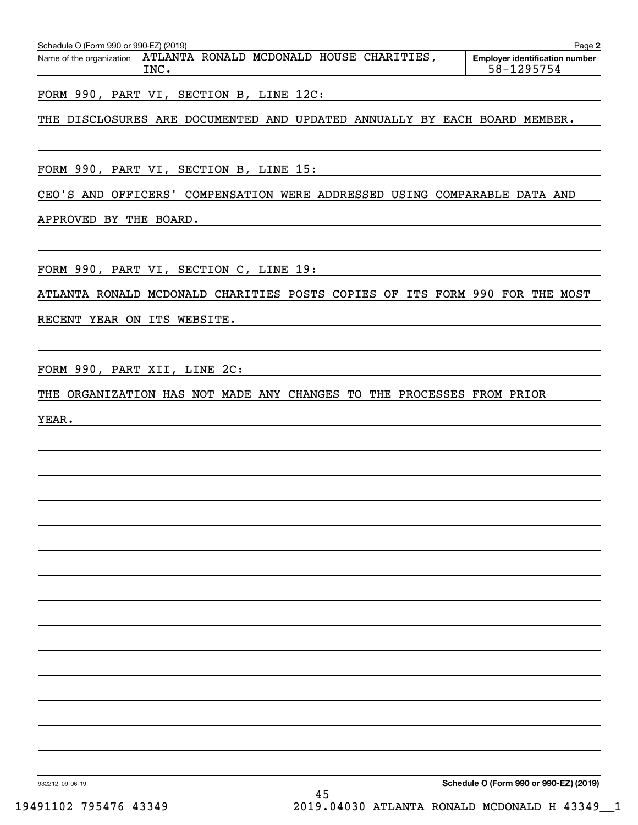| Schedule O (Form 990 or 990-EZ) (2019) |      |  |                                          | Page $\geq$                                         |
|----------------------------------------|------|--|------------------------------------------|-----------------------------------------------------|
| Name of the organization               | TNC. |  | ATLANTA RONALD MCDONALD HOUSE CHARITIES. | <b>Employer identification number</b><br>58-1295754 |

FORM 990, PART VI, SECTION B, LINE 12C:

## THE DISCLOSURES ARE DOCUMENTED AND UPDATED ANNUALLY BY EACH BOARD MEMBER.

FORM 990, PART VI, SECTION B, LINE 15:

CEO'S AND OFFICERS' COMPENSATION WERE ADDRESSED USING COMPARABLE DATA AND

APPROVED BY THE BOARD.

FORM 990, PART VI, SECTION C, LINE 19:

ATLANTA RONALD MCDONALD CHARITIES POSTS COPIES OF ITS FORM 990 FOR THE MOST

RECENT YEAR ON ITS WEBSITE.

FORM 990, PART XII, LINE 2C:

THE ORGANIZATION HAS NOT MADE ANY CHANGES TO THE PROCESSES FROM PRIOR

YEAR.

**Schedule O (Form 990 or 990-EZ) (2019)**